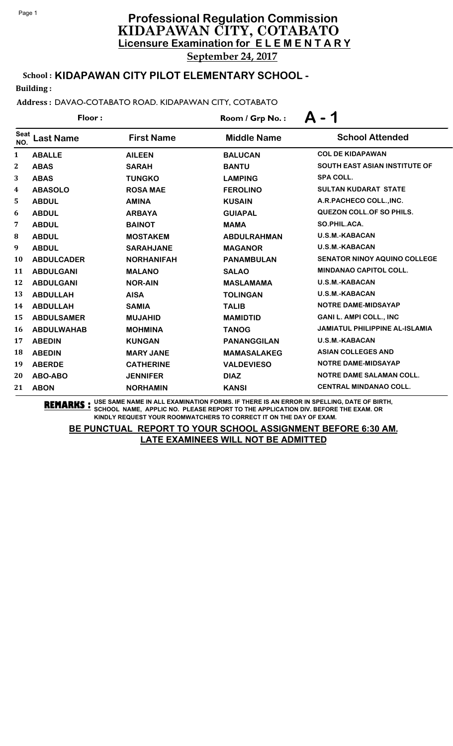September 24, 2017

# School : **KIDAPAWAN CITY PILOT ELEMENTARY SCHOOL -**

Building :

#### Address : DAVAO-COTABATO ROAD. KIDAPAWAN CITY, COTABATO

|                    | Floor:            |                   | Room / Grp No.:    | - 1<br>Δ                              |
|--------------------|-------------------|-------------------|--------------------|---------------------------------------|
| <b>Seat</b><br>NO. | <b>Last Name</b>  | <b>First Name</b> | <b>Middle Name</b> | <b>School Attended</b>                |
| 1                  | <b>ABALLE</b>     | <b>AILEEN</b>     | <b>BALUCAN</b>     | <b>COL DE KIDAPAWAN</b>               |
| $\boldsymbol{2}$   | <b>ABAS</b>       | <b>SARAH</b>      | <b>BANTU</b>       | <b>SOUTH EAST ASIAN INSTITUTE OF</b>  |
| 3                  | <b>ABAS</b>       | <b>TUNGKO</b>     | <b>LAMPING</b>     | <b>SPA COLL.</b>                      |
| 4                  | <b>ABASOLO</b>    | <b>ROSA MAE</b>   | <b>FEROLINO</b>    | <b>SULTAN KUDARAT STATE</b>           |
| 5                  | <b>ABDUL</b>      | <b>AMINA</b>      | <b>KUSAIN</b>      | A.R.PACHECO COLL., INC.               |
| 6                  | <b>ABDUL</b>      | <b>ARBAYA</b>     | <b>GUIAPAL</b>     | <b>QUEZON COLL. OF SO PHILS.</b>      |
| 7                  | <b>ABDUL</b>      | <b>BAINOT</b>     | <b>MAMA</b>        | SO.PHIL.ACA.                          |
| 8                  | <b>ABDUL</b>      | <b>MOSTAKEM</b>   | <b>ABDULRAHMAN</b> | <b>U.S.M.-KABACAN</b>                 |
| 9                  | <b>ABDUL</b>      | <b>SARAHJANE</b>  | <b>MAGANOR</b>     | <b>U.S.M.-KABACAN</b>                 |
| 10                 | <b>ABDULCADER</b> | <b>NORHANIFAH</b> | <b>PANAMBULAN</b>  | <b>SENATOR NINOY AQUINO COLLEGE</b>   |
| 11                 | <b>ABDULGANI</b>  | <b>MALANO</b>     | <b>SALAO</b>       | <b>MINDANAO CAPITOL COLL.</b>         |
| 12                 | <b>ABDULGANI</b>  | <b>NOR-AIN</b>    | <b>MASLAMAMA</b>   | <b>U.S.M.-KABACAN</b>                 |
| 13                 | <b>ABDULLAH</b>   | <b>AISA</b>       | <b>TOLINGAN</b>    | <b>U.S.M.-KABACAN</b>                 |
| 14                 | <b>ABDULLAH</b>   | <b>SAMIA</b>      | <b>TALIB</b>       | <b>NOTRE DAME-MIDSAYAP</b>            |
| 15                 | <b>ABDULSAMER</b> | <b>MUJAHID</b>    | <b>MAMIDTID</b>    | <b>GANI L. AMPI COLL., INC</b>        |
| 16                 | <b>ABDULWAHAB</b> | <b>MOHMINA</b>    | <b>TANOG</b>       | <b>JAMIATUL PHILIPPINE AL-ISLAMIA</b> |
| 17                 | <b>ABEDIN</b>     | <b>KUNGAN</b>     | <b>PANANGGILAN</b> | <b>U.S.M.-KABACAN</b>                 |
| 18                 | <b>ABEDIN</b>     | <b>MARY JANE</b>  | <b>MAMASALAKEG</b> | <b>ASIAN COLLEGES AND</b>             |
| 19                 | <b>ABERDE</b>     | <b>CATHERINE</b>  | <b>VALDEVIESO</b>  | <b>NOTRE DAME-MIDSAYAP</b>            |
| 20                 | ABO-ABO           | <b>JENNIFER</b>   | <b>DIAZ</b>        | <b>NOTRE DAME SALAMAN COLL.</b>       |
| 21                 | <b>ABON</b>       | <b>NORHAMIN</b>   | <b>KANSI</b>       | <b>CENTRAL MINDANAO COLL.</b>         |

**REMARKS :** USE SAME NAME IN ALL EXAMINATION FORMS. IF THERE IS AN ERROR IN SPELLING, DATE OF BIRTH, SCHOOL NAME, APPLIC NO. PLEASE REPORT TO THE APPLICATION DIV. BEFORE THE EXAM. OR KINDLY REQUEST YOUR ROOMWATCHERS TO CORRECT IT ON THE DAY OF EXAM.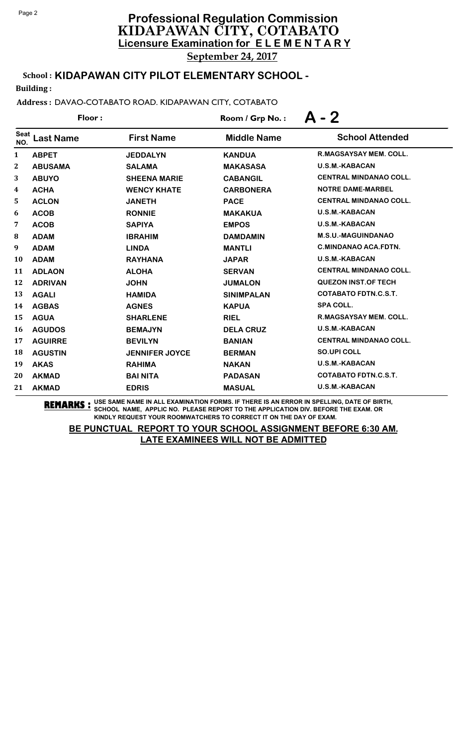September 24, 2017

# School : **KIDAPAWAN CITY PILOT ELEMENTARY SCHOOL -**

Building :

### Address : DAVAO-COTABATO ROAD. KIDAPAWAN CITY, COTABATO

|                    | Floor:         |                       | Room / Grp No.:    | $A - 2$                       |
|--------------------|----------------|-----------------------|--------------------|-------------------------------|
| <b>Seat</b><br>NO. | Last Name      | <b>First Name</b>     | <b>Middle Name</b> | <b>School Attended</b>        |
| 1                  | <b>ABPET</b>   | <b>JEDDALYN</b>       | <b>KANDUA</b>      | <b>R.MAGSAYSAY MEM. COLL.</b> |
| $\boldsymbol{2}$   | <b>ABUSAMA</b> | <b>SALAMA</b>         | <b>MAKASASA</b>    | <b>U.S.M.-KABACAN</b>         |
| 3                  | <b>ABUYO</b>   | <b>SHEENA MARIE</b>   | <b>CABANGIL</b>    | <b>CENTRAL MINDANAO COLL.</b> |
| 4                  | <b>ACHA</b>    | <b>WENCY KHATE</b>    | <b>CARBONERA</b>   | <b>NOTRE DAME-MARBEL</b>      |
| 5                  | <b>ACLON</b>   | <b>JANETH</b>         | <b>PACE</b>        | <b>CENTRAL MINDANAO COLL.</b> |
| 6                  | <b>ACOB</b>    | <b>RONNIE</b>         | <b>MAKAKUA</b>     | <b>U.S.M.-KABACAN</b>         |
| 7                  | <b>ACOB</b>    | <b>SAPIYA</b>         | <b>EMPOS</b>       | <b>U.S.M.-KABACAN</b>         |
| 8                  | <b>ADAM</b>    | <b>IBRAHIM</b>        | <b>DAMDAMIN</b>    | <b>M.S.U.-MAGUINDANAO</b>     |
| 9                  | <b>ADAM</b>    | <b>LINDA</b>          | <b>MANTLI</b>      | <b>C.MINDANAO ACA.FDTN.</b>   |
| 10                 | <b>ADAM</b>    | <b>RAYHANA</b>        | <b>JAPAR</b>       | <b>U.S.M.-KABACAN</b>         |
| 11                 | <b>ADLAON</b>  | <b>ALOHA</b>          | <b>SERVAN</b>      | <b>CENTRAL MINDANAO COLL.</b> |
| 12                 | <b>ADRIVAN</b> | <b>JOHN</b>           | <b>JUMALON</b>     | <b>QUEZON INST.OF TECH</b>    |
| 13                 | <b>AGALI</b>   | <b>HAMIDA</b>         | <b>SINIMPALAN</b>  | <b>COTABATO FDTN.C.S.T.</b>   |
| 14                 | <b>AGBAS</b>   | <b>AGNES</b>          | <b>KAPUA</b>       | <b>SPA COLL.</b>              |
| 15                 | <b>AGUA</b>    | <b>SHARLENE</b>       | <b>RIEL</b>        | <b>R.MAGSAYSAY MEM. COLL.</b> |
| 16                 | <b>AGUDOS</b>  | <b>BEMAJYN</b>        | <b>DELA CRUZ</b>   | <b>U.S.M.-KABACAN</b>         |
| 17                 | <b>AGUIRRE</b> | <b>BEVILYN</b>        | <b>BANIAN</b>      | <b>CENTRAL MINDANAO COLL.</b> |
| 18                 | <b>AGUSTIN</b> | <b>JENNIFER JOYCE</b> | <b>BERMAN</b>      | <b>SO.UPI COLL</b>            |
| 19                 | <b>AKAS</b>    | <b>RAHIMA</b>         | <b>NAKAN</b>       | <b>U.S.M.-KABACAN</b>         |
| 20                 | <b>AKMAD</b>   | <b>BAI NITA</b>       | <b>PADASAN</b>     | <b>COTABATO FDTN.C.S.T.</b>   |
| 21                 | <b>AKMAD</b>   | <b>EDRIS</b>          | <b>MASUAL</b>      | <b>U.S.M.-KABACAN</b>         |

**REMARKS :** USE SAME NAME IN ALL EXAMINATION FORMS. IF THERE IS AN ERROR IN SPELLING, DATE OF BIRTH, SCHOOL NAME, APPLIC NO. PLEASE REPORT TO THE APPLICATION DIV. BEFORE THE EXAM. OR KINDLY REQUEST YOUR ROOMWATCHERS TO CORRECT IT ON THE DAY OF EXAM.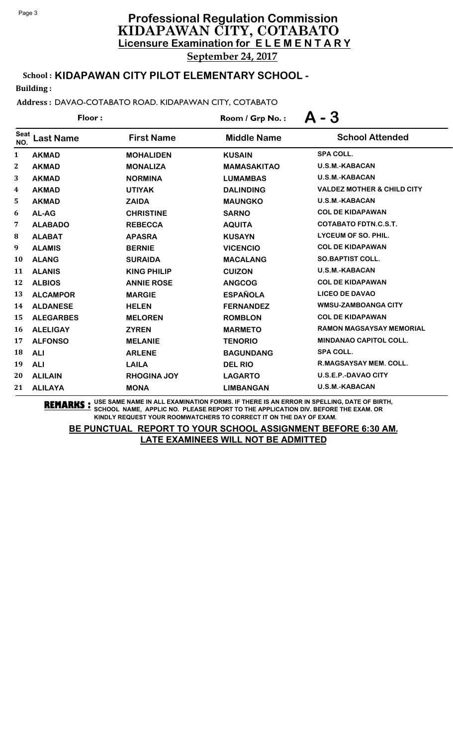September 24, 2017

# School : **KIDAPAWAN CITY PILOT ELEMENTARY SCHOOL -**

Building :

### Address : DAVAO-COTABATO ROAD. KIDAPAWAN CITY, COTABATO

|                    | Floor:           |                    | Room / Grp No.:    | - 3                                   |
|--------------------|------------------|--------------------|--------------------|---------------------------------------|
| <b>Seat</b><br>NO. | <b>Last Name</b> | <b>First Name</b>  | <b>Middle Name</b> | <b>School Attended</b>                |
| 1                  | <b>AKMAD</b>     | <b>MOHALIDEN</b>   | <b>KUSAIN</b>      | <b>SPA COLL.</b>                      |
| $\boldsymbol{2}$   | <b>AKMAD</b>     | <b>MONALIZA</b>    | <b>MAMASAKITAO</b> | <b>U.S.M.-KABACAN</b>                 |
| 3                  | <b>AKMAD</b>     | <b>NORMINA</b>     | <b>LUMAMBAS</b>    | <b>U.S.M.-KABACAN</b>                 |
| 4                  | <b>AKMAD</b>     | <b>UTIYAK</b>      | <b>DALINDING</b>   | <b>VALDEZ MOTHER &amp; CHILD CITY</b> |
| 5                  | <b>AKMAD</b>     | <b>ZAIDA</b>       | <b>MAUNGKO</b>     | <b>U.S.M.-KABACAN</b>                 |
| 6                  | AL-AG            | <b>CHRISTINE</b>   | <b>SARNO</b>       | <b>COL DE KIDAPAWAN</b>               |
| 7                  | <b>ALABADO</b>   | <b>REBECCA</b>     | <b>AQUITA</b>      | <b>COTABATO FDTN.C.S.T.</b>           |
| 8                  | <b>ALABAT</b>    | <b>APASRA</b>      | <b>KUSAYN</b>      | <b>LYCEUM OF SO. PHIL.</b>            |
| 9                  | <b>ALAMIS</b>    | <b>BERNIE</b>      | <b>VICENCIO</b>    | <b>COL DE KIDAPAWAN</b>               |
| 10                 | <b>ALANG</b>     | <b>SURAIDA</b>     | <b>MACALANG</b>    | <b>SO.BAPTIST COLL.</b>               |
| 11                 | <b>ALANIS</b>    | <b>KING PHILIP</b> | <b>CUIZON</b>      | <b>U.S.M.-KABACAN</b>                 |
| 12                 | <b>ALBIOS</b>    | <b>ANNIE ROSE</b>  | <b>ANGCOG</b>      | <b>COL DE KIDAPAWAN</b>               |
| 13                 | <b>ALCAMPOR</b>  | <b>MARGIE</b>      | <b>ESPAÑOLA</b>    | <b>LICEO DE DAVAO</b>                 |
| 14                 | <b>ALDANESE</b>  | <b>HELEN</b>       | <b>FERNANDEZ</b>   | <b>WMSU-ZAMBOANGA CITY</b>            |
| 15                 | <b>ALEGARBES</b> | <b>MELOREN</b>     | <b>ROMBLON</b>     | <b>COL DE KIDAPAWAN</b>               |
| 16                 | <b>ALELIGAY</b>  | <b>ZYREN</b>       | <b>MARMETO</b>     | <b>RAMON MAGSAYSAY MEMORIAL</b>       |
| 17                 | <b>ALFONSO</b>   | <b>MELANIE</b>     | <b>TENORIO</b>     | MINDANAO CAPITOL COLL.                |
| 18                 | <b>ALI</b>       | <b>ARLENE</b>      | <b>BAGUNDANG</b>   | <b>SPA COLL.</b>                      |
| 19                 | <b>ALI</b>       | <b>LAILA</b>       | <b>DEL RIO</b>     | <b>R.MAGSAYSAY MEM. COLL.</b>         |
| 20                 | <b>ALILAIN</b>   | <b>RHOGINA JOY</b> | <b>LAGARTO</b>     | <b>U.S.E.P.-DAVAO CITY</b>            |
| 21                 | <b>ALILAYA</b>   | <b>MONA</b>        | <b>LIMBANGAN</b>   | <b>U.S.M.-KABACAN</b>                 |

**REMARKS :** USE SAME NAME IN ALL EXAMINATION FORMS. IF THERE IS AN ERROR IN SPELLING, DATE OF BIRTH, SCHOOL NAME, APPLIC NO. PLEASE REPORT TO THE APPLICATION DIV. BEFORE THE EXAM. OR KINDLY REQUEST YOUR ROOMWATCHERS TO CORRECT IT ON THE DAY OF EXAM.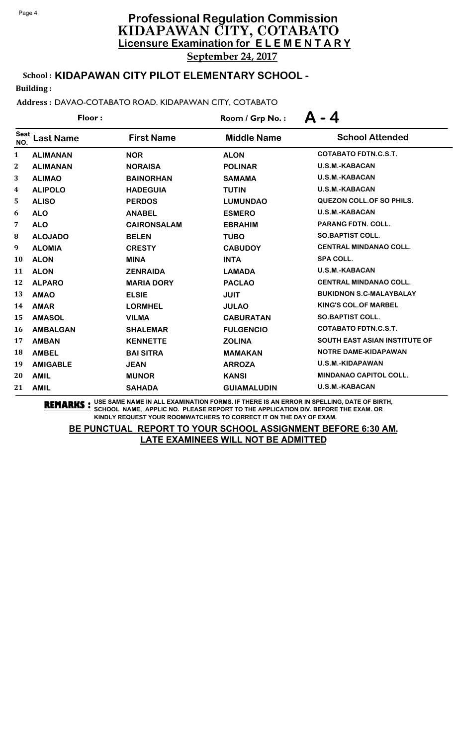# **Licensure Examination for E L E M E N T A R Y Professional Regulation Commission** KIDAPAWAN CITY, COTABATO September 24, 2017

# School : **KIDAPAWAN CITY PILOT ELEMENTARY SCHOOL -**

Building :

### Address : DAVAO-COTABATO ROAD. KIDAPAWAN CITY, COTABATO

|                    | Floor:           |                    | Room / Grp No.:    | $-4$<br>$\mathbf{A}$                 |
|--------------------|------------------|--------------------|--------------------|--------------------------------------|
| <b>Seat</b><br>NO. | <b>Last Name</b> | <b>First Name</b>  | <b>Middle Name</b> | <b>School Attended</b>               |
| $\mathbf{1}$       | <b>ALIMANAN</b>  | <b>NOR</b>         | <b>ALON</b>        | <b>COTABATO FDTN.C.S.T.</b>          |
| $\mathbf{2}$       | <b>ALIMANAN</b>  | <b>NORAISA</b>     | <b>POLINAR</b>     | <b>U.S.M.-KABACAN</b>                |
| 3                  | <b>ALIMAO</b>    | <b>BAINORHAN</b>   | <b>SAMAMA</b>      | <b>U.S.M.-KABACAN</b>                |
| 4                  | <b>ALIPOLO</b>   | <b>HADEGUIA</b>    | <b>TUTIN</b>       | <b>U.S.M.-KABACAN</b>                |
| 5                  | <b>ALISO</b>     | <b>PERDOS</b>      | <b>LUMUNDAO</b>    | QUEZON COLL. OF SO PHILS.            |
| 6                  | <b>ALO</b>       | <b>ANABEL</b>      | <b>ESMERO</b>      | U.S.M.-KABACAN                       |
| 7                  | <b>ALO</b>       | <b>CAIRONSALAM</b> | <b>EBRAHIM</b>     | <b>PARANG FDTN. COLL.</b>            |
| 8                  | <b>ALOJADO</b>   | <b>BELEN</b>       | <b>TUBO</b>        | <b>SO.BAPTIST COLL.</b>              |
| 9                  | <b>ALOMIA</b>    | <b>CRESTY</b>      | <b>CABUDOY</b>     | <b>CENTRAL MINDANAO COLL.</b>        |
| 10                 | <b>ALON</b>      | <b>MINA</b>        | <b>INTA</b>        | <b>SPA COLL.</b>                     |
| 11                 | <b>ALON</b>      | <b>ZENRAIDA</b>    | <b>LAMADA</b>      | <b>U.S.M.-KABACAN</b>                |
| 12                 | <b>ALPARO</b>    | <b>MARIA DORY</b>  | <b>PACLAO</b>      | <b>CENTRAL MINDANAO COLL.</b>        |
| 13                 | <b>AMAO</b>      | <b>ELSIE</b>       | <b>JUIT</b>        | <b>BUKIDNON S.C-MALAYBALAY</b>       |
| 14                 | <b>AMAR</b>      | <b>LORMHEL</b>     | <b>JULAO</b>       | <b>KING'S COL.OF MARBEL</b>          |
| 15                 | <b>AMASOL</b>    | <b>VILMA</b>       | <b>CABURATAN</b>   | <b>SO.BAPTIST COLL.</b>              |
| 16                 | <b>AMBALGAN</b>  | <b>SHALEMAR</b>    | <b>FULGENCIO</b>   | <b>COTABATO FDTN.C.S.T.</b>          |
| 17                 | <b>AMBAN</b>     | <b>KENNETTE</b>    | <b>ZOLINA</b>      | <b>SOUTH EAST ASIAN INSTITUTE OF</b> |
| 18                 | <b>AMBEL</b>     | <b>BAI SITRA</b>   | <b>MAMAKAN</b>     | NOTRE DAME-KIDAPAWAN                 |
| 19                 | <b>AMIGABLE</b>  | <b>JEAN</b>        | <b>ARROZA</b>      | <b>U.S.M.-KIDAPAWAN</b>              |
| 20                 | <b>AMIL</b>      | <b>MUNOR</b>       | <b>KANSI</b>       | <b>MINDANAO CAPITOL COLL.</b>        |
| 21                 | <b>AMIL</b>      | <b>SAHADA</b>      | <b>GUIAMALUDIN</b> | <b>U.S.M.-KABACAN</b>                |

**REMARKS :** USE SAME NAME IN ALL EXAMINATION FORMS. IF THERE IS AN ERROR IN SPELLING, DATE OF BIRTH, SCHOOL NAME, APPLIC NO. PLEASE REPORT TO THE APPLICATION DIV. BEFORE THE EXAM. OR KINDLY REQUEST YOUR ROOMWATCHERS TO CORRECT IT ON THE DAY OF EXAM.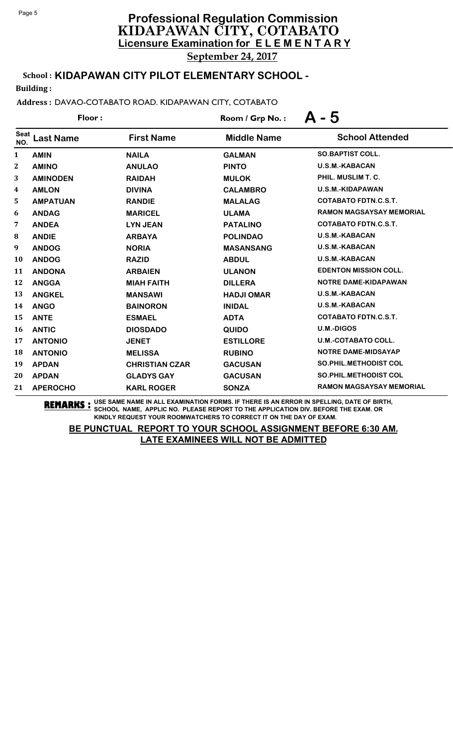September 24, 2017

# School : **KIDAPAWAN CITY PILOT ELEMENTARY SCHOOL -**

Building :

### Address : DAVAO-COTABATO ROAD. KIDAPAWAN CITY, COTABATO

|                    | Floor:           |                       | Room / Grp No.:    | - 5                             |
|--------------------|------------------|-----------------------|--------------------|---------------------------------|
| <b>Seat</b><br>NO. | <b>Last Name</b> | <b>First Name</b>     | <b>Middle Name</b> | <b>School Attended</b>          |
| 1                  | <b>AMIN</b>      | <b>NAILA</b>          | <b>GALMAN</b>      | <b>SO.BAPTIST COLL.</b>         |
| 2                  | <b>AMINO</b>     | <b>ANULAO</b>         | <b>PINTO</b>       | <b>U.S.M.-KABACAN</b>           |
| 3                  | <b>AMINODEN</b>  | <b>RAIDAH</b>         | <b>MULOK</b>       | PHIL. MUSLIM T. C.              |
| 4                  | <b>AMLON</b>     | <b>DIVINA</b>         | <b>CALAMBRO</b>    | U.S.M.-KIDAPAWAN                |
| 5                  | <b>AMPATUAN</b>  | <b>RANDIE</b>         | <b>MALALAG</b>     | <b>COTABATO FDTN.C.S.T.</b>     |
| 6                  | <b>ANDAG</b>     | <b>MARICEL</b>        | <b>ULAMA</b>       | <b>RAMON MAGSAYSAY MEMORIAL</b> |
| 7                  | <b>ANDEA</b>     | <b>LYN JEAN</b>       | <b>PATALINO</b>    | <b>COTABATO FDTN.C.S.T.</b>     |
| 8                  | <b>ANDIE</b>     | <b>ARBAYA</b>         | <b>POLINDAO</b>    | <b>U.S.M.-KABACAN</b>           |
| 9                  | <b>ANDOG</b>     | <b>NORIA</b>          | <b>MASANSANG</b>   | <b>U.S.M.-KABACAN</b>           |
| 10                 | <b>ANDOG</b>     | <b>RAZID</b>          | <b>ABDUL</b>       | <b>U.S.M.-KABACAN</b>           |
| 11                 | <b>ANDONA</b>    | <b>ARBAIEN</b>        | <b>ULANON</b>      | <b>EDENTON MISSION COLL.</b>    |
| 12                 | <b>ANGGA</b>     | <b>MIAH FAITH</b>     | <b>DILLERA</b>     | <b>NOTRE DAME-KIDAPAWAN</b>     |
| 13                 | <b>ANGKEL</b>    | <b>MANSAWI</b>        | <b>HADJI OMAR</b>  | <b>U.S.M.-KABACAN</b>           |
| 14                 | <b>ANGO</b>      | <b>BAINORON</b>       | <b>INIDAL</b>      | <b>U.S.M.-KABACAN</b>           |
| 15                 | <b>ANTE</b>      | <b>ESMAEL</b>         | <b>ADTA</b>        | <b>COTABATO FDTN.C.S.T.</b>     |
| 16                 | <b>ANTIC</b>     | <b>DIOSDADO</b>       | <b>QUIDO</b>       | <b>U.M.-DIGOS</b>               |
| 17                 | <b>ANTONIO</b>   | <b>JENET</b>          | <b>ESTILLORE</b>   | <b>U.M.-COTABATO COLL.</b>      |
| 18                 | <b>ANTONIO</b>   | <b>MELISSA</b>        | <b>RUBINO</b>      | <b>NOTRE DAME-MIDSAYAP</b>      |
| 19                 | <b>APDAN</b>     | <b>CHRISTIAN CZAR</b> | <b>GACUSAN</b>     | <b>SO.PHIL.METHODIST COL</b>    |
| 20                 | <b>APDAN</b>     | <b>GLADYS GAY</b>     | <b>GACUSAN</b>     | <b>SO.PHIL.METHODIST COL</b>    |
| 21                 | <b>APEROCHO</b>  | <b>KARL ROGER</b>     | <b>SONZA</b>       | <b>RAMON MAGSAYSAY MEMORIAL</b> |

**REMARKS :** USE SAME NAME IN ALL EXAMINATION FORMS. IF THERE IS AN ERROR IN SPELLING, DATE OF BIRTH, SCHOOL NAME, APPLIC NO. PLEASE REPORT TO THE APPLICATION DIV. BEFORE THE EXAM. OR KINDLY REQUEST YOUR ROOMWATCHERS TO CORRECT IT ON THE DAY OF EXAM.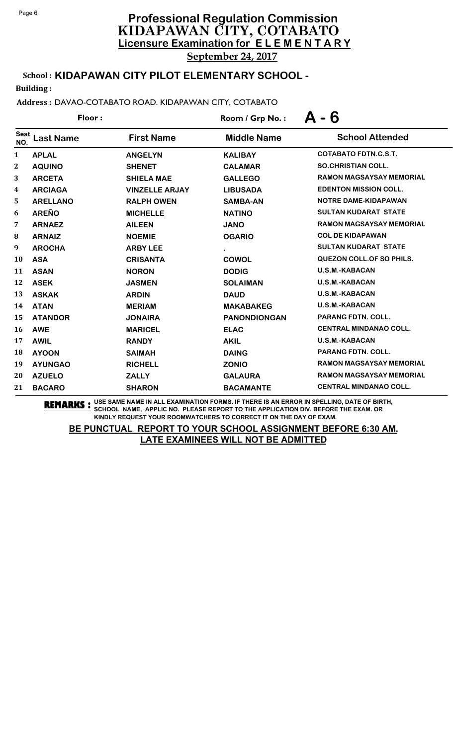# **Licensure Examination for E L E M E N T A R Y Professional Regulation Commission** KIDAPAWAN CITY, COTABATO

September 24, 2017

# School : **KIDAPAWAN CITY PILOT ELEMENTARY SCHOOL -**

Building :

### Address : DAVAO-COTABATO ROAD. KIDAPAWAN CITY, COTABATO

|                    | Floor:           |                       | Room / Grp No.:     | - 6                             |
|--------------------|------------------|-----------------------|---------------------|---------------------------------|
| <b>Seat</b><br>NO. | <b>Last Name</b> | <b>First Name</b>     | <b>Middle Name</b>  | <b>School Attended</b>          |
| 1                  | <b>APLAL</b>     | <b>ANGELYN</b>        | <b>KALIBAY</b>      | <b>COTABATO FDTN.C.S.T.</b>     |
| $\boldsymbol{2}$   | <b>AQUINO</b>    | <b>SHENET</b>         | <b>CALAMAR</b>      | <b>SO.CHRISTIAN COLL.</b>       |
| 3                  | <b>ARCETA</b>    | <b>SHIELA MAE</b>     | <b>GALLEGO</b>      | <b>RAMON MAGSAYSAY MEMORIAL</b> |
| 4                  | <b>ARCIAGA</b>   | <b>VINZELLE ARJAY</b> | <b>LIBUSADA</b>     | <b>EDENTON MISSION COLL.</b>    |
| 5                  | <b>ARELLANO</b>  | <b>RALPH OWEN</b>     | <b>SAMBA-AN</b>     | <b>NOTRE DAME-KIDAPAWAN</b>     |
| 6                  | <b>AREÑO</b>     | <b>MICHELLE</b>       | <b>NATINO</b>       | <b>SULTAN KUDARAT STATE</b>     |
| 7                  | <b>ARNAEZ</b>    | <b>AILEEN</b>         | <b>JANO</b>         | <b>RAMON MAGSAYSAY MEMORIAL</b> |
| 8                  | <b>ARNAIZ</b>    | <b>NOEMIE</b>         | <b>OGARIO</b>       | <b>COL DE KIDAPAWAN</b>         |
| 9                  | <b>AROCHA</b>    | <b>ARBY LEE</b>       | $\bullet$           | <b>SULTAN KUDARAT STATE</b>     |
| 10                 | <b>ASA</b>       | <b>CRISANTA</b>       | <b>COWOL</b>        | <b>QUEZON COLL.OF SO PHILS.</b> |
| 11                 | <b>ASAN</b>      | <b>NORON</b>          | <b>DODIG</b>        | <b>U.S.M.-KABACAN</b>           |
| 12                 | <b>ASEK</b>      | <b>JASMEN</b>         | <b>SOLAIMAN</b>     | <b>U.S.M.-KABACAN</b>           |
| 13                 | <b>ASKAK</b>     | <b>ARDIN</b>          | <b>DAUD</b>         | <b>U.S.M.-KABACAN</b>           |
| 14                 | <b>ATAN</b>      | <b>MERIAM</b>         | <b>MAKABAKEG</b>    | <b>U.S.M.-KABACAN</b>           |
| 15                 | <b>ATANDOR</b>   | <b>JONAIRA</b>        | <b>PANONDIONGAN</b> | <b>PARANG FDTN. COLL.</b>       |
| 16                 | <b>AWE</b>       | <b>MARICEL</b>        | <b>ELAC</b>         | <b>CENTRAL MINDANAO COLL.</b>   |
| 17                 | <b>AWIL</b>      | <b>RANDY</b>          | <b>AKIL</b>         | <b>U.S.M.-KABACAN</b>           |
| 18                 | <b>AYOON</b>     | <b>SAIMAH</b>         | <b>DAING</b>        | <b>PARANG FDTN. COLL.</b>       |
| 19                 | <b>AYUNGAO</b>   | <b>RICHELL</b>        | <b>ZONIO</b>        | <b>RAMON MAGSAYSAY MEMORIAL</b> |
| 20                 | <b>AZUELO</b>    | <b>ZALLY</b>          | <b>GALAURA</b>      | <b>RAMON MAGSAYSAY MEMORIAL</b> |
| 21                 | <b>BACARO</b>    | <b>SHARON</b>         | <b>BACAMANTE</b>    | <b>CENTRAL MINDANAO COLL.</b>   |

**REMARKS :** USE SAME NAME IN ALL EXAMINATION FORMS. IF THERE IS AN ERROR IN SPELLING, DATE OF BIRTH, SCHOOL NAME, APPLIC NO. PLEASE REPORT TO THE APPLICATION DIV. BEFORE THE EXAM. OR KINDLY REQUEST YOUR ROOMWATCHERS TO CORRECT IT ON THE DAY OF EXAM.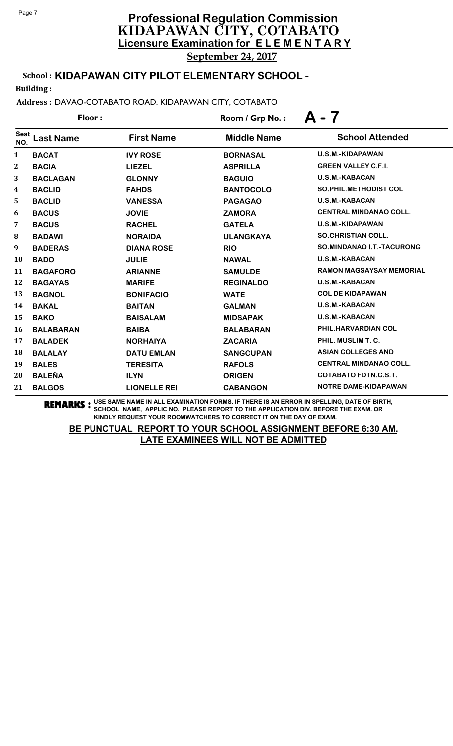September 24, 2017

# School : **KIDAPAWAN CITY PILOT ELEMENTARY SCHOOL -**

Building :

### Address : DAVAO-COTABATO ROAD. KIDAPAWAN CITY, COTABATO

|                    | Floor:           |                     | Room / Grp No.:    | A - 7                            |
|--------------------|------------------|---------------------|--------------------|----------------------------------|
| <b>Seat</b><br>NO. | <b>Last Name</b> | <b>First Name</b>   | <b>Middle Name</b> | <b>School Attended</b>           |
| 1                  | <b>BACAT</b>     | <b>IVY ROSE</b>     | <b>BORNASAL</b>    | <b>U.S.M.-KIDAPAWAN</b>          |
| $\boldsymbol{2}$   | <b>BACIA</b>     | <b>LIEZEL</b>       | <b>ASPRILLA</b>    | <b>GREEN VALLEY C.F.I.</b>       |
| 3                  | <b>BACLAGAN</b>  | <b>GLONNY</b>       | <b>BAGUIO</b>      | <b>U.S.M.-KABACAN</b>            |
| 4                  | <b>BACLID</b>    | <b>FAHDS</b>        | <b>BANTOCOLO</b>   | <b>SO.PHIL.METHODIST COL</b>     |
| 5                  | <b>BACLID</b>    | <b>VANESSA</b>      | <b>PAGAGAO</b>     | <b>U.S.M.-KABACAN</b>            |
| 6                  | <b>BACUS</b>     | <b>JOVIE</b>        | <b>ZAMORA</b>      | <b>CENTRAL MINDANAO COLL.</b>    |
| 7                  | <b>BACUS</b>     | <b>RACHEL</b>       | <b>GATELA</b>      | U.S.M.-KIDAPAWAN                 |
| 8                  | <b>BADAWI</b>    | <b>NORAIDA</b>      | <b>ULANGKAYA</b>   | <b>SO.CHRISTIAN COLL.</b>        |
| 9                  | <b>BADERAS</b>   | <b>DIANA ROSE</b>   | <b>RIO</b>         | <b>SO.MINDANAO I.T.-TACURONG</b> |
| 10                 | <b>BADO</b>      | <b>JULIE</b>        | <b>NAWAL</b>       | <b>U.S.M.-KABACAN</b>            |
| 11                 | <b>BAGAFORO</b>  | <b>ARIANNE</b>      | <b>SAMULDE</b>     | <b>RAMON MAGSAYSAY MEMORIAL</b>  |
| 12                 | <b>BAGAYAS</b>   | <b>MARIFE</b>       | <b>REGINALDO</b>   | <b>U.S.M.-KABACAN</b>            |
| 13                 | <b>BAGNOL</b>    | <b>BONIFACIO</b>    | <b>WATE</b>        | <b>COL DE KIDAPAWAN</b>          |
| 14                 | <b>BAKAL</b>     | <b>BAITAN</b>       | <b>GALMAN</b>      | <b>U.S.M.-KABACAN</b>            |
| 15                 | <b>BAKO</b>      | <b>BAISALAM</b>     | <b>MIDSAPAK</b>    | U.S.M.-KABACAN                   |
| 16                 | <b>BALABARAN</b> | <b>BAIBA</b>        | <b>BALABARAN</b>   | PHIL.HARVARDIAN COL              |
| 17                 | <b>BALADEK</b>   | <b>NORHAIYA</b>     | <b>ZACARIA</b>     | PHIL. MUSLIM T. C.               |
| 18                 | <b>BALALAY</b>   | <b>DATU EMLAN</b>   | <b>SANGCUPAN</b>   | <b>ASIAN COLLEGES AND</b>        |
| 19                 | <b>BALES</b>     | <b>TERESITA</b>     | <b>RAFOLS</b>      | <b>CENTRAL MINDANAO COLL.</b>    |
| 20                 | <b>BALEÑA</b>    | <b>ILYN</b>         | <b>ORIGEN</b>      | <b>COTABATO FDTN.C.S.T.</b>      |
| 21                 | <b>BALGOS</b>    | <b>LIONELLE REI</b> | <b>CABANGON</b>    | <b>NOTRE DAME-KIDAPAWAN</b>      |

**REMARKS :** USE SAME NAME IN ALL EXAMINATION FORMS. IF THERE IS AN ERROR IN SPELLING, DATE OF BIRTH, SCHOOL NAME, APPLIC NO. PLEASE REPORT TO THE APPLICATION DIV. BEFORE THE EXAM. OR KINDLY REQUEST YOUR ROOMWATCHERS TO CORRECT IT ON THE DAY OF EXAM.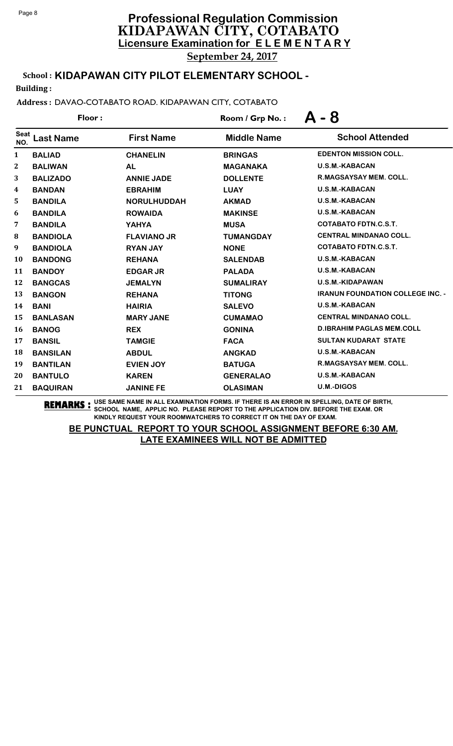# **Licensure Examination for E L E M E N T A R Y Professional Regulation Commission** KIDAPAWAN CITY, COTABATO September 24, 2017

School : **KIDAPAWAN CITY PILOT ELEMENTARY SCHOOL -**

Building :

Address : DAVAO-COTABATO ROAD. KIDAPAWAN CITY, COTABATO

|                    | Floor:           |                    | Room / Grp No.:    | - 8<br>Д                                |
|--------------------|------------------|--------------------|--------------------|-----------------------------------------|
| <b>Seat</b><br>NO. | <b>Last Name</b> | <b>First Name</b>  | <b>Middle Name</b> | <b>School Attended</b>                  |
| 1                  | <b>BALIAD</b>    | <b>CHANELIN</b>    | <b>BRINGAS</b>     | <b>EDENTON MISSION COLL.</b>            |
| $\boldsymbol{2}$   | <b>BALIWAN</b>   | <b>AL</b>          | <b>MAGANAKA</b>    | <b>U.S.M.-KABACAN</b>                   |
| 3                  | <b>BALIZADO</b>  | <b>ANNIE JADE</b>  | <b>DOLLENTE</b>    | R.MAGSAYSAY MEM. COLL.                  |
| 4                  | <b>BANDAN</b>    | <b>EBRAHIM</b>     | <b>LUAY</b>        | <b>U.S.M.-KABACAN</b>                   |
| 5                  | <b>BANDILA</b>   | <b>NORULHUDDAH</b> | <b>AKMAD</b>       | <b>U.S.M.-KABACAN</b>                   |
| 6                  | <b>BANDILA</b>   | <b>ROWAIDA</b>     | <b>MAKINSE</b>     | <b>U.S.M.-KABACAN</b>                   |
| 7                  | <b>BANDILA</b>   | <b>YAHYA</b>       | <b>MUSA</b>        | <b>COTABATO FDTN.C.S.T.</b>             |
| 8                  | <b>BANDIOLA</b>  | <b>FLAVIANO JR</b> | <b>TUMANGDAY</b>   | <b>CENTRAL MINDANAO COLL.</b>           |
| 9                  | <b>BANDIOLA</b>  | <b>RYAN JAY</b>    | <b>NONE</b>        | <b>COTABATO FDTN.C.S.T.</b>             |
| 10                 | <b>BANDONG</b>   | <b>REHANA</b>      | <b>SALENDAB</b>    | <b>U.S.M.-KABACAN</b>                   |
| 11                 | <b>BANDOY</b>    | <b>EDGAR JR</b>    | <b>PALADA</b>      | <b>U.S.M.-KABACAN</b>                   |
| 12                 | <b>BANGCAS</b>   | <b>JEMALYN</b>     | <b>SUMALIRAY</b>   | <b>U.S.M.-KIDAPAWAN</b>                 |
| 13                 | <b>BANGON</b>    | <b>REHANA</b>      | <b>TITONG</b>      | <b>IRANUN FOUNDATION COLLEGE INC. -</b> |
| 14                 | <b>BANI</b>      | <b>HAIRIA</b>      | <b>SALEVO</b>      | <b>U.S.M.-KABACAN</b>                   |
| 15                 | <b>BANLASAN</b>  | <b>MARY JANE</b>   | <b>CUMAMAO</b>     | <b>CENTRAL MINDANAO COLL.</b>           |
| 16                 | <b>BANOG</b>     | <b>REX</b>         | <b>GONINA</b>      | <b>D.IBRAHIM PAGLAS MEM.COLL</b>        |
| 17                 | <b>BANSIL</b>    | <b>TAMGIE</b>      | <b>FACA</b>        | <b>SULTAN KUDARAT STATE</b>             |
| 18                 | <b>BANSILAN</b>  | <b>ABDUL</b>       | <b>ANGKAD</b>      | U.S.M.-KABACAN                          |
| 19                 | <b>BANTILAN</b>  | <b>EVIEN JOY</b>   | <b>BATUGA</b>      | R.MAGSAYSAY MEM. COLL.                  |
| 20                 | <b>BANTULO</b>   | <b>KAREN</b>       | <b>GENERALAO</b>   | <b>U.S.M.-KABACAN</b>                   |
| 21                 | <b>BAQUIRAN</b>  | <b>JANINE FE</b>   | <b>OLASIMAN</b>    | <b>U.M.-DIGOS</b>                       |

**REMARKS :** USE SAME NAME IN ALL EXAMINATION FORMS. IF THERE IS AN ERROR IN SPELLING, DATE OF BIRTH, SCHOOL NAME, APPLIC NO. PLEASE REPORT TO THE APPLICATION DIV. BEFORE THE EXAM. OR KINDLY REQUEST YOUR ROOMWATCHERS TO CORRECT IT ON THE DAY OF EXAM.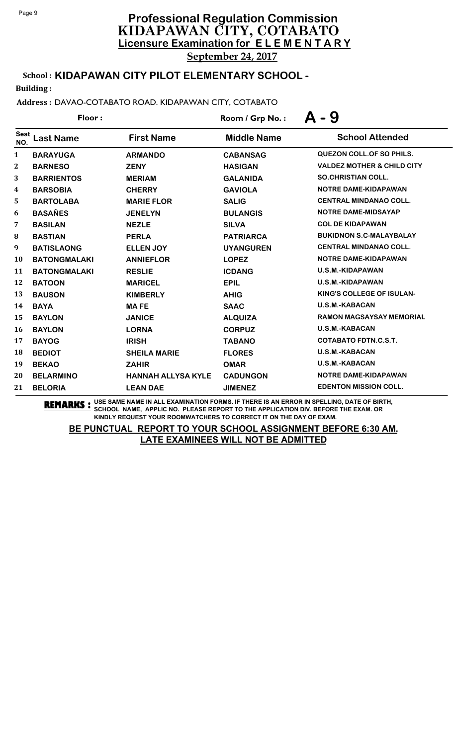# **Licensure Examination for E L E M E N T A R Y Professional Regulation Commission** KIDAPAWAN CITY, COTABATO

September 24, 2017

# School : **KIDAPAWAN CITY PILOT ELEMENTARY SCHOOL -**

Building :

### Address : DAVAO-COTABATO ROAD. KIDAPAWAN CITY, COTABATO

| Floor:             |                     |                           | Room / Grp No.:    | - 9                                   |
|--------------------|---------------------|---------------------------|--------------------|---------------------------------------|
| <b>Seat</b><br>NO. | <b>Last Name</b>    | <b>First Name</b>         | <b>Middle Name</b> | <b>School Attended</b>                |
| $\mathbf{1}$       | <b>BARAYUGA</b>     | <b>ARMANDO</b>            | <b>CABANSAG</b>    | <b>QUEZON COLL.OF SO PHILS.</b>       |
| 2                  | <b>BARNESO</b>      | <b>ZENY</b>               | <b>HASIGAN</b>     | <b>VALDEZ MOTHER &amp; CHILD CITY</b> |
| 3                  | <b>BARRIENTOS</b>   | <b>MERIAM</b>             | <b>GALANIDA</b>    | <b>SO.CHRISTIAN COLL.</b>             |
| 4                  | <b>BARSOBIA</b>     | <b>CHERRY</b>             | <b>GAVIOLA</b>     | <b>NOTRE DAME-KIDAPAWAN</b>           |
| 5                  | <b>BARTOLABA</b>    | <b>MARIE FLOR</b>         | <b>SALIG</b>       | <b>CENTRAL MINDANAO COLL.</b>         |
| 6                  | <b>BASAÑES</b>      | <b>JENELYN</b>            | <b>BULANGIS</b>    | <b>NOTRE DAME-MIDSAYAP</b>            |
| 7                  | <b>BASILAN</b>      | <b>NEZLE</b>              | <b>SILVA</b>       | <b>COL DE KIDAPAWAN</b>               |
| $\bf{8}$           | <b>BASTIAN</b>      | <b>PERLA</b>              | <b>PATRIARCA</b>   | <b>BUKIDNON S.C-MALAYBALAY</b>        |
| 9                  | <b>BATISLAONG</b>   | <b>ELLEN JOY</b>          | <b>UYANGUREN</b>   | <b>CENTRAL MINDANAO COLL.</b>         |
| 10                 | <b>BATONGMALAKI</b> | <b>ANNIEFLOR</b>          | <b>LOPEZ</b>       | NOTRE DAME-KIDAPAWAN                  |
| 11                 | <b>BATONGMALAKI</b> | <b>RESLIE</b>             | <b>ICDANG</b>      | U.S.M.-KIDAPAWAN                      |
| 12                 | <b>BATOON</b>       | <b>MARICEL</b>            | <b>EPIL</b>        | <b>U.S.M.-KIDAPAWAN</b>               |
| 13                 | <b>BAUSON</b>       | <b>KIMBERLY</b>           | <b>AHIG</b>        | KING'S COLLEGE OF ISULAN-             |
| 14                 | <b>BAYA</b>         | <b>MAFE</b>               | <b>SAAC</b>        | U.S.M.-KABACAN                        |
| 15                 | <b>BAYLON</b>       | <b>JANICE</b>             | <b>ALQUIZA</b>     | <b>RAMON MAGSAYSAY MEMORIAL</b>       |
| <b>16</b>          | <b>BAYLON</b>       | <b>LORNA</b>              | <b>CORPUZ</b>      | <b>U.S.M.-KABACAN</b>                 |
| 17                 | <b>BAYOG</b>        | <b>IRISH</b>              | <b>TABANO</b>      | <b>COTABATO FDTN.C.S.T.</b>           |
| 18                 | <b>BEDIOT</b>       | <b>SHEILA MARIE</b>       | <b>FLORES</b>      | <b>U.S.M.-KABACAN</b>                 |
| 19                 | <b>BEKAO</b>        | <b>ZAHIR</b>              | <b>OMAR</b>        | <b>U.S.M.-KABACAN</b>                 |
| 20                 | <b>BELARMINO</b>    | <b>HANNAH ALLYSA KYLE</b> | <b>CADUNGON</b>    | <b>NOTRE DAME-KIDAPAWAN</b>           |
| 21                 | <b>BELORIA</b>      | <b>LEAN DAE</b>           | <b>JIMENEZ</b>     | <b>EDENTON MISSION COLL.</b>          |

**REMARKS :** USE SAME NAME IN ALL EXAMINATION FORMS. IF THERE IS AN ERROR IN SPELLING, DATE OF BIRTH, SCHOOL NAME, APPLIC NO. PLEASE REPORT TO THE APPLICATION DIV. BEFORE THE EXAM. OR KINDLY REQUEST YOUR ROOMWATCHERS TO CORRECT IT ON THE DAY OF EXAM.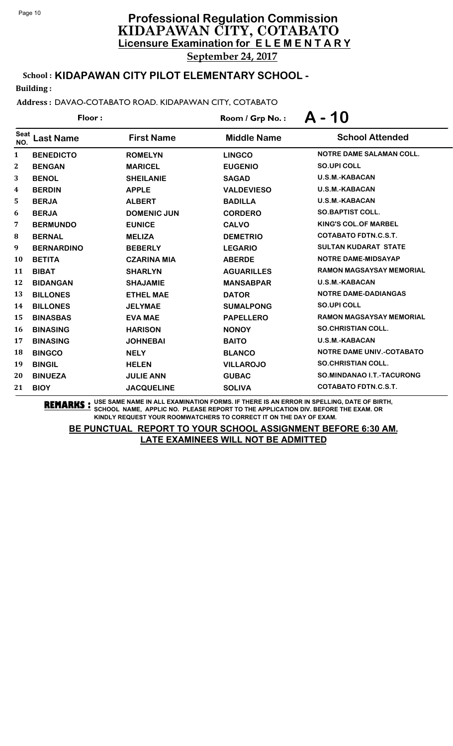School : **KIDAPAWAN CITY PILOT ELEMENTARY SCHOOL -**

Building :

Address : DAVAO-COTABATO ROAD. KIDAPAWAN CITY, COTABATO

| Floor:             |                   |                    | Room / Grp No.:    | A - 10                           |
|--------------------|-------------------|--------------------|--------------------|----------------------------------|
| <b>Seat</b><br>NO. | <b>Last Name</b>  | <b>First Name</b>  | <b>Middle Name</b> | <b>School Attended</b>           |
| 1                  | <b>BENEDICTO</b>  | <b>ROMELYN</b>     | <b>LINGCO</b>      | <b>NOTRE DAME SALAMAN COLL.</b>  |
| $\bf{2}$           | <b>BENGAN</b>     | <b>MARICEL</b>     | <b>EUGENIO</b>     | <b>SO.UPI COLL</b>               |
| 3                  | <b>BENOL</b>      | <b>SHEILANIE</b>   | <b>SAGAD</b>       | <b>U.S.M.-KABACAN</b>            |
| 4                  | <b>BERDIN</b>     | <b>APPLE</b>       | <b>VALDEVIESO</b>  | <b>U.S.M.-KABACAN</b>            |
| 5                  | <b>BERJA</b>      | <b>ALBERT</b>      | <b>BADILLA</b>     | <b>U.S.M.-KABACAN</b>            |
| 6                  | <b>BERJA</b>      | <b>DOMENIC JUN</b> | <b>CORDERO</b>     | <b>SO.BAPTIST COLL.</b>          |
| 7                  | <b>BERMUNDO</b>   | <b>EUNICE</b>      | <b>CALVO</b>       | <b>KING'S COL.OF MARBEL</b>      |
| 8                  | <b>BERNAL</b>     | <b>MELIZA</b>      | <b>DEMETRIO</b>    | <b>COTABATO FDTN.C.S.T.</b>      |
| 9                  | <b>BERNARDINO</b> | <b>BEBERLY</b>     | <b>LEGARIO</b>     | <b>SULTAN KUDARAT STATE</b>      |
| 10                 | <b>BETITA</b>     | <b>CZARINA MIA</b> | <b>ABERDE</b>      | NOTRE DAME-MIDSAYAP              |
| 11                 | <b>BIBAT</b>      | <b>SHARLYN</b>     | <b>AGUARILLES</b>  | <b>RAMON MAGSAYSAY MEMORIAL</b>  |
| 12                 | <b>BIDANGAN</b>   | <b>SHAJAMIE</b>    | <b>MANSABPAR</b>   | <b>U.S.M.-KABACAN</b>            |
| 13                 | <b>BILLONES</b>   | <b>ETHEL MAE</b>   | <b>DATOR</b>       | <b>NOTRE DAME-DADIANGAS</b>      |
| 14                 | <b>BILLONES</b>   | <b>JELYMAE</b>     | <b>SUMALPONG</b>   | <b>SO.UPI COLL</b>               |
| 15                 | <b>BINASBAS</b>   | <b>EVA MAE</b>     | <b>PAPELLERO</b>   | <b>RAMON MAGSAYSAY MEMORIAL</b>  |
| 16                 | <b>BINASING</b>   | <b>HARISON</b>     | <b>NONOY</b>       | <b>SO.CHRISTIAN COLL.</b>        |
| 17                 | <b>BINASING</b>   | <b>JOHNEBAI</b>    | <b>BAITO</b>       | <b>U.S.M.-KABACAN</b>            |
| 18                 | <b>BINGCO</b>     | <b>NELY</b>        | <b>BLANCO</b>      | <b>NOTRE DAME UNIV.-COTABATO</b> |
| 19                 | <b>BINGIL</b>     | <b>HELEN</b>       | <b>VILLAROJO</b>   | <b>SO.CHRISTIAN COLL.</b>        |
| 20                 | <b>BINUEZA</b>    | <b>JULIE ANN</b>   | <b>GUBAC</b>       | <b>SO.MINDANAO I.T.-TACURONG</b> |
| 21                 | <b>BIOY</b>       | <b>JACQUELINE</b>  | <b>SOLIVA</b>      | <b>COTABATO FDTN.C.S.T.</b>      |

**REMARKS :** USE SAME NAME IN ALL EXAMINATION FORMS. IF THERE IS AN ERROR IN SPELLING, DATE OF BIRTH, SCHOOL NAME, APPLIC NO. PLEASE REPORT TO THE APPLICATION DIV. BEFORE THE EXAM. OR KINDLY REQUEST YOUR ROOMWATCHERS TO CORRECT IT ON THE DAY OF EXAM.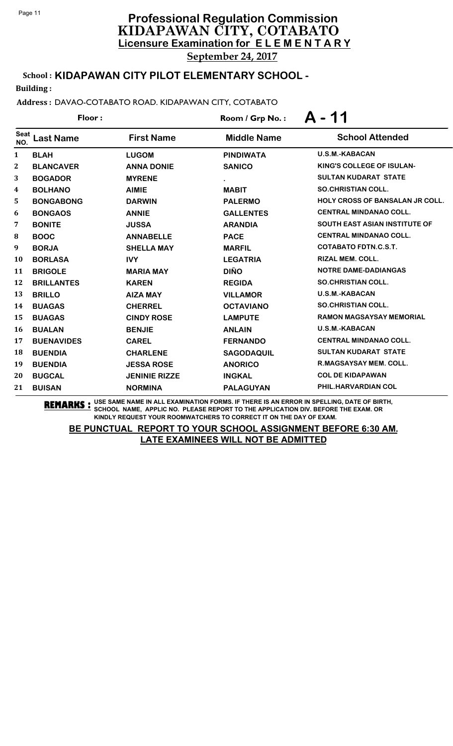School : **KIDAPAWAN CITY PILOT ELEMENTARY SCHOOL -**

Building :

Address : DAVAO-COTABATO ROAD. KIDAPAWAN CITY, COTABATO

| Floor:             |                   |                      | Room / Grp No.:    | - 11<br>Д                              |
|--------------------|-------------------|----------------------|--------------------|----------------------------------------|
| <b>Seat</b><br>NO. | <b>Last Name</b>  | <b>First Name</b>    | <b>Middle Name</b> | <b>School Attended</b>                 |
| 1                  | <b>BLAH</b>       | <b>LUGOM</b>         | <b>PINDIWATA</b>   | <b>U.S.M.-KABACAN</b>                  |
| $\bf{2}$           | <b>BLANCAVER</b>  | <b>ANNA DONIE</b>    | <b>SANICO</b>      | KING'S COLLEGE OF ISULAN-              |
| 3                  | <b>BOGADOR</b>    | <b>MYRENE</b>        |                    | <b>SULTAN KUDARAT STATE</b>            |
| 4                  | <b>BOLHANO</b>    | <b>AIMIE</b>         | <b>MABIT</b>       | <b>SO.CHRISTIAN COLL.</b>              |
| 5                  | <b>BONGABONG</b>  | <b>DARWIN</b>        | <b>PALERMO</b>     | <b>HOLY CROSS OF BANSALAN JR COLL.</b> |
| 6                  | <b>BONGAOS</b>    | <b>ANNIE</b>         | <b>GALLENTES</b>   | <b>CENTRAL MINDANAO COLL.</b>          |
| 7                  | <b>BONITE</b>     | <b>JUSSA</b>         | <b>ARANDIA</b>     | <b>SOUTH EAST ASIAN INSTITUTE OF</b>   |
| ${\bf 8}$          | <b>BOOC</b>       | <b>ANNABELLE</b>     | <b>PACE</b>        | <b>CENTRAL MINDANAO COLL.</b>          |
| 9                  | <b>BORJA</b>      | <b>SHELLA MAY</b>    | <b>MARFIL</b>      | <b>COTABATO FDTN.C.S.T.</b>            |
| 10                 | <b>BORLASA</b>    | <b>IVY</b>           | <b>LEGATRIA</b>    | RIZAL MEM. COLL.                       |
| 11                 | <b>BRIGOLE</b>    | <b>MARIA MAY</b>     | <b>DIÑO</b>        | <b>NOTRE DAME-DADIANGAS</b>            |
| 12                 | <b>BRILLANTES</b> | <b>KAREN</b>         | <b>REGIDA</b>      | <b>SO.CHRISTIAN COLL.</b>              |
| 13                 | <b>BRILLO</b>     | <b>AIZA MAY</b>      | <b>VILLAMOR</b>    | <b>U.S.M.-KABACAN</b>                  |
| 14                 | <b>BUAGAS</b>     | <b>CHERREL</b>       | <b>OCTAVIANO</b>   | <b>SO.CHRISTIAN COLL.</b>              |
| 15                 | <b>BUAGAS</b>     | <b>CINDY ROSE</b>    | <b>LAMPUTE</b>     | <b>RAMON MAGSAYSAY MEMORIAL</b>        |
| 16                 | <b>BUALAN</b>     | <b>BENJIE</b>        | <b>ANLAIN</b>      | <b>U.S.M.-KABACAN</b>                  |
| 17                 | <b>BUENAVIDES</b> | <b>CAREL</b>         | <b>FERNANDO</b>    | <b>CENTRAL MINDANAO COLL.</b>          |
| 18                 | <b>BUENDIA</b>    | <b>CHARLENE</b>      | <b>SAGODAQUIL</b>  | <b>SULTAN KUDARAT STATE</b>            |
| 19                 | <b>BUENDIA</b>    | <b>JESSA ROSE</b>    | <b>ANORICO</b>     | <b>R.MAGSAYSAY MEM. COLL.</b>          |
| 20                 | <b>BUGCAL</b>     | <b>JENINIE RIZZE</b> | <b>INGKAL</b>      | <b>COL DE KIDAPAWAN</b>                |
| 21                 | <b>BUISAN</b>     | <b>NORMINA</b>       | <b>PALAGUYAN</b>   | PHIL.HARVARDIAN COL                    |

**REMARKS :** USE SAME NAME IN ALL EXAMINATION FORMS. IF THERE IS AN ERROR IN SPELLING, DATE OF BIRTH, SCHOOL NAME, APPLIC NO. PLEASE REPORT TO THE APPLICATION DIV. BEFORE THE EXAM. OR KINDLY REQUEST YOUR ROOMWATCHERS TO CORRECT IT ON THE DAY OF EXAM.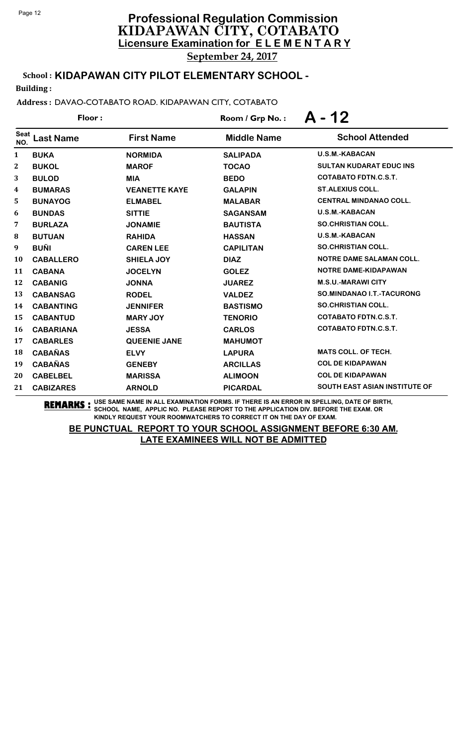# **Licensure Examination for E L E M E N T A R Y Professional Regulation Commission** KIDAPAWAN CITY, COTABATO

September 24, 2017

# School : **KIDAPAWAN CITY PILOT ELEMENTARY SCHOOL -**

Building :

### Address : DAVAO-COTABATO ROAD. KIDAPAWAN CITY, COTABATO

|                    | Floor:           |                      | Room / Grp No.:    | A - 12                               |
|--------------------|------------------|----------------------|--------------------|--------------------------------------|
| <b>Seat</b><br>NO. | <b>Last Name</b> | <b>First Name</b>    | <b>Middle Name</b> | <b>School Attended</b>               |
| 1                  | <b>BUKA</b>      | <b>NORMIDA</b>       | <b>SALIPADA</b>    | <b>U.S.M.-KABACAN</b>                |
| $\mathbf{2}$       | <b>BUKOL</b>     | <b>MAROF</b>         | <b>TOCAO</b>       | <b>SULTAN KUDARAT EDUC INS</b>       |
| 3                  | <b>BULOD</b>     | <b>MIA</b>           | <b>BEDO</b>        | <b>COTABATO FDTN.C.S.T.</b>          |
| 4                  | <b>BUMARAS</b>   | <b>VEANETTE KAYE</b> | <b>GALAPIN</b>     | <b>ST.ALEXIUS COLL.</b>              |
| 5                  | <b>BUNAYOG</b>   | <b>ELMABEL</b>       | <b>MALABAR</b>     | <b>CENTRAL MINDANAO COLL.</b>        |
| 6                  | <b>BUNDAS</b>    | <b>SITTIE</b>        | <b>SAGANSAM</b>    | <b>U.S.M.-KABACAN</b>                |
| 7                  | <b>BURLAZA</b>   | <b>JONAMIE</b>       | <b>BAUTISTA</b>    | <b>SO.CHRISTIAN COLL.</b>            |
| 8                  | <b>BUTUAN</b>    | <b>RAHIDA</b>        | <b>HASSAN</b>      | <b>U.S.M.-KABACAN</b>                |
| 9                  | <b>BUÑI</b>      | <b>CAREN LEE</b>     | <b>CAPILITAN</b>   | <b>SO.CHRISTIAN COLL.</b>            |
| 10                 | <b>CABALLERO</b> | <b>SHIELA JOY</b>    | <b>DIAZ</b>        | <b>NOTRE DAME SALAMAN COLL.</b>      |
| 11                 | <b>CABANA</b>    | <b>JOCELYN</b>       | <b>GOLEZ</b>       | NOTRE DAME-KIDAPAWAN                 |
| 12                 | <b>CABANIG</b>   | <b>JONNA</b>         | <b>JUAREZ</b>      | <b>M.S.U.-MARAWICITY</b>             |
| 13                 | <b>CABANSAG</b>  | <b>RODEL</b>         | <b>VALDEZ</b>      | SO.MINDANAO I.T.-TACURONG            |
| 14                 | <b>CABANTING</b> | <b>JENNIFER</b>      | <b>BASTISMO</b>    | <b>SO.CHRISTIAN COLL.</b>            |
| 15                 | <b>CABANTUD</b>  | <b>MARY JOY</b>      | <b>TENORIO</b>     | <b>COTABATO FDTN.C.S.T.</b>          |
| 16                 | <b>CABARIANA</b> | <b>JESSA</b>         | <b>CARLOS</b>      | <b>COTABATO FDTN.C.S.T.</b>          |
| 17                 | <b>CABARLES</b>  | <b>QUEENIE JANE</b>  | <b>MAHUMOT</b>     |                                      |
| 18                 | <b>CABAÑAS</b>   | <b>ELVY</b>          | <b>LAPURA</b>      | <b>MATS COLL. OF TECH.</b>           |
| 19                 | <b>CABAÑAS</b>   | <b>GENEBY</b>        | <b>ARCILLAS</b>    | <b>COL DE KIDAPAWAN</b>              |
| 20                 | <b>CABELBEL</b>  | <b>MARISSA</b>       | <b>ALIMOON</b>     | <b>COL DE KIDAPAWAN</b>              |
| 21                 | <b>CABIZARES</b> | <b>ARNOLD</b>        | <b>PICARDAL</b>    | <b>SOUTH EAST ASIAN INSTITUTE OF</b> |

**REMARKS :** USE SAME NAME IN ALL EXAMINATION FORMS. IF THERE IS AN ERROR IN SPELLING, DATE OF BIRTH, SCHOOL NAME, APPLIC NO. PLEASE REPORT TO THE APPLICATION DIV. BEFORE THE EXAM. OR KINDLY REQUEST YOUR ROOMWATCHERS TO CORRECT IT ON THE DAY OF EXAM.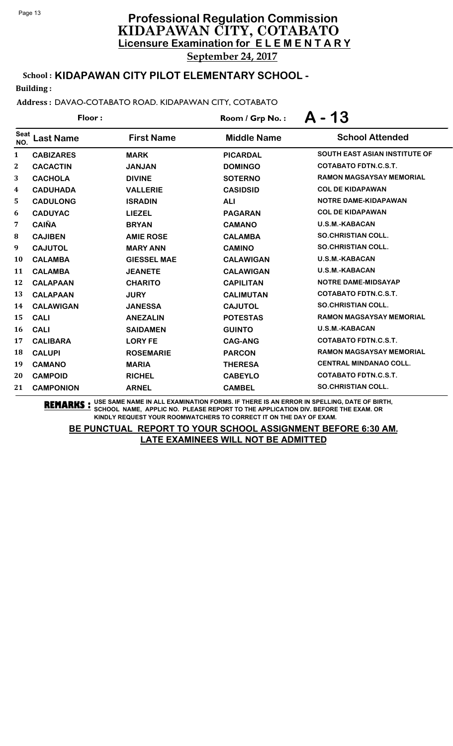# **Licensure Examination for E L E M E N T A R Y Professional Regulation Commission** KIDAPAWAN CITY, COTABATO September 24, 2017

School : **KIDAPAWAN CITY PILOT ELEMENTARY SCHOOL -**

Building :

Address : DAVAO-COTABATO ROAD. KIDAPAWAN CITY, COTABATO

| Floor:             |                  |                    | Room / Grp No.:    | A - 13                          |
|--------------------|------------------|--------------------|--------------------|---------------------------------|
| <b>Seat</b><br>NO. | <b>Last Name</b> | <b>First Name</b>  | <b>Middle Name</b> | <b>School Attended</b>          |
| $\mathbf{1}$       | <b>CABIZARES</b> | <b>MARK</b>        | <b>PICARDAL</b>    | SOUTH EAST ASIAN INSTITUTE OF   |
| $\boldsymbol{2}$   | <b>CACACTIN</b>  | <b>JANJAN</b>      | <b>DOMINGO</b>     | <b>COTABATO FDTN.C.S.T.</b>     |
| 3                  | <b>CACHOLA</b>   | <b>DIVINE</b>      | <b>SOTERNO</b>     | <b>RAMON MAGSAYSAY MEMORIAL</b> |
| $\boldsymbol{4}$   | <b>CADUHADA</b>  | <b>VALLERIE</b>    | <b>CASIDSID</b>    | <b>COL DE KIDAPAWAN</b>         |
| 5                  | <b>CADULONG</b>  | <b>ISRADIN</b>     | <b>ALI</b>         | <b>NOTRE DAME-KIDAPAWAN</b>     |
| 6                  | <b>CADUYAC</b>   | <b>LIEZEL</b>      | <b>PAGARAN</b>     | <b>COL DE KIDAPAWAN</b>         |
| 7                  | <b>CAIÑA</b>     | <b>BRYAN</b>       | <b>CAMANO</b>      | <b>U.S.M.-KABACAN</b>           |
| 8                  | <b>CAJIBEN</b>   | <b>AMIE ROSE</b>   | <b>CALAMBA</b>     | <b>SO.CHRISTIAN COLL.</b>       |
| 9                  | <b>CAJUTOL</b>   | <b>MARY ANN</b>    | <b>CAMINO</b>      | <b>SO.CHRISTIAN COLL.</b>       |
| 10                 | <b>CALAMBA</b>   | <b>GIESSEL MAE</b> | <b>CALAWIGAN</b>   | <b>U.S.M.-KABACAN</b>           |
| 11                 | <b>CALAMBA</b>   | <b>JEANETE</b>     | <b>CALAWIGAN</b>   | <b>U.S.M.-KABACAN</b>           |
| 12                 | <b>CALAPAAN</b>  | <b>CHARITO</b>     | <b>CAPILITAN</b>   | <b>NOTRE DAME-MIDSAYAP</b>      |
| 13                 | <b>CALAPAAN</b>  | <b>JURY</b>        | <b>CALIMUTAN</b>   | <b>COTABATO FDTN.C.S.T.</b>     |
| 14                 | <b>CALAWIGAN</b> | <b>JANESSA</b>     | <b>CAJUTOL</b>     | <b>SO.CHRISTIAN COLL.</b>       |
| 15                 | <b>CALI</b>      | <b>ANEZALIN</b>    | <b>POTESTAS</b>    | <b>RAMON MAGSAYSAY MEMORIAL</b> |
| 16                 | <b>CALI</b>      | <b>SAIDAMEN</b>    | <b>GUINTO</b>      | <b>U.S.M.-KABACAN</b>           |
| 17                 | <b>CALIBARA</b>  | <b>LORY FE</b>     | <b>CAG-ANG</b>     | <b>COTABATO FDTN.C.S.T.</b>     |
| 18                 | <b>CALUPI</b>    | <b>ROSEMARIE</b>   | <b>PARCON</b>      | <b>RAMON MAGSAYSAY MEMORIAL</b> |
| 19                 | <b>CAMANO</b>    | <b>MARIA</b>       | <b>THERESA</b>     | <b>CENTRAL MINDANAO COLL.</b>   |
| 20                 | <b>CAMPOID</b>   | <b>RICHEL</b>      | <b>CABEYLO</b>     | <b>COTABATO FDTN.C.S.T.</b>     |
| 21                 | <b>CAMPONION</b> | <b>ARNEL</b>       | <b>CAMBEL</b>      | <b>SO.CHRISTIAN COLL.</b>       |

**REMARKS :** USE SAME NAME IN ALL EXAMINATION FORMS. IF THERE IS AN ERROR IN SPELLING, DATE OF BIRTH, SCHOOL NAME, APPLIC NO. PLEASE REPORT TO THE APPLICATION DIV. BEFORE THE EXAM. OR KINDLY REQUEST YOUR ROOMWATCHERS TO CORRECT IT ON THE DAY OF EXAM.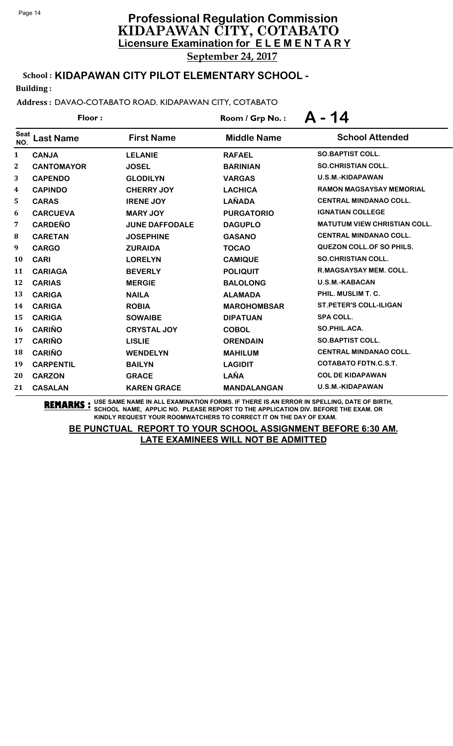School : **KIDAPAWAN CITY PILOT ELEMENTARY SCHOOL -**

Building :

Address : DAVAO-COTABATO ROAD. KIDAPAWAN CITY, COTABATO

| Floor:             |                   |                       | Room / Grp No.:    | $A - 14$                            |  |
|--------------------|-------------------|-----------------------|--------------------|-------------------------------------|--|
| <b>Seat</b><br>NO. | <b>Last Name</b>  | <b>First Name</b>     | <b>Middle Name</b> | <b>School Attended</b>              |  |
| 1                  | <b>CANJA</b>      | <b>LELANIE</b>        | <b>RAFAEL</b>      | <b>SO.BAPTIST COLL.</b>             |  |
| 2                  | <b>CANTOMAYOR</b> | <b>JOSEL</b>          | <b>BARINIAN</b>    | <b>SO.CHRISTIAN COLL.</b>           |  |
| 3                  | <b>CAPENDO</b>    | <b>GLODILYN</b>       | <b>VARGAS</b>      | U.S.M.-KIDAPAWAN                    |  |
| 4                  | <b>CAPINDO</b>    | <b>CHERRY JOY</b>     | <b>LACHICA</b>     | <b>RAMON MAGSAYSAY MEMORIAL</b>     |  |
| 5                  | <b>CARAS</b>      | <b>IRENE JOY</b>      | <b>LAÑADA</b>      | <b>CENTRAL MINDANAO COLL.</b>       |  |
| 6                  | <b>CARCUEVA</b>   | <b>MARY JOY</b>       | <b>PURGATORIO</b>  | <b>IGNATIAN COLLEGE</b>             |  |
| 7                  | <b>CARDEÑO</b>    | <b>JUNE DAFFODALE</b> | <b>DAGUPLO</b>     | <b>MATUTUM VIEW CHRISTIAN COLL.</b> |  |
| ${\bf 8}$          | <b>CARETAN</b>    | <b>JOSEPHINE</b>      | <b>GASANO</b>      | <b>CENTRAL MINDANAO COLL.</b>       |  |
| 9                  | <b>CARGO</b>      | <b>ZURAIDA</b>        | <b>TOCAO</b>       | <b>QUEZON COLL. OF SO PHILS.</b>    |  |
| 10                 | <b>CARI</b>       | <b>LORELYN</b>        | <b>CAMIQUE</b>     | <b>SO.CHRISTIAN COLL.</b>           |  |
| 11                 | <b>CARIAGA</b>    | <b>BEVERLY</b>        | <b>POLIQUIT</b>    | <b>R.MAGSAYSAY MEM. COLL.</b>       |  |
| 12                 | <b>CARIAS</b>     | <b>MERGIE</b>         | <b>BALOLONG</b>    | U.S.M.-KABACAN                      |  |
| 13                 | <b>CARIGA</b>     | <b>NAILA</b>          | <b>ALAMADA</b>     | PHIL. MUSLIM T. C.                  |  |
| 14                 | <b>CARIGA</b>     | <b>ROBIA</b>          | <b>MAROHOMBSAR</b> | <b>ST.PETER'S COLL-ILIGAN</b>       |  |
| 15                 | <b>CARIGA</b>     | <b>SOWAIBE</b>        | <b>DIPATUAN</b>    | <b>SPA COLL.</b>                    |  |
| 16                 | <b>CARIÑO</b>     | <b>CRYSTAL JOY</b>    | <b>COBOL</b>       | SO.PHIL.ACA.                        |  |
| 17                 | <b>CARIÑO</b>     | <b>LISLIE</b>         | <b>ORENDAIN</b>    | SO.BAPTIST COLL.                    |  |
| 18                 | <b>CARIÑO</b>     | <b>WENDELYN</b>       | <b>MAHILUM</b>     | <b>CENTRAL MINDANAO COLL.</b>       |  |
| 19                 | <b>CARPENTIL</b>  | <b>BAILYN</b>         | <b>LAGIDIT</b>     | <b>COTABATO FDTN.C.S.T.</b>         |  |
| 20                 | <b>CARZON</b>     | <b>GRACE</b>          | LAÑA               | <b>COL DE KIDAPAWAN</b>             |  |
| 21                 | <b>CASALAN</b>    | <b>KAREN GRACE</b>    | <b>MANDALANGAN</b> | U.S.M.-KIDAPAWAN                    |  |

**REMARKS :** USE SAME NAME IN ALL EXAMINATION FORMS. IF THERE IS AN ERROR IN SPELLING, DATE OF BIRTH, SCHOOL NAME, APPLIC NO. PLEASE REPORT TO THE APPLICATION DIV. BEFORE THE EXAM. OR KINDLY REQUEST YOUR ROOMWATCHERS TO CORRECT IT ON THE DAY OF EXAM.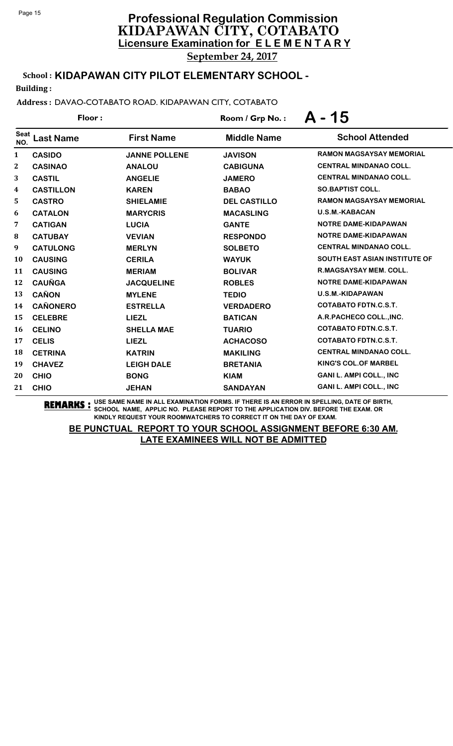# **Licensure Examination for E L E M E N T A R Y Professional Regulation Commission** KIDAPAWAN CITY, COTABATO

September 24, 2017

# School : **KIDAPAWAN CITY PILOT ELEMENTARY SCHOOL -**

Building :

Address : DAVAO-COTABATO ROAD. KIDAPAWAN CITY, COTABATO

| Floor:                  |                  |                      | Room / Grp No.:     | $A - 15$                             |  |
|-------------------------|------------------|----------------------|---------------------|--------------------------------------|--|
| <b>Seat</b><br>NO.      | <b>Last Name</b> | <b>First Name</b>    | <b>Middle Name</b>  | <b>School Attended</b>               |  |
| $\mathbf{1}$            | <b>CASIDO</b>    | <b>JANNE POLLENE</b> | <b>JAVISON</b>      | <b>RAMON MAGSAYSAY MEMORIAL</b>      |  |
| $\boldsymbol{2}$        | <b>CASINAO</b>   | <b>ANALOU</b>        | <b>CABIGUNA</b>     | <b>CENTRAL MINDANAO COLL.</b>        |  |
| 3                       | <b>CASTIL</b>    | <b>ANGELIE</b>       | <b>JAMERO</b>       | <b>CENTRAL MINDANAO COLL.</b>        |  |
| $\overline{\mathbf{4}}$ | <b>CASTILLON</b> | <b>KAREN</b>         | <b>BABAO</b>        | <b>SO.BAPTIST COLL.</b>              |  |
| 5                       | <b>CASTRO</b>    | <b>SHIELAMIE</b>     | <b>DEL CASTILLO</b> | <b>RAMON MAGSAYSAY MEMORIAL</b>      |  |
| 6                       | <b>CATALON</b>   | <b>MARYCRIS</b>      | <b>MACASLING</b>    | <b>U.S.M.-KABACAN</b>                |  |
| 7                       | <b>CATIGAN</b>   | <b>LUCIA</b>         | <b>GANTE</b>        | <b>NOTRE DAME-KIDAPAWAN</b>          |  |
| 8                       | <b>CATUBAY</b>   | <b>VEVIAN</b>        | <b>RESPONDO</b>     | <b>NOTRE DAME-KIDAPAWAN</b>          |  |
| 9                       | <b>CATULONG</b>  | <b>MERLYN</b>        | <b>SOLBETO</b>      | <b>CENTRAL MINDANAO COLL.</b>        |  |
| <b>10</b>               | <b>CAUSING</b>   | <b>CERILA</b>        | <b>WAYUK</b>        | <b>SOUTH EAST ASIAN INSTITUTE OF</b> |  |
| 11                      | <b>CAUSING</b>   | <b>MERIAM</b>        | <b>BOLIVAR</b>      | <b>R.MAGSAYSAY MEM. COLL.</b>        |  |
| 12                      | <b>CAUÑGA</b>    | <b>JACQUELINE</b>    | <b>ROBLES</b>       | <b>NOTRE DAME-KIDAPAWAN</b>          |  |
| 13                      | <b>CAÑON</b>     | <b>MYLENE</b>        | <b>TEDIO</b>        | <b>U.S.M.-KIDAPAWAN</b>              |  |
| 14                      | <b>CAÑONERO</b>  | <b>ESTRELLA</b>      | <b>VERDADERO</b>    | <b>COTABATO FDTN.C.S.T.</b>          |  |
| 15                      | <b>CELEBRE</b>   | <b>LIEZL</b>         | <b>BATICAN</b>      | A.R.PACHECO COLL., INC.              |  |
| <b>16</b>               | <b>CELINO</b>    | <b>SHELLA MAE</b>    | <b>TUARIO</b>       | <b>COTABATO FDTN.C.S.T.</b>          |  |
| 17                      | <b>CELIS</b>     | <b>LIEZL</b>         | <b>ACHACOSO</b>     | <b>COTABATO FDTN.C.S.T.</b>          |  |
| 18                      | <b>CETRINA</b>   | <b>KATRIN</b>        | <b>MAKILING</b>     | <b>CENTRAL MINDANAO COLL.</b>        |  |
| 19                      | <b>CHAVEZ</b>    | <b>LEIGH DALE</b>    | <b>BRETANIA</b>     | <b>KING'S COL.OF MARBEL</b>          |  |
| 20                      | <b>CHIO</b>      | <b>BONG</b>          | <b>KIAM</b>         | <b>GANI L. AMPI COLL., INC</b>       |  |
| 21                      | <b>CHIO</b>      | <b>JEHAN</b>         | <b>SANDAYAN</b>     | <b>GANI L. AMPI COLL., INC</b>       |  |

**REMARKS :** USE SAME NAME IN ALL EXAMINATION FORMS. IF THERE IS AN ERROR IN SPELLING, DATE OF BIRTH, SCHOOL NAME, APPLIC NO. PLEASE REPORT TO THE APPLICATION DIV. BEFORE THE EXAM. OR KINDLY REQUEST YOUR ROOMWATCHERS TO CORRECT IT ON THE DAY OF EXAM.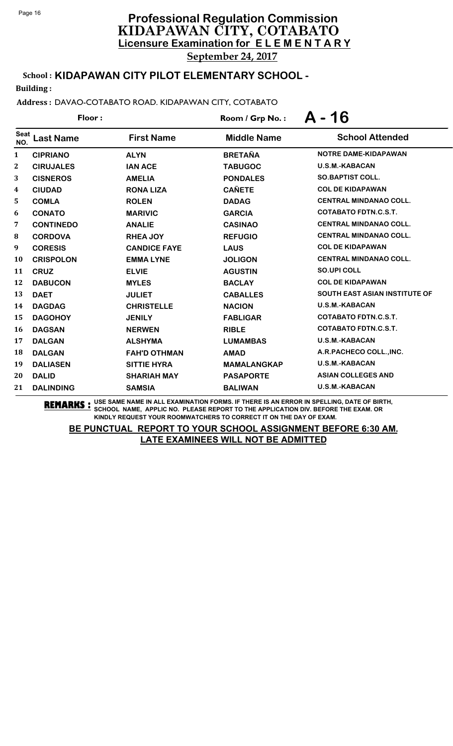School : **KIDAPAWAN CITY PILOT ELEMENTARY SCHOOL -**

Building :

Address : DAVAO-COTABATO ROAD. KIDAPAWAN CITY, COTABATO

| Floor:             |                  |                     | Room / Grp No.:    | A - 16                               |  |
|--------------------|------------------|---------------------|--------------------|--------------------------------------|--|
| <b>Seat</b><br>NO. | <b>Last Name</b> | <b>First Name</b>   | <b>Middle Name</b> | <b>School Attended</b>               |  |
| 1                  | <b>CIPRIANO</b>  | <b>ALYN</b>         | <b>BRETAÑA</b>     | <b>NOTRE DAME-KIDAPAWAN</b>          |  |
| $\mathbf{2}$       | <b>CIRUJALES</b> | <b>IAN ACE</b>      | <b>TABUGOC</b>     | <b>U.S.M.-KABACAN</b>                |  |
| 3                  | <b>CISNEROS</b>  | <b>AMELIA</b>       | <b>PONDALES</b>    | <b>SO.BAPTIST COLL.</b>              |  |
| 4                  | <b>CIUDAD</b>    | <b>RONA LIZA</b>    | <b>CAÑETE</b>      | <b>COL DE KIDAPAWAN</b>              |  |
| 5                  | <b>COMLA</b>     | <b>ROLEN</b>        | <b>DADAG</b>       | <b>CENTRAL MINDANAO COLL.</b>        |  |
| 6                  | <b>CONATO</b>    | <b>MARIVIC</b>      | <b>GARCIA</b>      | <b>COTABATO FDTN.C.S.T.</b>          |  |
| 7                  | <b>CONTINEDO</b> | <b>ANALIE</b>       | <b>CASINAO</b>     | <b>CENTRAL MINDANAO COLL.</b>        |  |
| 8                  | <b>CORDOVA</b>   | <b>RHEA JOY</b>     | <b>REFUGIO</b>     | <b>CENTRAL MINDANAO COLL.</b>        |  |
| 9                  | <b>CORESIS</b>   | <b>CANDICE FAYE</b> | <b>LAUS</b>        | <b>COL DE KIDAPAWAN</b>              |  |
| 10                 | <b>CRISPOLON</b> | <b>EMMALYNE</b>     | <b>JOLIGON</b>     | <b>CENTRAL MINDANAO COLL.</b>        |  |
| 11                 | <b>CRUZ</b>      | <b>ELVIE</b>        | <b>AGUSTIN</b>     | <b>SO.UPI COLL</b>                   |  |
| 12                 | <b>DABUCON</b>   | <b>MYLES</b>        | <b>BACLAY</b>      | <b>COL DE KIDAPAWAN</b>              |  |
| 13                 | <b>DAET</b>      | <b>JULIET</b>       | <b>CABALLES</b>    | <b>SOUTH EAST ASIAN INSTITUTE OF</b> |  |
| 14                 | <b>DAGDAG</b>    | <b>CHRISTELLE</b>   | <b>NACION</b>      | <b>U.S.M.-KABACAN</b>                |  |
| 15                 | <b>DAGOHOY</b>   | <b>JENILY</b>       | <b>FABLIGAR</b>    | <b>COTABATO FDTN.C.S.T.</b>          |  |
| 16                 | <b>DAGSAN</b>    | <b>NERWEN</b>       | <b>RIBLE</b>       | <b>COTABATO FDTN.C.S.T.</b>          |  |
| 17                 | <b>DALGAN</b>    | <b>ALSHYMA</b>      | <b>LUMAMBAS</b>    | U.S.M.-KABACAN                       |  |
| 18                 | <b>DALGAN</b>    | <b>FAH'D OTHMAN</b> | <b>AMAD</b>        | A.R.PACHECO COLL., INC.              |  |
| 19                 | <b>DALIASEN</b>  | <b>SITTIE HYRA</b>  | <b>MAMALANGKAP</b> | <b>U.S.M.-KABACAN</b>                |  |
| 20                 | <b>DALID</b>     | <b>SHARIAH MAY</b>  | <b>PASAPORTE</b>   | <b>ASIAN COLLEGES AND</b>            |  |
| 21                 | <b>DALINDING</b> | <b>SAMSIA</b>       | <b>BALIWAN</b>     | <b>U.S.M.-KABACAN</b>                |  |

**REMARKS :** USE SAME NAME IN ALL EXAMINATION FORMS. IF THERE IS AN ERROR IN SPELLING, DATE OF BIRTH, SCHOOL NAME, APPLIC NO. PLEASE REPORT TO THE APPLICATION DIV. BEFORE THE EXAM. OR KINDLY REQUEST YOUR ROOMWATCHERS TO CORRECT IT ON THE DAY OF EXAM.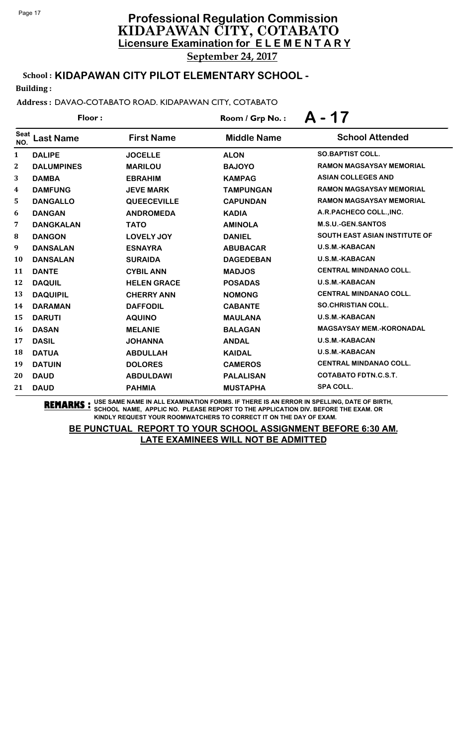# **Licensure Examination for E L E M E N T A R Y Professional Regulation Commission** KIDAPAWAN CITY, COTABATO

September 24, 2017

# School : **KIDAPAWAN CITY PILOT ELEMENTARY SCHOOL -**

Building :

### Address : DAVAO-COTABATO ROAD. KIDAPAWAN CITY, COTABATO

| Floor:             |                   |                    | Room / Grp No.:    | A - 17                               |  |
|--------------------|-------------------|--------------------|--------------------|--------------------------------------|--|
| <b>Seat</b><br>NO. | <b>Last Name</b>  | <b>First Name</b>  | <b>Middle Name</b> | <b>School Attended</b>               |  |
| $\mathbf{1}$       | <b>DALIPE</b>     | <b>JOCELLE</b>     | <b>ALON</b>        | <b>SO.BAPTIST COLL.</b>              |  |
| $\mathbf{2}$       | <b>DALUMPINES</b> | <b>MARILOU</b>     | <b>BAJOYO</b>      | <b>RAMON MAGSAYSAY MEMORIAL</b>      |  |
| 3                  | <b>DAMBA</b>      | <b>EBRAHIM</b>     | <b>KAMPAG</b>      | <b>ASIAN COLLEGES AND</b>            |  |
| 4                  | <b>DAMFUNG</b>    | <b>JEVE MARK</b>   | <b>TAMPUNGAN</b>   | <b>RAMON MAGSAYSAY MEMORIAL</b>      |  |
| 5                  | <b>DANGALLO</b>   | <b>QUEECEVILLE</b> | <b>CAPUNDAN</b>    | <b>RAMON MAGSAYSAY MEMORIAL</b>      |  |
| 6                  | <b>DANGAN</b>     | <b>ANDROMEDA</b>   | <b>KADIA</b>       | A.R.PACHECO COLL., INC.              |  |
| 7                  | <b>DANGKALAN</b>  | <b>TATO</b>        | <b>AMINOLA</b>     | <b>M.S.U.-GEN.SANTOS</b>             |  |
| $\bf{8}$           | <b>DANGON</b>     | <b>LOVELY JOY</b>  | <b>DANIEL</b>      | <b>SOUTH EAST ASIAN INSTITUTE OF</b> |  |
| 9                  | <b>DANSALAN</b>   | <b>ESNAYRA</b>     | <b>ABUBACAR</b>    | <b>U.S.M.-KABACAN</b>                |  |
| 10                 | <b>DANSALAN</b>   | <b>SURAIDA</b>     | <b>DAGEDEBAN</b>   | <b>U.S.M.-KABACAN</b>                |  |
| 11                 | <b>DANTE</b>      | <b>CYBIL ANN</b>   | <b>MADJOS</b>      | <b>CENTRAL MINDANAO COLL.</b>        |  |
| 12                 | <b>DAQUIL</b>     | <b>HELEN GRACE</b> | <b>POSADAS</b>     | <b>U.S.M.-KABACAN</b>                |  |
| 13                 | <b>DAQUIPIL</b>   | <b>CHERRY ANN</b>  | <b>NOMONG</b>      | <b>CENTRAL MINDANAO COLL.</b>        |  |
| 14                 | <b>DARAMAN</b>    | <b>DAFFODIL</b>    | <b>CABANTE</b>     | <b>SO.CHRISTIAN COLL.</b>            |  |
| 15                 | <b>DARUTI</b>     | <b>AQUINO</b>      | <b>MAULANA</b>     | <b>U.S.M.-KABACAN</b>                |  |
| <b>16</b>          | <b>DASAN</b>      | <b>MELANIE</b>     | <b>BALAGAN</b>     | <b>MAGSAYSAY MEM.-KORONADAL</b>      |  |
| 17                 | <b>DASIL</b>      | <b>JOHANNA</b>     | <b>ANDAL</b>       | <b>U.S.M.-KABACAN</b>                |  |
| <b>18</b>          | <b>DATUA</b>      | <b>ABDULLAH</b>    | <b>KAIDAL</b>      | <b>U.S.M.-KABACAN</b>                |  |
| 19                 | <b>DATUIN</b>     | <b>DOLORES</b>     | <b>CAMEROS</b>     | <b>CENTRAL MINDANAO COLL.</b>        |  |
| 20                 | <b>DAUD</b>       | <b>ABDULDAWI</b>   | <b>PALALISAN</b>   | <b>COTABATO FDTN.C.S.T.</b>          |  |
| 21                 | <b>DAUD</b>       | <b>PAHMIA</b>      | <b>MUSTAPHA</b>    | <b>SPA COLL.</b>                     |  |

**REMARKS :** USE SAME NAME IN ALL EXAMINATION FORMS. IF THERE IS AN ERROR IN SPELLING, DATE OF BIRTH, SCHOOL NAME, APPLIC NO. PLEASE REPORT TO THE APPLICATION DIV. BEFORE THE EXAM. OR KINDLY REQUEST YOUR ROOMWATCHERS TO CORRECT IT ON THE DAY OF EXAM.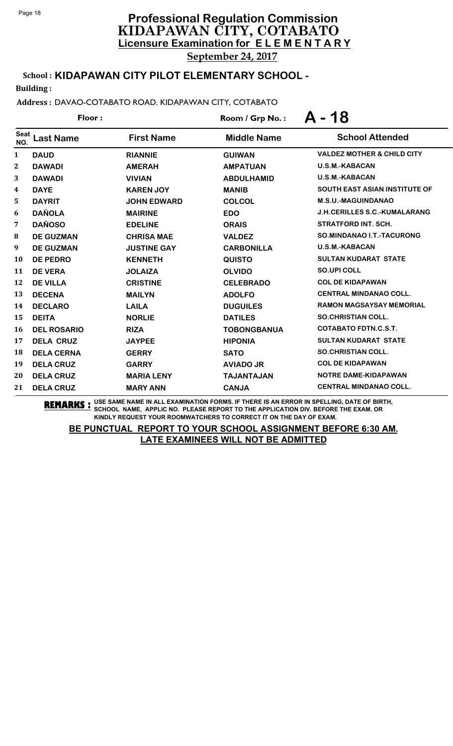# School : **KIDAPAWAN CITY PILOT ELEMENTARY SCHOOL -**

Building :

### Address : DAVAO-COTABATO ROAD. KIDAPAWAN CITY, COTABATO

| Floor:       |                    |                    | Room / Grp No.:    | $A - 18$                              |  |
|--------------|--------------------|--------------------|--------------------|---------------------------------------|--|
| Seat<br>NO.  | <b>Last Name</b>   | <b>First Name</b>  | <b>Middle Name</b> | <b>School Attended</b>                |  |
| 1            | <b>DAUD</b>        | <b>RIANNIE</b>     | <b>GUIWAN</b>      | <b>VALDEZ MOTHER &amp; CHILD CITY</b> |  |
| $\mathbf{2}$ | <b>DAWADI</b>      | <b>AMERAH</b>      | <b>AMPATUAN</b>    | <b>U.S.M.-KABACAN</b>                 |  |
| 3            | <b>DAWADI</b>      | <b>VIVIAN</b>      | <b>ABDULHAMID</b>  | <b>U.S.M.-KABACAN</b>                 |  |
| 4            | <b>DAYE</b>        | <b>KAREN JOY</b>   | <b>MANIB</b>       | <b>SOUTH EAST ASIAN INSTITUTE OF</b>  |  |
| 5            | <b>DAYRIT</b>      | <b>JOHN EDWARD</b> | <b>COLCOL</b>      | <b>M.S.U.-MAGUINDANAO</b>             |  |
| 6            | <b>DAÑOLA</b>      | <b>MAIRINE</b>     | <b>EDO</b>         | <b>J.H.CERILLES S.C.-KUMALARANG</b>   |  |
| 7            | <b>DAÑOSO</b>      | <b>EDELINE</b>     | <b>ORAIS</b>       | <b>STRATFORD INT. SCH.</b>            |  |
| 8            | <b>DE GUZMAN</b>   | <b>CHRISA MAE</b>  | <b>VALDEZ</b>      | SO.MINDANAO I.T.-TACURONG             |  |
| 9            | <b>DE GUZMAN</b>   | <b>JUSTINE GAY</b> | <b>CARBONILLA</b>  | <b>U.S.M.-KABACAN</b>                 |  |
| 10           | <b>DE PEDRO</b>    | <b>KENNETH</b>     | <b>QUISTO</b>      | <b>SULTAN KUDARAT STATE</b>           |  |
| 11           | <b>DE VERA</b>     | <b>JOLAIZA</b>     | <b>OLVIDO</b>      | <b>SO.UPI COLL</b>                    |  |
| 12           | <b>DE VILLA</b>    | <b>CRISTINE</b>    | <b>CELEBRADO</b>   | <b>COL DE KIDAPAWAN</b>               |  |
| 13           | <b>DECENA</b>      | <b>MAILYN</b>      | <b>ADOLFO</b>      | <b>CENTRAL MINDANAO COLL.</b>         |  |
| 14           | <b>DECLARO</b>     | <b>LAILA</b>       | <b>DUGUILES</b>    | <b>RAMON MAGSAYSAY MEMORIAL</b>       |  |
| 15           | <b>DEITA</b>       | <b>NORLIE</b>      | <b>DATILES</b>     | <b>SO.CHRISTIAN COLL.</b>             |  |
| 16           | <b>DEL ROSARIO</b> | <b>RIZA</b>        | <b>TOBONGBANUA</b> | <b>COTABATO FDTN.C.S.T.</b>           |  |
| 17           | <b>DELA CRUZ</b>   | <b>JAYPEE</b>      | <b>HIPONIA</b>     | <b>SULTAN KUDARAT STATE</b>           |  |
| 18           | <b>DELA CERNA</b>  | <b>GERRY</b>       | <b>SATO</b>        | <b>SO.CHRISTIAN COLL.</b>             |  |
| 19           | <b>DELA CRUZ</b>   | <b>GARRY</b>       | <b>AVIADO JR</b>   | <b>COL DE KIDAPAWAN</b>               |  |
| 20           | <b>DELA CRUZ</b>   | <b>MARIA LENY</b>  | <b>TAJANTAJAN</b>  | NOTRE DAME-KIDAPAWAN                  |  |
| 21           | <b>DELA CRUZ</b>   | <b>MARY ANN</b>    | <b>CANJA</b>       | <b>CENTRAL MINDANAO COLL.</b>         |  |

**REMARKS :** USE SAME NAME IN ALL EXAMINATION FORMS. IF THERE IS AN ERROR IN SPELLING, DATE OF BIRTH, SCHOOL NAME, APPLIC NO. PLEASE REPORT TO THE APPLICATION DIV. BEFORE THE EXAM. OR KINDLY REQUEST YOUR ROOMWATCHERS TO CORRECT IT ON THE DAY OF EXAM.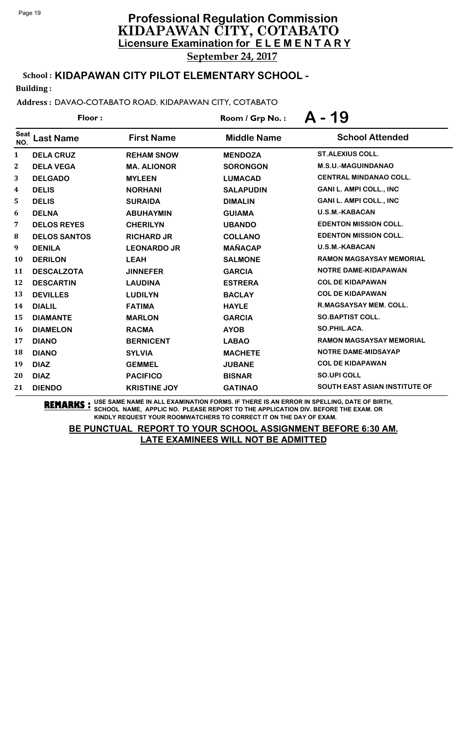School : **KIDAPAWAN CITY PILOT ELEMENTARY SCHOOL -**

Building :

Address : DAVAO-COTABATO ROAD. KIDAPAWAN CITY, COTABATO

| Floor:             |                     |                     | Room / Grp No.:    | A - 19                               |  |
|--------------------|---------------------|---------------------|--------------------|--------------------------------------|--|
| <b>Seat</b><br>NO. | <b>Last Name</b>    | <b>First Name</b>   | <b>Middle Name</b> | <b>School Attended</b>               |  |
| 1                  | <b>DELA CRUZ</b>    | <b>REHAM SNOW</b>   | <b>MENDOZA</b>     | <b>ST.ALEXIUS COLL.</b>              |  |
| 2                  | <b>DELA VEGA</b>    | <b>MA. ALIONOR</b>  | <b>SORONGON</b>    | <b>M.S.U.-MAGUINDANAO</b>            |  |
| 3                  | <b>DELGADO</b>      | <b>MYLEEN</b>       | <b>LUMACAD</b>     | <b>CENTRAL MINDANAO COLL.</b>        |  |
| 4                  | <b>DELIS</b>        | <b>NORHANI</b>      | <b>SALAPUDIN</b>   | <b>GANI L. AMPI COLL., INC</b>       |  |
| 5                  | <b>DELIS</b>        | <b>SURAIDA</b>      | <b>DIMALIN</b>     | <b>GANI L. AMPI COLL., INC</b>       |  |
| 6                  | <b>DELNA</b>        | <b>ABUHAYMIN</b>    | <b>GUIAMA</b>      | <b>U.S.M.-KABACAN</b>                |  |
| 7                  | <b>DELOS REYES</b>  | <b>CHERILYN</b>     | <b>UBANDO</b>      | <b>EDENTON MISSION COLL.</b>         |  |
| 8                  | <b>DELOS SANTOS</b> | <b>RICHARD JR</b>   | <b>COLLANO</b>     | <b>EDENTON MISSION COLL.</b>         |  |
| 9                  | <b>DENILA</b>       | <b>LEONARDO JR</b>  | <b>MAÑACAP</b>     | <b>U.S.M.-KABACAN</b>                |  |
| 10                 | <b>DERILON</b>      | <b>LEAH</b>         | <b>SALMONE</b>     | <b>RAMON MAGSAYSAY MEMORIAL</b>      |  |
| 11                 | <b>DESCALZOTA</b>   | <b>JINNEFER</b>     | <b>GARCIA</b>      | NOTRE DAME-KIDAPAWAN                 |  |
| 12                 | <b>DESCARTIN</b>    | <b>LAUDINA</b>      | <b>ESTRERA</b>     | <b>COL DE KIDAPAWAN</b>              |  |
| 13                 | <b>DEVILLES</b>     | <b>LUDILYN</b>      | <b>BACLAY</b>      | <b>COL DE KIDAPAWAN</b>              |  |
| 14                 | <b>DIALIL</b>       | <b>FATIMA</b>       | <b>HAYLE</b>       | <b>R.MAGSAYSAY MEM. COLL.</b>        |  |
| 15                 | <b>DIAMANTE</b>     | <b>MARLON</b>       | <b>GARCIA</b>      | <b>SO.BAPTIST COLL.</b>              |  |
| 16                 | <b>DIAMELON</b>     | <b>RACMA</b>        | <b>AYOB</b>        | SO.PHIL.ACA.                         |  |
| 17                 | <b>DIANO</b>        | <b>BERNICENT</b>    | <b>LABAO</b>       | <b>RAMON MAGSAYSAY MEMORIAL</b>      |  |
| 18                 | <b>DIANO</b>        | <b>SYLVIA</b>       | <b>MACHETE</b>     | NOTRE DAME-MIDSAYAP                  |  |
| 19                 | <b>DIAZ</b>         | <b>GEMMEL</b>       | <b>JUBANE</b>      | <b>COL DE KIDAPAWAN</b>              |  |
| 20                 | <b>DIAZ</b>         | <b>PACIFICO</b>     | <b>BISNAR</b>      | <b>SO.UPI COLL</b>                   |  |
| 21                 | <b>DIENDO</b>       | <b>KRISTINE JOY</b> | <b>GATINAO</b>     | <b>SOUTH EAST ASIAN INSTITUTE OF</b> |  |

**REMARKS :** USE SAME NAME IN ALL EXAMINATION FORMS. IF THERE IS AN ERROR IN SPELLING, DATE OF BIRTH, SCHOOL NAME, APPLIC NO. PLEASE REPORT TO THE APPLICATION DIV. BEFORE THE EXAM. OR KINDLY REQUEST YOUR ROOMWATCHERS TO CORRECT IT ON THE DAY OF EXAM.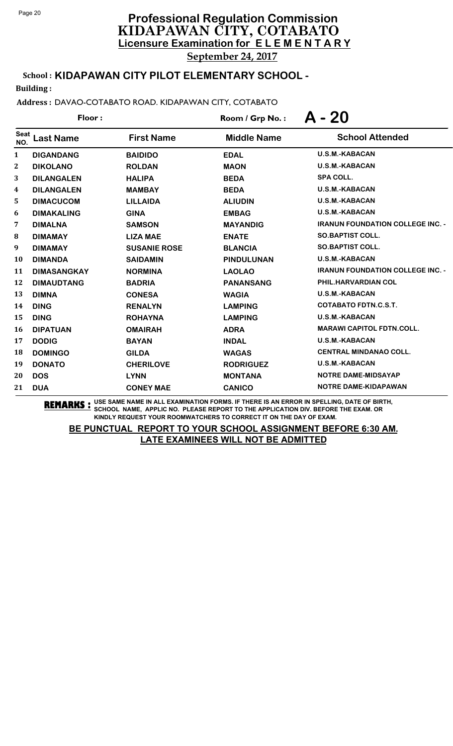School : **KIDAPAWAN CITY PILOT ELEMENTARY SCHOOL -**

Building :

Address : DAVAO-COTABATO ROAD. KIDAPAWAN CITY, COTABATO

| Floor:             |                    |                     | Room / Grp No.:    | $A - 20$                                |
|--------------------|--------------------|---------------------|--------------------|-----------------------------------------|
| <b>Seat</b><br>NO. | <b>Last Name</b>   | <b>First Name</b>   | <b>Middle Name</b> | <b>School Attended</b>                  |
| 1                  | <b>DIGANDANG</b>   | <b>BAIDIDO</b>      | <b>EDAL</b>        | <b>U.S.M.-KABACAN</b>                   |
| $\boldsymbol{2}$   | <b>DIKOLANO</b>    | <b>ROLDAN</b>       | <b>MAON</b>        | <b>U.S.M.-KABACAN</b>                   |
| 3                  | <b>DILANGALEN</b>  | <b>HALIPA</b>       | <b>BEDA</b>        | <b>SPA COLL.</b>                        |
| 4                  | <b>DILANGALEN</b>  | <b>MAMBAY</b>       | <b>BEDA</b>        | <b>U.S.M.-KABACAN</b>                   |
| 5                  | <b>DIMACUCOM</b>   | <b>LILLAIDA</b>     | <b>ALIUDIN</b>     | <b>U.S.M.-KABACAN</b>                   |
| 6                  | <b>DIMAKALING</b>  | <b>GINA</b>         | <b>EMBAG</b>       | <b>U.S.M.-KABACAN</b>                   |
| 7                  | <b>DIMALNA</b>     | <b>SAMSON</b>       | <b>MAYANDIG</b>    | <b>IRANUN FOUNDATION COLLEGE INC. -</b> |
| 8                  | <b>DIMAMAY</b>     | <b>LIZA MAE</b>     | <b>ENATE</b>       | <b>SO.BAPTIST COLL.</b>                 |
| 9                  | <b>DIMAMAY</b>     | <b>SUSANIE ROSE</b> | <b>BLANCIA</b>     | <b>SO.BAPTIST COLL.</b>                 |
| 10                 | <b>DIMANDA</b>     | <b>SAIDAMIN</b>     | <b>PINDULUNAN</b>  | <b>U.S.M.-KABACAN</b>                   |
| 11                 | <b>DIMASANGKAY</b> | <b>NORMINA</b>      | <b>LAOLAO</b>      | <b>IRANUN FOUNDATION COLLEGE INC. -</b> |
| 12                 | <b>DIMAUDTANG</b>  | <b>BADRIA</b>       | <b>PANANSANG</b>   | PHIL.HARVARDIAN COL                     |
| 13                 | <b>DIMNA</b>       | <b>CONESA</b>       | <b>WAGIA</b>       | <b>U.S.M.-KABACAN</b>                   |
| 14                 | <b>DING</b>        | <b>RENALYN</b>      | <b>LAMPING</b>     | <b>COTABATO FDTN.C.S.T.</b>             |
| 15                 | <b>DING</b>        | <b>ROHAYNA</b>      | <b>LAMPING</b>     | U.S.M.-KABACAN                          |
| 16                 | <b>DIPATUAN</b>    | <b>OMAIRAH</b>      | <b>ADRA</b>        | <b>MARAWI CAPITOL FDTN.COLL.</b>        |
| 17                 | <b>DODIG</b>       | <b>BAYAN</b>        | <b>INDAL</b>       | <b>U.S.M.-KABACAN</b>                   |
| 18                 | <b>DOMINGO</b>     | <b>GILDA</b>        | <b>WAGAS</b>       | <b>CENTRAL MINDANAO COLL.</b>           |
| 19                 | <b>DONATO</b>      | <b>CHERILOVE</b>    | <b>RODRIGUEZ</b>   | <b>U.S.M.-KABACAN</b>                   |
| 20                 | <b>DOS</b>         | <b>LYNN</b>         | <b>MONTANA</b>     | <b>NOTRE DAME-MIDSAYAP</b>              |
| 21                 | <b>DUA</b>         | <b>CONEY MAE</b>    | <b>CANICO</b>      | <b>NOTRE DAME-KIDAPAWAN</b>             |

**REMARKS :** USE SAME NAME IN ALL EXAMINATION FORMS. IF THERE IS AN ERROR IN SPELLING, DATE OF BIRTH, SCHOOL NAME, APPLIC NO. PLEASE REPORT TO THE APPLICATION DIV. BEFORE THE EXAM. OR KINDLY REQUEST YOUR ROOMWATCHERS TO CORRECT IT ON THE DAY OF EXAM.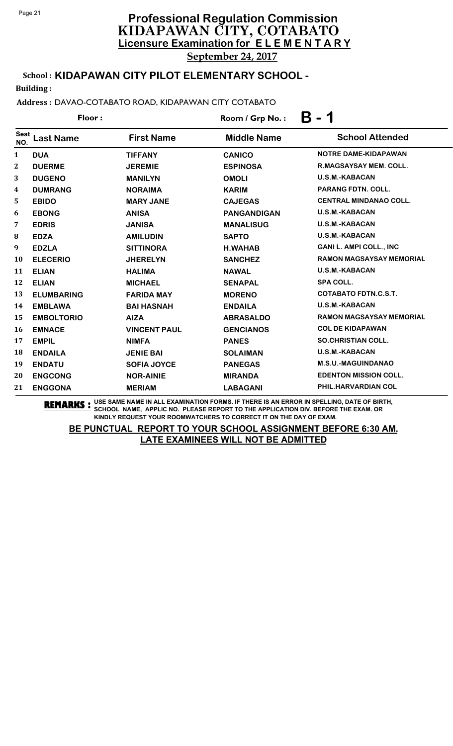School : **KIDAPAWAN CITY PILOT ELEMENTARY SCHOOL -**

Building :

Address : DAVAO-COTABATO ROAD, KIDAPAWAN CITY COTABATO

| Floor:             |                   |                     | Β<br>Room / Grp No.: |                                 |  |
|--------------------|-------------------|---------------------|----------------------|---------------------------------|--|
| <b>Seat</b><br>NO. | <b>Last Name</b>  | <b>First Name</b>   | <b>Middle Name</b>   | <b>School Attended</b>          |  |
| $\mathbf{1}$       | <b>DUA</b>        | <b>TIFFANY</b>      | <b>CANICO</b>        | NOTRE DAME-KIDAPAWAN            |  |
| $\boldsymbol{2}$   | <b>DUERME</b>     | <b>JEREMIE</b>      | <b>ESPINOSA</b>      | <b>R.MAGSAYSAY MEM. COLL.</b>   |  |
| 3                  | <b>DUGENO</b>     | <b>MANILYN</b>      | <b>OMOLI</b>         | <b>U.S.M.-KABACAN</b>           |  |
| 4                  | <b>DUMRANG</b>    | <b>NORAIMA</b>      | <b>KARIM</b>         | <b>PARANG FDTN, COLL.</b>       |  |
| 5                  | <b>EBIDO</b>      | <b>MARY JANE</b>    | <b>CAJEGAS</b>       | <b>CENTRAL MINDANAO COLL.</b>   |  |
| 6                  | <b>EBONG</b>      | <b>ANISA</b>        | <b>PANGANDIGAN</b>   | <b>U.S.M.-KABACAN</b>           |  |
| 7                  | <b>EDRIS</b>      | <b>JANISA</b>       | <b>MANALISUG</b>     | <b>U.S.M.-KABACAN</b>           |  |
| 8                  | <b>EDZA</b>       | <b>AMILUDIN</b>     | <b>SAPTO</b>         | <b>U.S.M.-KABACAN</b>           |  |
| 9                  | <b>EDZLA</b>      | <b>SITTINORA</b>    | <b>H.WAHAB</b>       | <b>GANI L. AMPI COLL., INC</b>  |  |
| 10                 | <b>ELECERIO</b>   | <b>JHERELYN</b>     | <b>SANCHEZ</b>       | <b>RAMON MAGSAYSAY MEMORIAL</b> |  |
| 11                 | <b>ELIAN</b>      | <b>HALIMA</b>       | <b>NAWAL</b>         | <b>U.S.M.-KABACAN</b>           |  |
| 12                 | <b>ELIAN</b>      | <b>MICHAEL</b>      | <b>SENAPAL</b>       | <b>SPA COLL.</b>                |  |
| 13                 | <b>ELUMBARING</b> | <b>FARIDA MAY</b>   | <b>MORENO</b>        | <b>COTABATO FDTN.C.S.T.</b>     |  |
| 14                 | <b>EMBLAWA</b>    | <b>BAI HASNAH</b>   | <b>ENDAILA</b>       | <b>U.S.M.-KABACAN</b>           |  |
| 15                 | <b>EMBOLTORIO</b> | <b>AIZA</b>         | <b>ABRASALDO</b>     | <b>RAMON MAGSAYSAY MEMORIAL</b> |  |
| 16                 | <b>EMNACE</b>     | <b>VINCENT PAUL</b> | <b>GENCIANOS</b>     | <b>COL DE KIDAPAWAN</b>         |  |
| 17                 | <b>EMPIL</b>      | <b>NIMFA</b>        | <b>PANES</b>         | <b>SO.CHRISTIAN COLL.</b>       |  |
| 18                 | <b>ENDAILA</b>    | <b>JENIE BAI</b>    | <b>SOLAIMAN</b>      | <b>U.S.M.-KABACAN</b>           |  |
| 19                 | <b>ENDATU</b>     | <b>SOFIA JOYCE</b>  | <b>PANEGAS</b>       | <b>M.S.U.-MAGUINDANAO</b>       |  |
| 20                 | <b>ENGCONG</b>    | <b>NOR-AINIE</b>    | <b>MIRANDA</b>       | <b>EDENTON MISSION COLL.</b>    |  |
| 21                 | <b>ENGGONA</b>    | <b>MERIAM</b>       | <b>LABAGANI</b>      | PHIL.HARVARDIAN COL             |  |

**REMARKS :** USE SAME NAME IN ALL EXAMINATION FORMS. IF THERE IS AN ERROR IN SPELLING, DATE OF BIRTH, SCHOOL NAME, APPLIC NO. PLEASE REPORT TO THE APPLICATION DIV. BEFORE THE EXAM. OR KINDLY REQUEST YOUR ROOMWATCHERS TO CORRECT IT ON THE DAY OF EXAM.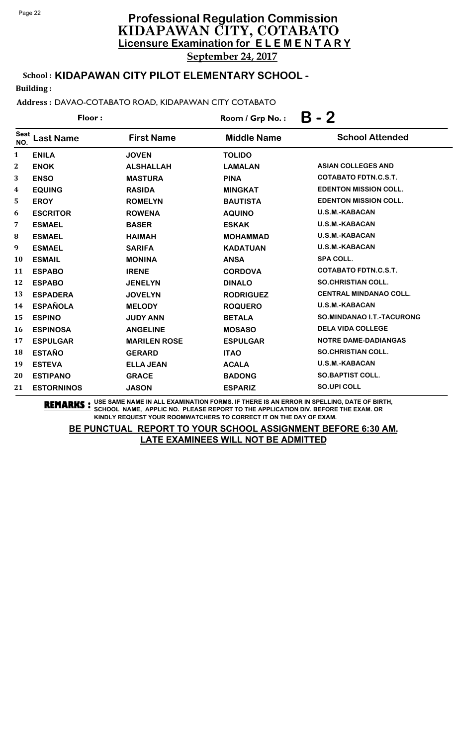School : **KIDAPAWAN CITY PILOT ELEMENTARY SCHOOL -**

Building :

Address : DAVAO-COTABATO ROAD, KIDAPAWAN CITY COTABATO

| Floor:             |                   |                     | Room / Grp No.:    | $B - 2$                       |  |
|--------------------|-------------------|---------------------|--------------------|-------------------------------|--|
| <b>Seat</b><br>NO. | <b>Last Name</b>  | <b>First Name</b>   | <b>Middle Name</b> | <b>School Attended</b>        |  |
| $\mathbf{1}$       | <b>ENILA</b>      | <b>JOVEN</b>        | <b>TOLIDO</b>      |                               |  |
| $\boldsymbol{2}$   | <b>ENOK</b>       | <b>ALSHALLAH</b>    | <b>LAMALAN</b>     | <b>ASIAN COLLEGES AND</b>     |  |
| 3                  | <b>ENSO</b>       | <b>MASTURA</b>      | <b>PINA</b>        | COTABATO FDTN.C.S.T.          |  |
| 4                  | <b>EQUING</b>     | <b>RASIDA</b>       | <b>MINGKAT</b>     | <b>EDENTON MISSION COLL.</b>  |  |
| 5                  | <b>EROY</b>       | <b>ROMELYN</b>      | <b>BAUTISTA</b>    | <b>EDENTON MISSION COLL.</b>  |  |
| 6                  | <b>ESCRITOR</b>   | <b>ROWENA</b>       | <b>AQUINO</b>      | U.S.M.-KABACAN                |  |
| 7                  | <b>ESMAEL</b>     | <b>BASER</b>        | <b>ESKAK</b>       | <b>U.S.M.-KABACAN</b>         |  |
| 8                  | <b>ESMAEL</b>     | <b>HAIMAH</b>       | <b>MOHAMMAD</b>    | <b>U.S.M.-KABACAN</b>         |  |
| 9                  | <b>ESMAEL</b>     | <b>SARIFA</b>       | <b>KADATUAN</b>    | <b>U.S.M.-KABACAN</b>         |  |
| <b>10</b>          | <b>ESMAIL</b>     | <b>MONINA</b>       | <b>ANSA</b>        | <b>SPA COLL.</b>              |  |
| 11                 | <b>ESPABO</b>     | <b>IRENE</b>        | <b>CORDOVA</b>     | <b>COTABATO FDTN.C.S.T.</b>   |  |
| 12                 | <b>ESPABO</b>     | <b>JENELYN</b>      | <b>DINALO</b>      | <b>SO.CHRISTIAN COLL.</b>     |  |
| 13                 | <b>ESPADERA</b>   | <b>JOVELYN</b>      | <b>RODRIGUEZ</b>   | <b>CENTRAL MINDANAO COLL.</b> |  |
| 14                 | <b>ESPAÑOLA</b>   | <b>MELODY</b>       | <b>ROQUERO</b>     | <b>U.S.M.-KABACAN</b>         |  |
| 15                 | <b>ESPINO</b>     | <b>JUDY ANN</b>     | <b>BETALA</b>      | SO.MINDANAO I.T.-TACURONG     |  |
| 16                 | <b>ESPINOSA</b>   | <b>ANGELINE</b>     | <b>MOSASO</b>      | <b>DELA VIDA COLLEGE</b>      |  |
| 17                 | <b>ESPULGAR</b>   | <b>MARILEN ROSE</b> | <b>ESPULGAR</b>    | <b>NOTRE DAME-DADIANGAS</b>   |  |
| 18                 | <b>ESTAÑO</b>     | <b>GERARD</b>       | <b>ITAO</b>        | <b>SO.CHRISTIAN COLL.</b>     |  |
| 19                 | <b>ESTEVA</b>     | <b>ELLA JEAN</b>    | <b>ACALA</b>       | <b>U.S.M.-KABACAN</b>         |  |
| 20                 | <b>ESTIPANO</b>   | <b>GRACE</b>        | <b>BADONG</b>      | <b>SO.BAPTIST COLL.</b>       |  |
| 21                 | <b>ESTORNINOS</b> | <b>JASON</b>        | <b>ESPARIZ</b>     | <b>SO.UPI COLL</b>            |  |

**REMARKS :** USE SAME NAME IN ALL EXAMINATION FORMS. IF THERE IS AN ERROR IN SPELLING, DATE OF BIRTH, SCHOOL NAME, APPLIC NO. PLEASE REPORT TO THE APPLICATION DIV. BEFORE THE EXAM. OR KINDLY REQUEST YOUR ROOMWATCHERS TO CORRECT IT ON THE DAY OF EXAM.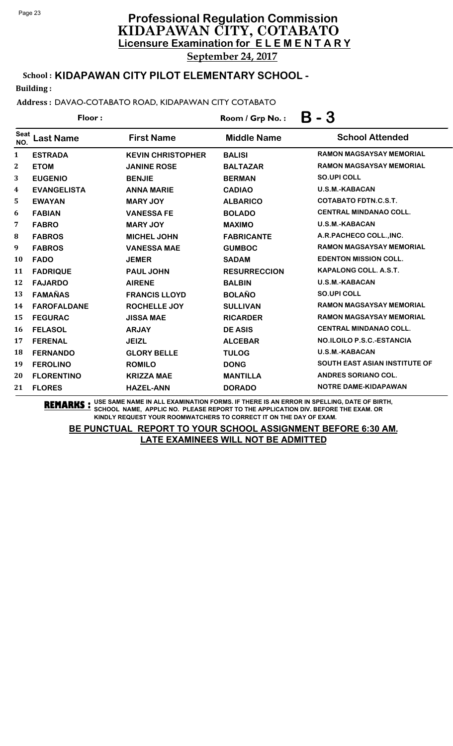# **Licensure Examination for E L E M E N T A R Y Professional Regulation Commission** KIDAPAWAN CITY, COTABATO September 24, 2017

School : **KIDAPAWAN CITY PILOT ELEMENTARY SCHOOL -**

Building :

Address : DAVAO-COTABATO ROAD, KIDAPAWAN CITY COTABATO

| Floor:             |                    |                          | - 3<br>Β<br>Room / Grp No.: |                                      |  |
|--------------------|--------------------|--------------------------|-----------------------------|--------------------------------------|--|
| <b>Seat</b><br>NO. | <b>Last Name</b>   | <b>First Name</b>        | <b>Middle Name</b>          | <b>School Attended</b>               |  |
| 1                  | <b>ESTRADA</b>     | <b>KEVIN CHRISTOPHER</b> | <b>BALISI</b>               | <b>RAMON MAGSAYSAY MEMORIAL</b>      |  |
| $\mathbf{2}$       | <b>ETOM</b>        | <b>JANINE ROSE</b>       | <b>BALTAZAR</b>             | <b>RAMON MAGSAYSAY MEMORIAL</b>      |  |
| 3                  | <b>EUGENIO</b>     | <b>BENJIE</b>            | <b>BERMAN</b>               | <b>SO.UPI COLL</b>                   |  |
| 4                  | <b>EVANGELISTA</b> | <b>ANNA MARIE</b>        | <b>CADIAO</b>               | <b>U.S.M.-KABACAN</b>                |  |
| 5                  | <b>EWAYAN</b>      | <b>MARY JOY</b>          | <b>ALBARICO</b>             | <b>COTABATO FDTN.C.S.T.</b>          |  |
| 6                  | <b>FABIAN</b>      | <b>VANESSA FE</b>        | <b>BOLADO</b>               | <b>CENTRAL MINDANAO COLL.</b>        |  |
| 7                  | <b>FABRO</b>       | <b>MARY JOY</b>          | <b>MAXIMO</b>               | <b>U.S.M.-KABACAN</b>                |  |
| 8                  | <b>FABROS</b>      | <b>MICHEL JOHN</b>       | <b>FABRICANTE</b>           | A.R.PACHECO COLL., INC.              |  |
| 9                  | <b>FABROS</b>      | <b>VANESSA MAE</b>       | <b>GUMBOC</b>               | <b>RAMON MAGSAYSAY MEMORIAL</b>      |  |
| 10                 | <b>FADO</b>        | <b>JEMER</b>             | <b>SADAM</b>                | <b>EDENTON MISSION COLL.</b>         |  |
| 11                 | <b>FADRIQUE</b>    | <b>PAUL JOHN</b>         | <b>RESURRECCION</b>         | <b>KAPALONG COLL. A.S.T.</b>         |  |
| 12                 | <b>FAJARDO</b>     | <b>AIRENE</b>            | <b>BALBIN</b>               | <b>U.S.M.-KABACAN</b>                |  |
| 13                 | <b>FAMAÑAS</b>     | <b>FRANCIS LLOYD</b>     | <b>BOLAÑO</b>               | <b>SO.UPI COLL</b>                   |  |
| 14                 | <b>FAROFALDANE</b> | <b>ROCHELLE JOY</b>      | <b>SULLIVAN</b>             | <b>RAMON MAGSAYSAY MEMORIAL</b>      |  |
| 15                 | <b>FEGURAC</b>     | <b>JISSA MAE</b>         | <b>RICARDER</b>             | <b>RAMON MAGSAYSAY MEMORIAL</b>      |  |
| 16                 | <b>FELASOL</b>     | <b>ARJAY</b>             | <b>DE ASIS</b>              | <b>CENTRAL MINDANAO COLL.</b>        |  |
| 17                 | <b>FERENAL</b>     | <b>JEIZL</b>             | <b>ALCEBAR</b>              | <b>NO.ILOILO P.S.C.-ESTANCIA</b>     |  |
| 18                 | <b>FERNANDO</b>    | <b>GLORY BELLE</b>       | <b>TULOG</b>                | <b>U.S.M.-KABACAN</b>                |  |
| 19                 | <b>FEROLINO</b>    | <b>ROMILO</b>            | <b>DONG</b>                 | <b>SOUTH EAST ASIAN INSTITUTE OF</b> |  |
| 20                 | <b>FLORENTINO</b>  | <b>KRIZZA MAE</b>        | <b>MANTILLA</b>             | <b>ANDRES SORIANO COL.</b>           |  |
| 21                 | <b>FLORES</b>      | <b>HAZEL-ANN</b>         | <b>DORADO</b>               | <b>NOTRE DAME-KIDAPAWAN</b>          |  |

**REMARKS :** USE SAME NAME IN ALL EXAMINATION FORMS. IF THERE IS AN ERROR IN SPELLING, DATE OF BIRTH, SCHOOL NAME, APPLIC NO. PLEASE REPORT TO THE APPLICATION DIV. BEFORE THE EXAM. OR KINDLY REQUEST YOUR ROOMWATCHERS TO CORRECT IT ON THE DAY OF EXAM.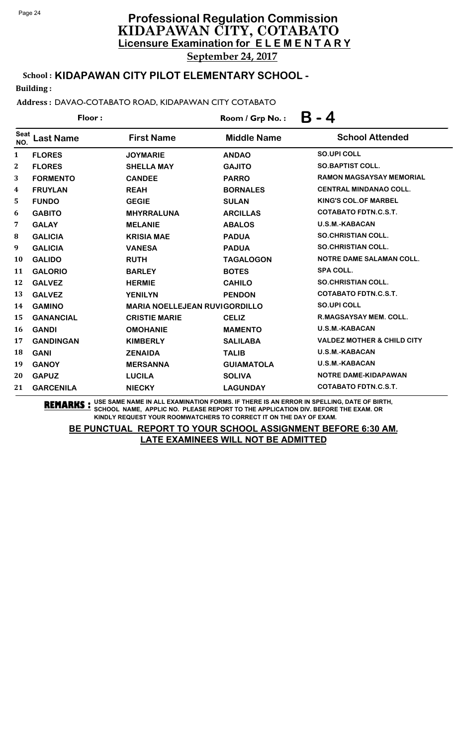School : **KIDAPAWAN CITY PILOT ELEMENTARY SCHOOL -**

Building :

Address : DAVAO-COTABATO ROAD, KIDAPAWAN CITY COTABATO

|                    | Floor:           |                                      | Room / Grp No.:    | Β<br>- 4                              |
|--------------------|------------------|--------------------------------------|--------------------|---------------------------------------|
| <b>Seat</b><br>NO. | <b>Last Name</b> | <b>First Name</b>                    | <b>Middle Name</b> | <b>School Attended</b>                |
| $\mathbf{1}$       | <b>FLORES</b>    | <b>JOYMARIE</b>                      | <b>ANDAO</b>       | <b>SO.UPI COLL</b>                    |
| 2                  | <b>FLORES</b>    | <b>SHELLA MAY</b>                    | <b>GAJITO</b>      | <b>SO.BAPTIST COLL.</b>               |
| 3                  | <b>FORMENTO</b>  | <b>CANDEE</b>                        | <b>PARRO</b>       | <b>RAMON MAGSAYSAY MEMORIAL</b>       |
| 4                  | <b>FRUYLAN</b>   | <b>REAH</b>                          | <b>BORNALES</b>    | <b>CENTRAL MINDANAO COLL.</b>         |
| 5                  | <b>FUNDO</b>     | <b>GEGIE</b>                         | <b>SULAN</b>       | <b>KING'S COL.OF MARBEL</b>           |
| 6                  | <b>GABITO</b>    | <b>MHYRRALUNA</b>                    | <b>ARCILLAS</b>    | <b>COTABATO FDTN.C.S.T.</b>           |
| 7                  | <b>GALAY</b>     | <b>MELANIE</b>                       | <b>ABALOS</b>      | <b>U.S.M.-KABACAN</b>                 |
| 8                  | <b>GALICIA</b>   | <b>KRISIA MAE</b>                    | <b>PADUA</b>       | <b>SO.CHRISTIAN COLL.</b>             |
| 9                  | <b>GALICIA</b>   | <b>VANESA</b>                        | <b>PADUA</b>       | <b>SO.CHRISTIAN COLL.</b>             |
| <b>10</b>          | <b>GALIDO</b>    | <b>RUTH</b>                          | <b>TAGALOGON</b>   | <b>NOTRE DAME SALAMAN COLL.</b>       |
| 11                 | <b>GALORIO</b>   | <b>BARLEY</b>                        | <b>BOTES</b>       | <b>SPA COLL.</b>                      |
| 12                 | <b>GALVEZ</b>    | <b>HERMIE</b>                        | <b>CAHILO</b>      | <b>SO.CHRISTIAN COLL.</b>             |
| 13                 | <b>GALVEZ</b>    | <b>YENILYN</b>                       | <b>PENDON</b>      | <b>COTABATO FDTN.C.S.T.</b>           |
| 14                 | <b>GAMINO</b>    | <b>MARIA NOELLEJEAN RUVIGORDILLO</b> |                    | <b>SO.UPI COLL</b>                    |
| 15                 | <b>GANANCIAL</b> | <b>CRISTIE MARIE</b>                 | <b>CELIZ</b>       | <b>R.MAGSAYSAY MEM. COLL.</b>         |
| 16                 | <b>GANDI</b>     | <b>OMOHANIE</b>                      | <b>MAMENTO</b>     | <b>U.S.M.-KABACAN</b>                 |
| 17                 | <b>GANDINGAN</b> | <b>KIMBERLY</b>                      | <b>SALILABA</b>    | <b>VALDEZ MOTHER &amp; CHILD CITY</b> |
| 18                 | <b>GANI</b>      | <b>ZENAIDA</b>                       | <b>TALIB</b>       | <b>U.S.M.-KABACAN</b>                 |
| 19                 | <b>GANOY</b>     | <b>MERSANNA</b>                      | <b>GUIAMATOLA</b>  | U.S.M.-KABACAN                        |
| 20                 | <b>GAPUZ</b>     | <b>LUCILA</b>                        | <b>SOLIVA</b>      | <b>NOTRE DAME-KIDAPAWAN</b>           |
| 21                 | <b>GARCENILA</b> | <b>NIECKY</b>                        | <b>LAGUNDAY</b>    | <b>COTABATO FDTN.C.S.T.</b>           |

**REMARKS :** USE SAME NAME IN ALL EXAMINATION FORMS. IF THERE IS AN ERROR IN SPELLING, DATE OF BIRTH, SCHOOL NAME, APPLIC NO. PLEASE REPORT TO THE APPLICATION DIV. BEFORE THE EXAM. OR KINDLY REQUEST YOUR ROOMWATCHERS TO CORRECT IT ON THE DAY OF EXAM.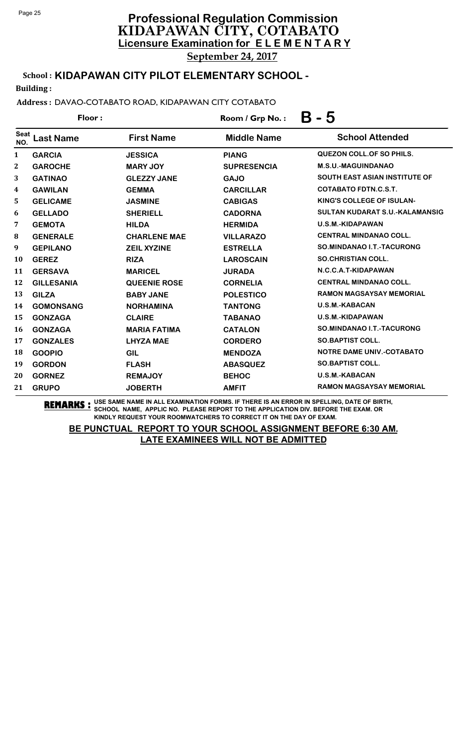School : **KIDAPAWAN CITY PILOT ELEMENTARY SCHOOL -**

Building :

Address : DAVAO-COTABATO ROAD, KIDAPAWAN CITY COTABATO

| Floor:             |                   |                     | Room / Grp No.:    | $B - 5$                              |  |
|--------------------|-------------------|---------------------|--------------------|--------------------------------------|--|
| <b>Seat</b><br>NO. | <b>Last Name</b>  | <b>First Name</b>   | <b>Middle Name</b> | <b>School Attended</b>               |  |
| 1                  | <b>GARCIA</b>     | <b>JESSICA</b>      | <b>PIANG</b>       | <b>QUEZON COLL. OF SO PHILS.</b>     |  |
| $\mathbf{2}$       | <b>GAROCHE</b>    | <b>MARY JOY</b>     | <b>SUPRESENCIA</b> | <b>M.S.U.-MAGUINDANAO</b>            |  |
| 3                  | <b>GATINAO</b>    | <b>GLEZZY JANE</b>  | <b>GAJO</b>        | <b>SOUTH EAST ASIAN INSTITUTE OF</b> |  |
| 4                  | <b>GAWILAN</b>    | <b>GEMMA</b>        | <b>CARCILLAR</b>   | <b>COTABATO FDTN.C.S.T.</b>          |  |
| 5                  | <b>GELICAME</b>   | <b>JASMINE</b>      | <b>CABIGAS</b>     | KING'S COLLEGE OF ISULAN-            |  |
| 6                  | <b>GELLADO</b>    | <b>SHERIELL</b>     | <b>CADORNA</b>     | SULTAN KUDARAT S.U.-KALAMANSIG       |  |
| 7                  | <b>GEMOTA</b>     | <b>HILDA</b>        | <b>HERMIDA</b>     | U.S.M.-KIDAPAWAN                     |  |
| 8                  | <b>GENERALE</b>   | <b>CHARLENE MAE</b> | <b>VILLARAZO</b>   | <b>CENTRAL MINDANAO COLL.</b>        |  |
| 9                  | <b>GEPILANO</b>   | <b>ZEIL XYZINE</b>  | <b>ESTRELLA</b>    | SO.MINDANAO I.T.-TACURONG            |  |
| <b>10</b>          | <b>GEREZ</b>      | <b>RIZA</b>         | <b>LAROSCAIN</b>   | <b>SO.CHRISTIAN COLL.</b>            |  |
| 11                 | <b>GERSAVA</b>    | <b>MARICEL</b>      | <b>JURADA</b>      | N.C.C.A.T-KIDAPAWAN                  |  |
| 12                 | <b>GILLESANIA</b> | <b>QUEENIE ROSE</b> | <b>CORNELIA</b>    | <b>CENTRAL MINDANAO COLL.</b>        |  |
| 13                 | <b>GILZA</b>      | <b>BABY JANE</b>    | <b>POLESTICO</b>   | <b>RAMON MAGSAYSAY MEMORIAL</b>      |  |
| 14                 | <b>GOMONSANG</b>  | <b>NORHAMINA</b>    | <b>TANTONG</b>     | U.S.M.-KABACAN                       |  |
| 15                 | <b>GONZAGA</b>    | <b>CLAIRE</b>       | <b>TABANAO</b>     | U.S.M.-KIDAPAWAN                     |  |
| 16                 | <b>GONZAGA</b>    | <b>MARIA FATIMA</b> | <b>CATALON</b>     | SO.MINDANAO I.T.-TACURONG            |  |
| 17                 | <b>GONZALES</b>   | <b>LHYZA MAE</b>    | <b>CORDERO</b>     | <b>SO.BAPTIST COLL.</b>              |  |
| 18                 | <b>GOOPIO</b>     | <b>GIL</b>          | <b>MENDOZA</b>     | <b>NOTRE DAME UNIV.-COTABATO</b>     |  |
| 19                 | <b>GORDON</b>     | <b>FLASH</b>        | <b>ABASQUEZ</b>    | <b>SO.BAPTIST COLL.</b>              |  |
| 20                 | <b>GORNEZ</b>     | <b>REMAJOY</b>      | <b>BEHOC</b>       | <b>U.S.M.-KABACAN</b>                |  |
| 21                 | <b>GRUPO</b>      | <b>JOBERTH</b>      | <b>AMFIT</b>       | <b>RAMON MAGSAYSAY MEMORIAL</b>      |  |

**REMARKS :** USE SAME NAME IN ALL EXAMINATION FORMS. IF THERE IS AN ERROR IN SPELLING, DATE OF BIRTH, SCHOOL NAME, APPLIC NO. PLEASE REPORT TO THE APPLICATION DIV. BEFORE THE EXAM. OR KINDLY REQUEST YOUR ROOMWATCHERS TO CORRECT IT ON THE DAY OF EXAM.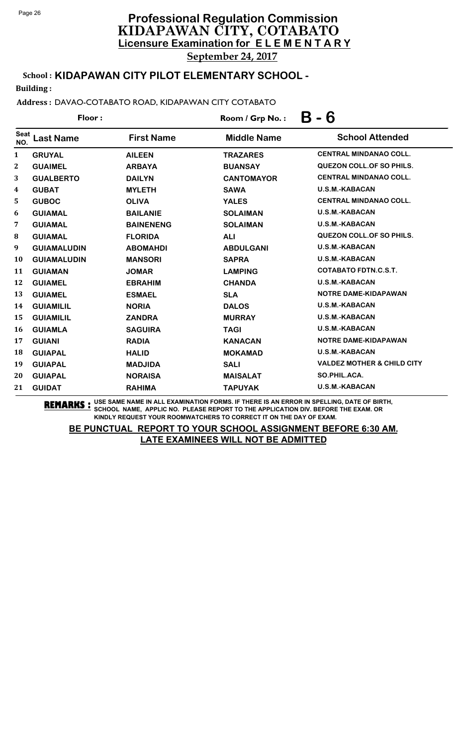School : **KIDAPAWAN CITY PILOT ELEMENTARY SCHOOL -**

Building :

Address : DAVAO-COTABATO ROAD, KIDAPAWAN CITY COTABATO

| Floor:             |                    |                   | Room / Grp No.:    | - 6<br>Β                              |  |
|--------------------|--------------------|-------------------|--------------------|---------------------------------------|--|
| <b>Seat</b><br>NO. | <b>Last Name</b>   | <b>First Name</b> | <b>Middle Name</b> | <b>School Attended</b>                |  |
| $\mathbf{1}$       | <b>GRUYAL</b>      | <b>AILEEN</b>     | <b>TRAZARES</b>    | <b>CENTRAL MINDANAO COLL.</b>         |  |
| $\mathbf{2}$       | <b>GUAIMEL</b>     | <b>ARBAYA</b>     | <b>BUANSAY</b>     | <b>QUEZON COLL.OF SO PHILS.</b>       |  |
| 3                  | <b>GUALBERTO</b>   | <b>DAILYN</b>     | <b>CANTOMAYOR</b>  | <b>CENTRAL MINDANAO COLL.</b>         |  |
| 4                  | <b>GUBAT</b>       | <b>MYLETH</b>     | <b>SAWA</b>        | <b>U.S.M.-KABACAN</b>                 |  |
| 5                  | <b>GUBOC</b>       | <b>OLIVA</b>      | <b>YALES</b>       | <b>CENTRAL MINDANAO COLL.</b>         |  |
| 6                  | <b>GUIAMAL</b>     | <b>BAILANIE</b>   | <b>SOLAIMAN</b>    | <b>U.S.M.-KABACAN</b>                 |  |
| 7                  | <b>GUIAMAL</b>     | <b>BAINENENG</b>  | <b>SOLAIMAN</b>    | <b>U.S.M.-KABACAN</b>                 |  |
| $\bf{8}$           | <b>GUIAMAL</b>     | <b>FLORIDA</b>    | <b>ALI</b>         | <b>QUEZON COLL. OF SO PHILS.</b>      |  |
| 9                  | <b>GUIAMALUDIN</b> | <b>ABOMAHDI</b>   | <b>ABDULGANI</b>   | <b>U.S.M.-KABACAN</b>                 |  |
| 10                 | <b>GUIAMALUDIN</b> | <b>MANSORI</b>    | <b>SAPRA</b>       | <b>U.S.M.-KABACAN</b>                 |  |
| 11                 | <b>GUIAMAN</b>     | <b>JOMAR</b>      | <b>LAMPING</b>     | <b>COTABATO FDTN.C.S.T.</b>           |  |
| 12                 | <b>GUIAMEL</b>     | <b>EBRAHIM</b>    | <b>CHANDA</b>      | <b>U.S.M.-KABACAN</b>                 |  |
| 13                 | <b>GUIAMEL</b>     | <b>ESMAEL</b>     | <b>SLA</b>         | <b>NOTRE DAME-KIDAPAWAN</b>           |  |
| 14                 | <b>GUIAMILIL</b>   | <b>NORIA</b>      | <b>DALOS</b>       | <b>U.S.M.-KABACAN</b>                 |  |
| 15                 | <b>GUIAMILIL</b>   | <b>ZANDRA</b>     | <b>MURRAY</b>      | <b>U.S.M.-KABACAN</b>                 |  |
| <b>16</b>          | <b>GUIAMLA</b>     | <b>SAGUIRA</b>    | <b>TAGI</b>        | U.S.M.-KABACAN                        |  |
| 17                 | <b>GUIANI</b>      | <b>RADIA</b>      | <b>KANACAN</b>     | <b>NOTRE DAME-KIDAPAWAN</b>           |  |
| 18                 | <b>GUIAPAL</b>     | <b>HALID</b>      | <b>MOKAMAD</b>     | <b>U.S.M.-KABACAN</b>                 |  |
| 19                 | <b>GUIAPAL</b>     | <b>MADJIDA</b>    | <b>SALI</b>        | <b>VALDEZ MOTHER &amp; CHILD CITY</b> |  |
| 20                 | <b>GUIAPAL</b>     | <b>NORAISA</b>    | <b>MAISALAT</b>    | SO.PHIL.ACA.                          |  |
| 21                 | <b>GUIDAT</b>      | <b>RAHIMA</b>     | <b>TAPUYAK</b>     | <b>U.S.M.-KABACAN</b>                 |  |

**REMARKS :** USE SAME NAME IN ALL EXAMINATION FORMS. IF THERE IS AN ERROR IN SPELLING, DATE OF BIRTH, SCHOOL NAME, APPLIC NO. PLEASE REPORT TO THE APPLICATION DIV. BEFORE THE EXAM. OR KINDLY REQUEST YOUR ROOMWATCHERS TO CORRECT IT ON THE DAY OF EXAM.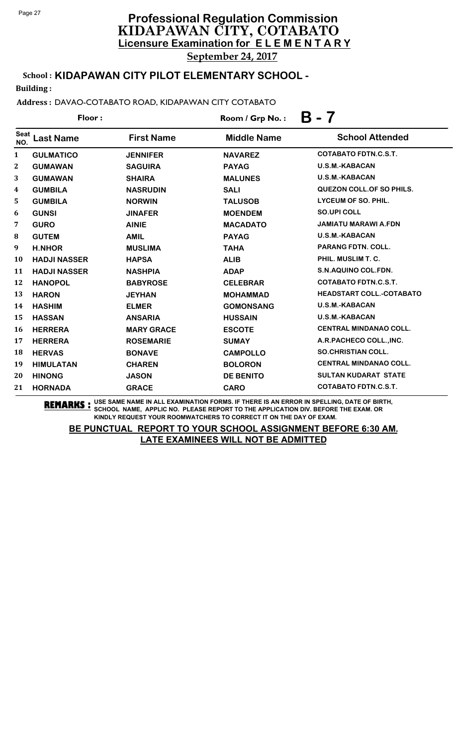# **Licensure Examination for E L E M E N T A R Y Professional Regulation Commission** KIDAPAWAN CITY, COTABATO September 24, 2017

School : **KIDAPAWAN CITY PILOT ELEMENTARY SCHOOL -**

Building :

Address : DAVAO-COTABATO ROAD, KIDAPAWAN CITY COTABATO

| Floor:       |                     |                   | B - 7<br>Room / Grp No.: |                                  |
|--------------|---------------------|-------------------|--------------------------|----------------------------------|
| Seat<br>NO.  | <b>Last Name</b>    | <b>First Name</b> | <b>Middle Name</b>       | <b>School Attended</b>           |
| $\mathbf{1}$ | <b>GULMATICO</b>    | <b>JENNIFER</b>   | <b>NAVAREZ</b>           | <b>COTABATO FDTN.C.S.T.</b>      |
| $\mathbf{2}$ | <b>GUMAWAN</b>      | <b>SAGUIRA</b>    | <b>PAYAG</b>             | <b>U.S.M.-KABACAN</b>            |
| 3            | <b>GUMAWAN</b>      | <b>SHAIRA</b>     | <b>MALUNES</b>           | U.S.M.-KABACAN                   |
| 4            | <b>GUMBILA</b>      | <b>NASRUDIN</b>   | <b>SALI</b>              | <b>QUEZON COLL. OF SO PHILS.</b> |
| 5            | <b>GUMBILA</b>      | <b>NORWIN</b>     | <b>TALUSOB</b>           | LYCEUM OF SO. PHIL.              |
| 6            | <b>GUNSI</b>        | <b>JINAFER</b>    | <b>MOENDEM</b>           | <b>SO.UPI COLL</b>               |
| 7            | <b>GURO</b>         | <b>AINIE</b>      | <b>MACADATO</b>          | <b>JAMIATU MARAWI A.FDN</b>      |
| 8            | <b>GUTEM</b>        | <b>AMIL</b>       | <b>PAYAG</b>             | <b>U.S.M.-KABACAN</b>            |
| 9            | <b>H.NHOR</b>       | <b>MUSLIMA</b>    | <b>TAHA</b>              | <b>PARANG FDTN, COLL.</b>        |
| 10           | <b>HADJI NASSER</b> | <b>HAPSA</b>      | <b>ALIB</b>              | PHIL. MUSLIM T. C.               |
| 11           | <b>HADJI NASSER</b> | <b>NASHPIA</b>    | <b>ADAP</b>              | S.N.AQUINO COL.FDN.              |
| 12           | <b>HANOPOL</b>      | <b>BABYROSE</b>   | <b>CELEBRAR</b>          | <b>COTABATO FDTN.C.S.T.</b>      |
| 13           | <b>HARON</b>        | <b>JEYHAN</b>     | <b>MOHAMMAD</b>          | <b>HEADSTART COLL.-COTABATO</b>  |
| 14           | <b>HASHIM</b>       | <b>ELMER</b>      | <b>GOMONSANG</b>         | <b>U.S.M.-KABACAN</b>            |
| 15           | <b>HASSAN</b>       | <b>ANSARIA</b>    | <b>HUSSAIN</b>           | <b>U.S.M.-KABACAN</b>            |
| 16           | <b>HERRERA</b>      | <b>MARY GRACE</b> | <b>ESCOTE</b>            | <b>CENTRAL MINDANAO COLL.</b>    |
| 17           | <b>HERRERA</b>      | <b>ROSEMARIE</b>  | <b>SUMAY</b>             | A.R.PACHECO COLL., INC.          |
| 18           | <b>HERVAS</b>       | <b>BONAVE</b>     | <b>CAMPOLLO</b>          | <b>SO.CHRISTIAN COLL.</b>        |
| 19           | <b>HIMULATAN</b>    | <b>CHAREN</b>     | <b>BOLORON</b>           | <b>CENTRAL MINDANAO COLL.</b>    |
| 20           | <b>HINONG</b>       | <b>JASON</b>      | <b>DE BENITO</b>         | <b>SULTAN KUDARAT STATE</b>      |
| 21           | <b>HORNADA</b>      | <b>GRACE</b>      | <b>CARO</b>              | <b>COTABATO FDTN.C.S.T.</b>      |

**REMARKS :** USE SAME NAME IN ALL EXAMINATION FORMS. IF THERE IS AN ERROR IN SPELLING, DATE OF BIRTH, SCHOOL NAME, APPLIC NO. PLEASE REPORT TO THE APPLICATION DIV. BEFORE THE EXAM. OR KINDLY REQUEST YOUR ROOMWATCHERS TO CORRECT IT ON THE DAY OF EXAM.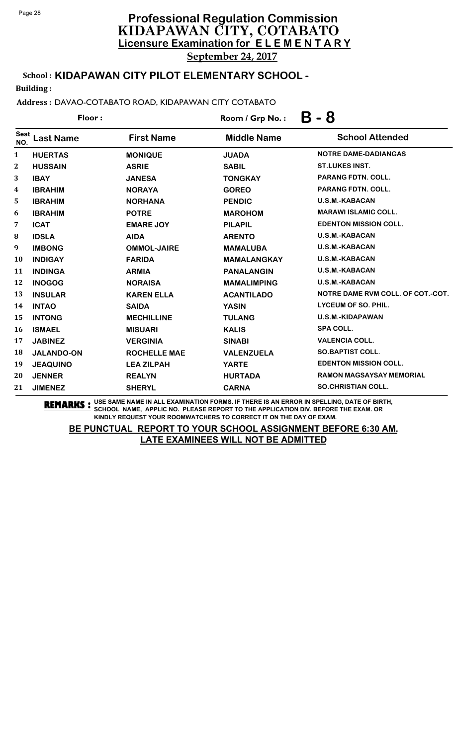School : **KIDAPAWAN CITY PILOT ELEMENTARY SCHOOL -**

Building :

Address : DAVAO-COTABATO ROAD, KIDAPAWAN CITY COTABATO

| Floor:             |                   |                     | Room / Grp No.:    | Β<br>- 8                          |  |
|--------------------|-------------------|---------------------|--------------------|-----------------------------------|--|
| <b>Seat</b><br>NO. | <b>Last Name</b>  | <b>First Name</b>   | <b>Middle Name</b> | <b>School Attended</b>            |  |
| 1                  | <b>HUERTAS</b>    | <b>MONIQUE</b>      | <b>JUADA</b>       | NOTRE DAME-DADIANGAS              |  |
| 2                  | <b>HUSSAIN</b>    | <b>ASRIE</b>        | <b>SABIL</b>       | <b>ST.LUKES INST.</b>             |  |
| 3                  | <b>IBAY</b>       | <b>JANESA</b>       | <b>TONGKAY</b>     | PARANG FDTN. COLL.                |  |
| 4                  | <b>IBRAHIM</b>    | <b>NORAYA</b>       | <b>GOREO</b>       | PARANG FDTN. COLL.                |  |
| 5                  | <b>IBRAHIM</b>    | <b>NORHANA</b>      | <b>PENDIC</b>      | <b>U.S.M.-KABACAN</b>             |  |
| 6                  | <b>IBRAHIM</b>    | <b>POTRE</b>        | <b>MAROHOM</b>     | <b>MARAWI ISLAMIC COLL.</b>       |  |
| 7                  | <b>ICAT</b>       | <b>EMARE JOY</b>    | <b>PILAPIL</b>     | <b>EDENTON MISSION COLL.</b>      |  |
| 8                  | <b>IDSLA</b>      | <b>AIDA</b>         | <b>ARENTO</b>      | <b>U.S.M.-KABACAN</b>             |  |
| 9                  | <b>IMBONG</b>     | <b>OMMOL-JAIRE</b>  | <b>MAMALUBA</b>    | <b>U.S.M.-KABACAN</b>             |  |
| 10                 | <b>INDIGAY</b>    | <b>FARIDA</b>       | <b>MAMALANGKAY</b> | U.S.M.-KABACAN                    |  |
| 11                 | <b>INDINGA</b>    | <b>ARMIA</b>        | <b>PANALANGIN</b>  | <b>U.S.M.-KABACAN</b>             |  |
| 12                 | <b>INOGOG</b>     | <b>NORAISA</b>      | <b>MAMALIMPING</b> | <b>U.S.M.-KABACAN</b>             |  |
| 13                 | <b>INSULAR</b>    | <b>KAREN ELLA</b>   | <b>ACANTILADO</b>  | NOTRE DAME RVM COLL. OF COT.-COT. |  |
| 14                 | <b>INTAO</b>      | <b>SAIDA</b>        | <b>YASIN</b>       | LYCEUM OF SO. PHIL.               |  |
| 15                 | <b>INTONG</b>     | <b>MECHILLINE</b>   | <b>TULANG</b>      | U.S.M.-KIDAPAWAN                  |  |
| 16                 | <b>ISMAEL</b>     | <b>MISUARI</b>      | <b>KALIS</b>       | <b>SPA COLL.</b>                  |  |
| 17                 | <b>JABINEZ</b>    | <b>VERGINIA</b>     | <b>SINABI</b>      | <b>VALENCIA COLL.</b>             |  |
| 18                 | <b>JALANDO-ON</b> | <b>ROCHELLE MAE</b> | <b>VALENZUELA</b>  | <b>SO.BAPTIST COLL.</b>           |  |
| 19                 | <b>JEAQUINO</b>   | <b>LEA ZILPAH</b>   | <b>YARTE</b>       | <b>EDENTON MISSION COLL.</b>      |  |
| 20                 | <b>JENNER</b>     | <b>REALYN</b>       | <b>HURTADA</b>     | RAMON MAGSAYSAY MEMORIAL          |  |
| 21                 | <b>JIMENEZ</b>    | <b>SHERYL</b>       | <b>CARNA</b>       | <b>SO.CHRISTIAN COLL.</b>         |  |

**REMARKS :** USE SAME NAME IN ALL EXAMINATION FORMS. IF THERE IS AN ERROR IN SPELLING, DATE OF BIRTH, SCHOOL NAME, APPLIC NO. PLEASE REPORT TO THE APPLICATION DIV. BEFORE THE EXAM. OR KINDLY REQUEST YOUR ROOMWATCHERS TO CORRECT IT ON THE DAY OF EXAM.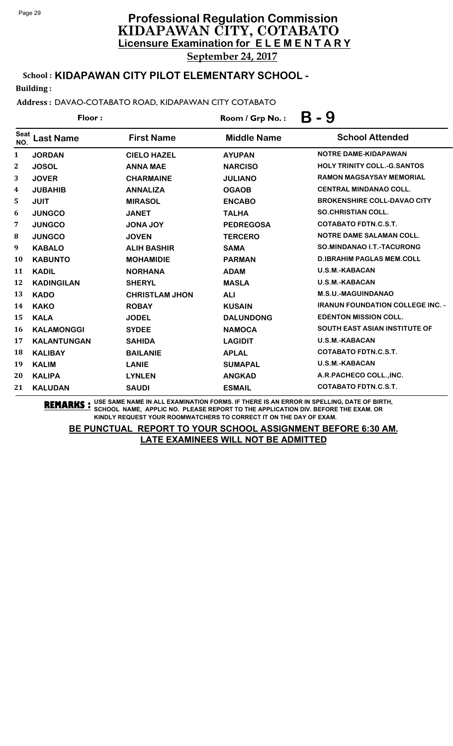School : **KIDAPAWAN CITY PILOT ELEMENTARY SCHOOL -**

Building :

Address : DAVAO-COTABATO ROAD, KIDAPAWAN CITY COTABATO

| Floor:                  |                    |                       | Room / Grp No.:    | Β<br>- 9                                |  |
|-------------------------|--------------------|-----------------------|--------------------|-----------------------------------------|--|
| <b>Seat</b><br>NO.      | <b>Last Name</b>   | <b>First Name</b>     | <b>Middle Name</b> | <b>School Attended</b>                  |  |
| $\mathbf{1}$            | <b>JORDAN</b>      | <b>CIELO HAZEL</b>    | <b>AYUPAN</b>      | NOTRE DAME-KIDAPAWAN                    |  |
| $\mathbf{2}$            | <b>JOSOL</b>       | <b>ANNA MAE</b>       | <b>NARCISO</b>     | <b>HOLY TRINITY COLL.-G.SANTOS</b>      |  |
| 3                       | <b>JOVER</b>       | <b>CHARMAINE</b>      | <b>JULIANO</b>     | <b>RAMON MAGSAYSAY MEMORIAL</b>         |  |
| $\overline{\mathbf{4}}$ | <b>JUBAHIB</b>     | <b>ANNALIZA</b>       | <b>OGAOB</b>       | <b>CENTRAL MINDANAO COLL.</b>           |  |
| 5                       | <b>JUIT</b>        | <b>MIRASOL</b>        | <b>ENCABO</b>      | <b>BROKENSHIRE COLL-DAVAO CITY</b>      |  |
| 6                       | <b>JUNGCO</b>      | <b>JANET</b>          | <b>TALHA</b>       | <b>SO.CHRISTIAN COLL.</b>               |  |
| 7                       | <b>JUNGCO</b>      | <b>JONA JOY</b>       | <b>PEDREGOSA</b>   | <b>COTABATO FDTN.C.S.T.</b>             |  |
| $\bf{8}$                | <b>JUNGCO</b>      | <b>JOVEN</b>          | <b>TERCERO</b>     | <b>NOTRE DAME SALAMAN COLL.</b>         |  |
| 9                       | <b>KABALO</b>      | <b>ALIH BASHIR</b>    | <b>SAMA</b>        | <b>SO.MINDANAO I.T.-TACURONG</b>        |  |
| 10                      | <b>KABUNTO</b>     | <b>MOHAMIDIE</b>      | <b>PARMAN</b>      | <b>D.IBRAHIM PAGLAS MEM.COLL</b>        |  |
| 11                      | <b>KADIL</b>       | <b>NORHANA</b>        | <b>ADAM</b>        | <b>U.S.M.-KABACAN</b>                   |  |
| 12                      | <b>KADINGILAN</b>  | <b>SHERYL</b>         | <b>MASLA</b>       | U.S.M.-KABACAN                          |  |
| 13                      | <b>KADO</b>        | <b>CHRISTLAM JHON</b> | <b>ALI</b>         | <b>M.S.U.-MAGUINDANAO</b>               |  |
| 14                      | <b>KAKO</b>        | <b>ROBAY</b>          | <b>KUSAIN</b>      | <b>IRANUN FOUNDATION COLLEGE INC. -</b> |  |
| 15                      | <b>KALA</b>        | <b>JODEL</b>          | <b>DALUNDONG</b>   | <b>EDENTON MISSION COLL.</b>            |  |
| 16                      | <b>KALAMONGGI</b>  | <b>SYDEE</b>          | <b>NAMOCA</b>      | <b>SOUTH EAST ASIAN INSTITUTE OF</b>    |  |
| 17                      | <b>KALANTUNGAN</b> | <b>SAHIDA</b>         | <b>LAGIDIT</b>     | <b>U.S.M.-KABACAN</b>                   |  |
| 18                      | <b>KALIBAY</b>     | <b>BAILANIE</b>       | <b>APLAL</b>       | <b>COTABATO FDTN.C.S.T.</b>             |  |
| 19                      | <b>KALIM</b>       | <b>LANIE</b>          | <b>SUMAPAL</b>     | <b>U.S.M.-KABACAN</b>                   |  |
| 20                      | <b>KALIPA</b>      | <b>LYNLEN</b>         | <b>ANGKAD</b>      | A.R.PACHECO COLL., INC.                 |  |
| 21                      | <b>KALUDAN</b>     | <b>SAUDI</b>          | <b>ESMAIL</b>      | <b>COTABATO FDTN.C.S.T.</b>             |  |

**REMARKS :** USE SAME NAME IN ALL EXAMINATION FORMS. IF THERE IS AN ERROR IN SPELLING, DATE OF BIRTH, SCHOOL NAME, APPLIC NO. PLEASE REPORT TO THE APPLICATION DIV. BEFORE THE EXAM. OR KINDLY REQUEST YOUR ROOMWATCHERS TO CORRECT IT ON THE DAY OF EXAM.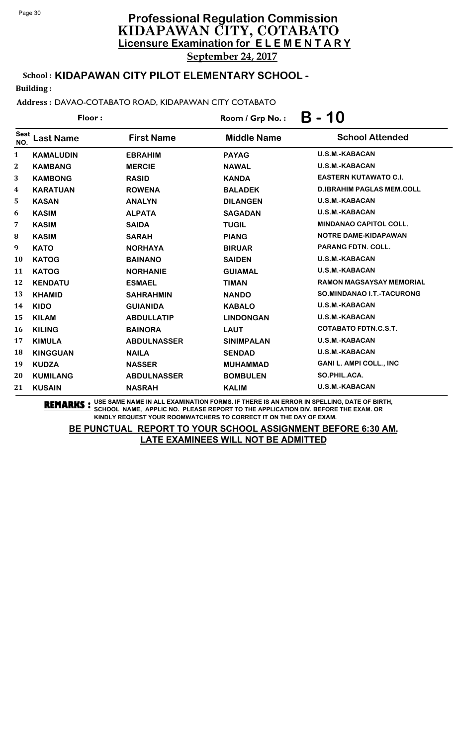School : **KIDAPAWAN CITY PILOT ELEMENTARY SCHOOL -**

Building :

Address : DAVAO-COTABATO ROAD, KIDAPAWAN CITY COTABATO

| Floor:             |                  |                    | Room / Grp No.:    | B - 10                           |  |
|--------------------|------------------|--------------------|--------------------|----------------------------------|--|
| <b>Seat</b><br>NO. | <b>Last Name</b> | <b>First Name</b>  | <b>Middle Name</b> | <b>School Attended</b>           |  |
| 1                  | <b>KAMALUDIN</b> | <b>EBRAHIM</b>     | <b>PAYAG</b>       | <b>U.S.M.-KABACAN</b>            |  |
| $\mathbf{2}$       | <b>KAMBANG</b>   | <b>MERCIE</b>      | <b>NAWAL</b>       | <b>U.S.M.-KABACAN</b>            |  |
| 3                  | <b>KAMBONG</b>   | <b>RASID</b>       | <b>KANDA</b>       | <b>EASTERN KUTAWATO C.I.</b>     |  |
| 4                  | <b>KARATUAN</b>  | <b>ROWENA</b>      | <b>BALADEK</b>     | <b>D.IBRAHIM PAGLAS MEM.COLL</b> |  |
| 5                  | <b>KASAN</b>     | <b>ANALYN</b>      | <b>DILANGEN</b>    | <b>U.S.M.-KABACAN</b>            |  |
| 6                  | <b>KASIM</b>     | <b>ALPATA</b>      | <b>SAGADAN</b>     | <b>U.S.M.-KABACAN</b>            |  |
| 7                  | <b>KASIM</b>     | <b>SAIDA</b>       | <b>TUGIL</b>       | <b>MINDANAO CAPITOL COLL.</b>    |  |
| $\bf{8}$           | <b>KASIM</b>     | <b>SARAH</b>       | <b>PIANG</b>       | NOTRE DAME-KIDAPAWAN             |  |
| 9                  | <b>KATO</b>      | <b>NORHAYA</b>     | <b>BIRUAR</b>      | <b>PARANG FDTN. COLL.</b>        |  |
| 10                 | <b>KATOG</b>     | <b>BAINANO</b>     | <b>SAIDEN</b>      | <b>U.S.M.-KABACAN</b>            |  |
| 11                 | <b>KATOG</b>     | <b>NORHANIE</b>    | <b>GUIAMAL</b>     | <b>U.S.M.-KABACAN</b>            |  |
| 12                 | <b>KENDATU</b>   | <b>ESMAEL</b>      | <b>TIMAN</b>       | <b>RAMON MAGSAYSAY MEMORIAL</b>  |  |
| 13                 | <b>KHAMID</b>    | <b>SAHRAHMIN</b>   | <b>NANDO</b>       | SO.MINDANAO I.T.-TACURONG        |  |
| 14                 | <b>KIDO</b>      | <b>GUIANIDA</b>    | <b>KABALO</b>      | <b>U.S.M.-KABACAN</b>            |  |
| 15                 | <b>KILAM</b>     | <b>ABDULLATIP</b>  | <b>LINDONGAN</b>   | <b>U.S.M.-KABACAN</b>            |  |
| 16                 | <b>KILING</b>    | <b>BAINORA</b>     | <b>LAUT</b>        | <b>COTABATO FDTN.C.S.T.</b>      |  |
| 17                 | <b>KIMULA</b>    | <b>ABDULNASSER</b> | <b>SINIMPALAN</b>  | U.S.M.-KABACAN                   |  |
| 18                 | <b>KINGGUAN</b>  | <b>NAILA</b>       | <b>SENDAD</b>      | <b>U.S.M.-KABACAN</b>            |  |
| 19                 | <b>KUDZA</b>     | <b>NASSER</b>      | <b>MUHAMMAD</b>    | <b>GANI L. AMPI COLL., INC</b>   |  |
| 20                 | <b>KUMILANG</b>  | <b>ABDULNASSER</b> | <b>BOMBULEN</b>    | SO.PHIL.ACA.                     |  |
| 21                 | <b>KUSAIN</b>    | <b>NASRAH</b>      | <b>KALIM</b>       | U.S.M.-KABACAN                   |  |

**REMARKS :** USE SAME NAME IN ALL EXAMINATION FORMS. IF THERE IS AN ERROR IN SPELLING, DATE OF BIRTH, SCHOOL NAME, APPLIC NO. PLEASE REPORT TO THE APPLICATION DIV. BEFORE THE EXAM. OR KINDLY REQUEST YOUR ROOMWATCHERS TO CORRECT IT ON THE DAY OF EXAM.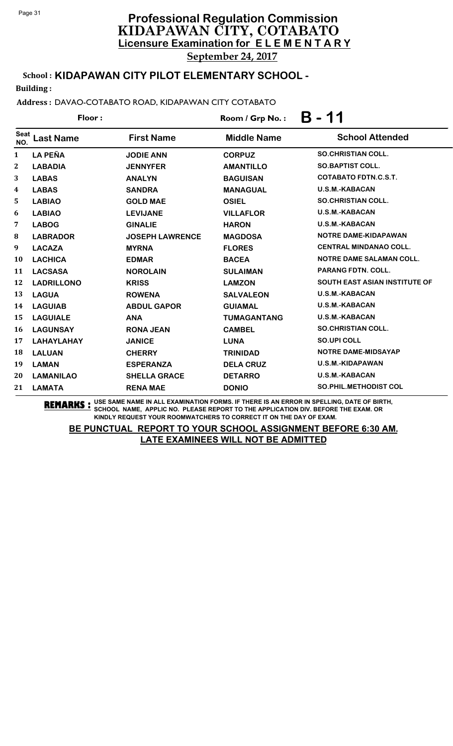# **Licensure Examination for E L E M E N T A R Y Professional Regulation Commission** KIDAPAWAN CITY, COTABATO September 24, 2017

School : **KIDAPAWAN CITY PILOT ELEMENTARY SCHOOL -**

Building :

Address : DAVAO-COTABATO ROAD, KIDAPAWAN CITY COTABATO

|                    | Floor:            |                        | Room / Grp No.:    | 11<br>B                              |
|--------------------|-------------------|------------------------|--------------------|--------------------------------------|
| <b>Seat</b><br>NO. | <b>Last Name</b>  | <b>First Name</b>      | <b>Middle Name</b> | <b>School Attended</b>               |
| $\mathbf{1}$       | <b>LA PEÑA</b>    | <b>JODIE ANN</b>       | <b>CORPUZ</b>      | <b>SO.CHRISTIAN COLL.</b>            |
| $\boldsymbol{2}$   | <b>LABADIA</b>    | <b>JENNYFER</b>        | <b>AMANTILLO</b>   | <b>SO.BAPTIST COLL.</b>              |
| 3                  | <b>LABAS</b>      | <b>ANALYN</b>          | <b>BAGUISAN</b>    | <b>COTABATO FDTN.C.S.T.</b>          |
| 4                  | <b>LABAS</b>      | <b>SANDRA</b>          | <b>MANAGUAL</b>    | <b>U.S.M.-KABACAN</b>                |
| 5                  | <b>LABIAO</b>     | <b>GOLD MAE</b>        | <b>OSIEL</b>       | <b>SO.CHRISTIAN COLL.</b>            |
| 6                  | <b>LABIAO</b>     | <b>LEVIJANE</b>        | <b>VILLAFLOR</b>   | <b>U.S.M.-KABACAN</b>                |
| 7                  | <b>LABOG</b>      | <b>GINALIE</b>         | <b>HARON</b>       | <b>U.S.M.-KABACAN</b>                |
| 8                  | <b>LABRADOR</b>   | <b>JOSEPH LAWRENCE</b> | <b>MAGDOSA</b>     | NOTRE DAME-KIDAPAWAN                 |
| $\boldsymbol{9}$   | <b>LACAZA</b>     | <b>MYRNA</b>           | <b>FLORES</b>      | <b>CENTRAL MINDANAO COLL.</b>        |
| 10                 | <b>LACHICA</b>    | <b>EDMAR</b>           | <b>BACEA</b>       | <b>NOTRE DAME SALAMAN COLL.</b>      |
| 11                 | <b>LACSASA</b>    | <b>NOROLAIN</b>        | <b>SULAIMAN</b>    | <b>PARANG FDTN, COLL.</b>            |
| 12                 | <b>LADRILLONO</b> | <b>KRISS</b>           | <b>LAMZON</b>      | <b>SOUTH EAST ASIAN INSTITUTE OF</b> |
| 13                 | <b>LAGUA</b>      | <b>ROWENA</b>          | <b>SALVALEON</b>   | <b>U.S.M.-KABACAN</b>                |
| 14                 | <b>LAGUIAB</b>    | <b>ABDUL GAPOR</b>     | <b>GUIAMAL</b>     | <b>U.S.M.-KABACAN</b>                |
| 15                 | <b>LAGUIALE</b>   | <b>ANA</b>             | <b>TUMAGANTANG</b> | <b>U.S.M.-KABACAN</b>                |
| 16                 | <b>LAGUNSAY</b>   | <b>RONA JEAN</b>       | <b>CAMBEL</b>      | <b>SO.CHRISTIAN COLL.</b>            |
| 17                 | <b>LAHAYLAHAY</b> | <b>JANICE</b>          | <b>LUNA</b>        | <b>SO.UPI COLL</b>                   |
| 18                 | <b>LALUAN</b>     | <b>CHERRY</b>          | <b>TRINIDAD</b>    | <b>NOTRE DAME-MIDSAYAP</b>           |
| 19                 | <b>LAMAN</b>      | <b>ESPERANZA</b>       | <b>DELA CRUZ</b>   | U.S.M.-KIDAPAWAN                     |
| 20                 | <b>LAMANILAO</b>  | <b>SHELLA GRACE</b>    | <b>DETARRO</b>     | <b>U.S.M.-KABACAN</b>                |
| 21                 | <b>LAMATA</b>     | <b>RENA MAE</b>        | <b>DONIO</b>       | <b>SO.PHIL.METHODIST COL</b>         |

**REMARKS :** USE SAME NAME IN ALL EXAMINATION FORMS. IF THERE IS AN ERROR IN SPELLING, DATE OF BIRTH, SCHOOL NAME, APPLIC NO. PLEASE REPORT TO THE APPLICATION DIV. BEFORE THE EXAM. OR KINDLY REQUEST YOUR ROOMWATCHERS TO CORRECT IT ON THE DAY OF EXAM.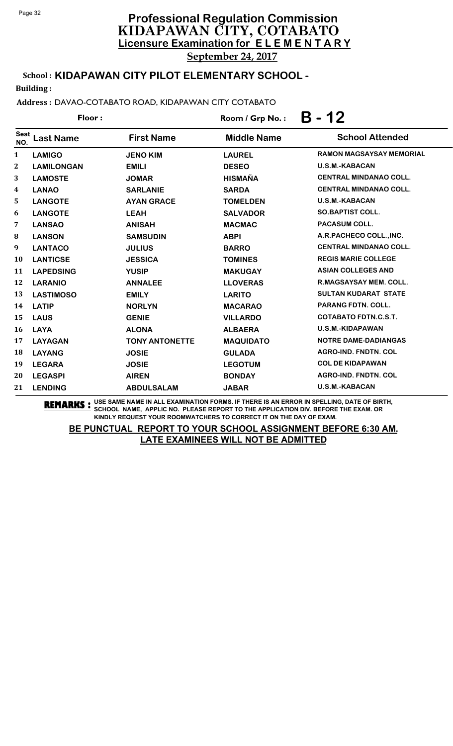School : **KIDAPAWAN CITY PILOT ELEMENTARY SCHOOL -**

Building :

Address : DAVAO-COTABATO ROAD, KIDAPAWAN CITY COTABATO

| Floor:             |                   |                       | $B - 12$<br>Room / Grp No.: |                                 |  |
|--------------------|-------------------|-----------------------|-----------------------------|---------------------------------|--|
| <b>Seat</b><br>NO. | <b>Last Name</b>  | <b>First Name</b>     | <b>Middle Name</b>          | <b>School Attended</b>          |  |
| 1                  | <b>LAMIGO</b>     | <b>JENO KIM</b>       | <b>LAUREL</b>               | <b>RAMON MAGSAYSAY MEMORIAL</b> |  |
| $\mathbf 2$        | <b>LAMILONGAN</b> | <b>EMILI</b>          | <b>DESEO</b>                | U.S.M.-KABACAN                  |  |
| 3                  | <b>LAMOSTE</b>    | <b>JOMAR</b>          | <b>HISMAÑA</b>              | <b>CENTRAL MINDANAO COLL.</b>   |  |
| 4                  | <b>LANAO</b>      | <b>SARLANIE</b>       | <b>SARDA</b>                | <b>CENTRAL MINDANAO COLL.</b>   |  |
| 5                  | <b>LANGOTE</b>    | <b>AYAN GRACE</b>     | <b>TOMELDEN</b>             | U.S.M.-KABACAN                  |  |
| 6                  | <b>LANGOTE</b>    | <b>LEAH</b>           | <b>SALVADOR</b>             | <b>SO.BAPTIST COLL.</b>         |  |
| 7                  | <b>LANSAO</b>     | <b>ANISAH</b>         | <b>MACMAC</b>               | PACASUM COLL.                   |  |
| 8                  | <b>LANSON</b>     | <b>SAMSUDIN</b>       | <b>ABPI</b>                 | A.R.PACHECO COLL., INC.         |  |
| 9                  | <b>LANTACO</b>    | <b>JULIUS</b>         | <b>BARRO</b>                | <b>CENTRAL MINDANAO COLL.</b>   |  |
| 10                 | <b>LANTICSE</b>   | <b>JESSICA</b>        | <b>TOMINES</b>              | <b>REGIS MARIE COLLEGE</b>      |  |
| 11                 | <b>LAPEDSING</b>  | <b>YUSIP</b>          | <b>MAKUGAY</b>              | <b>ASIAN COLLEGES AND</b>       |  |
| 12                 | <b>LARANIO</b>    | <b>ANNALEE</b>        | <b>LLOVERAS</b>             | <b>R.MAGSAYSAY MEM. COLL.</b>   |  |
| 13                 | <b>LASTIMOSO</b>  | <b>EMILY</b>          | <b>LARITO</b>               | <b>SULTAN KUDARAT STATE</b>     |  |
| 14                 | <b>LATIP</b>      | <b>NORLYN</b>         | <b>MACARAO</b>              | <b>PARANG FDTN. COLL.</b>       |  |
| 15                 | <b>LAUS</b>       | <b>GENIE</b>          | <b>VILLARDO</b>             | <b>COTABATO FDTN.C.S.T.</b>     |  |
| 16                 | <b>LAYA</b>       | <b>ALONA</b>          | <b>ALBAERA</b>              | <b>U.S.M.-KIDAPAWAN</b>         |  |
| 17                 | <b>LAYAGAN</b>    | <b>TONY ANTONETTE</b> | <b>MAQUIDATO</b>            | <b>NOTRE DAME-DADIANGAS</b>     |  |
| 18                 | <b>LAYANG</b>     | <b>JOSIE</b>          | <b>GULADA</b>               | AGRO-IND. FNDTN. COL            |  |
| 19                 | <b>LEGARA</b>     | <b>JOSIE</b>          | <b>LEGOTUM</b>              | <b>COL DE KIDAPAWAN</b>         |  |
| 20                 | <b>LEGASPI</b>    | <b>AIREN</b>          | <b>BONDAY</b>               | <b>AGRO-IND. FNDTN. COL</b>     |  |
| 21                 | <b>LENDING</b>    | <b>ABDULSALAM</b>     | <b>JABAR</b>                | <b>U.S.M.-KABACAN</b>           |  |
|                    |                   |                       |                             |                                 |  |

**REMARKS :** USE SAME NAME IN ALL EXAMINATION FORMS. IF THERE IS AN ERROR IN SPELLING, DATE OF BIRTH, SCHOOL NAME, APPLIC NO. PLEASE REPORT TO THE APPLICATION DIV. BEFORE THE EXAM. OR KINDLY REQUEST YOUR ROOMWATCHERS TO CORRECT IT ON THE DAY OF EXAM.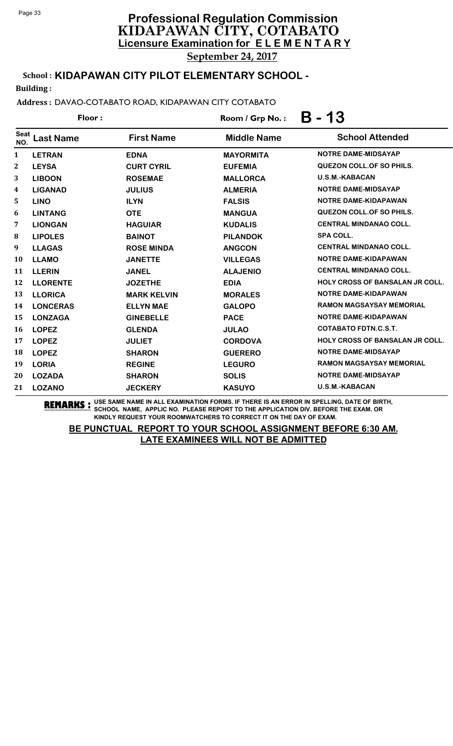# **Licensure Examination for E L E M E N T A R Y Professional Regulation Commission** KIDAPAWAN CITY, COTABATO

September 24, 2017

# School : **KIDAPAWAN CITY PILOT ELEMENTARY SCHOOL -**

Building :

#### Address : DAVAO-COTABATO ROAD, KIDAPAWAN CITY COTABATO

|              | Floor:          |                    | $B - 13$<br>Room / Grp No.: |                                        |  |
|--------------|-----------------|--------------------|-----------------------------|----------------------------------------|--|
| Seat<br>NO.  | ast Name.       | <b>First Name</b>  | <b>Middle Name</b>          | <b>School Attended</b>                 |  |
| 1            | <b>LETRAN</b>   | <b>EDNA</b>        | <b>MAYORMITA</b>            | <b>NOTRE DAME-MIDSAYAP</b>             |  |
| $\mathbf{2}$ | <b>LEYSA</b>    | <b>CURT CYRIL</b>  | <b>EUFEMIA</b>              | <b>QUEZON COLL. OF SO PHILS.</b>       |  |
| 3            | <b>LIBOON</b>   | <b>ROSEMAE</b>     | <b>MALLORCA</b>             | <b>U.S.M.-KABACAN</b>                  |  |
| 4            | <b>LIGANAD</b>  | <b>JULIUS</b>      | <b>ALMERIA</b>              | <b>NOTRE DAME-MIDSAYAP</b>             |  |
| 5            | <b>LINO</b>     | <b>ILYN</b>        | <b>FALSIS</b>               | NOTRE DAME-KIDAPAWAN                   |  |
| 6            | <b>LINTANG</b>  | <b>OTE</b>         | <b>MANGUA</b>               | QUEZON COLL. OF SO PHILS.              |  |
| 7            | <b>LIONGAN</b>  | <b>HAGUIAR</b>     | <b>KUDALIS</b>              | <b>CENTRAL MINDANAO COLL.</b>          |  |
| 8            | <b>LIPOLES</b>  | <b>BAINOT</b>      | <b>PILANDOK</b>             | <b>SPA COLL.</b>                       |  |
| 9            | <b>LLAGAS</b>   | <b>ROSE MINDA</b>  | <b>ANGCON</b>               | <b>CENTRAL MINDANAO COLL.</b>          |  |
| <b>10</b>    | <b>LLAMO</b>    | <b>JANETTE</b>     | <b>VILLEGAS</b>             | NOTRE DAME-KIDAPAWAN                   |  |
| 11           | <b>LLERIN</b>   | <b>JANEL</b>       | <b>ALAJENIO</b>             | <b>CENTRAL MINDANAO COLL.</b>          |  |
| 12           | <b>LLORENTE</b> | <b>JOZETHE</b>     | <b>EDIA</b>                 | <b>HOLY CROSS OF BANSALAN JR COLL.</b> |  |
| 13           | <b>LLORICA</b>  | <b>MARK KELVIN</b> | <b>MORALES</b>              | NOTRE DAME-KIDAPAWAN                   |  |
| 14           | <b>LONCERAS</b> | <b>ELLYN MAE</b>   | <b>GALOPO</b>               | <b>RAMON MAGSAYSAY MEMORIAL</b>        |  |
| 15           | <b>LONZAGA</b>  | <b>GINEBELLE</b>   | <b>PACE</b>                 | NOTRE DAME-KIDAPAWAN                   |  |

16 **LOPEZ GLENDA JULAO COTABATO FDTN.C.S.T.**

18 **LOPEZ SHARON GUERERO NOTRE DAME-MIDSAYAP**

20 **LOZADA SHARON SOLIS NOTRE DAME-MIDSAYAP**

21 **LOZANO JECKERY KASUYO U.S.M.-KABACAN**

**REMARKS :** USE SAME NAME IN ALL EXAMINATION FORMS. IF THERE IS AN ERROR IN SPELLING, DATE OF BIRTH, SCHOOL NAME, APPLIC NO. PLEASE REPORT TO THE APPLICATION DIV. BEFORE THE EXAM. OR KINDLY REQUEST YOUR ROOMWATCHERS TO CORRECT IT ON THE DAY OF EXAM.

19 **LORIA REGINE LEGURO RAMON MAGSAYSAY MEMORIAL**

17 **LOPEZ JULIET CORDOVA HOLY CROSS OF BANSALAN JR COLL.**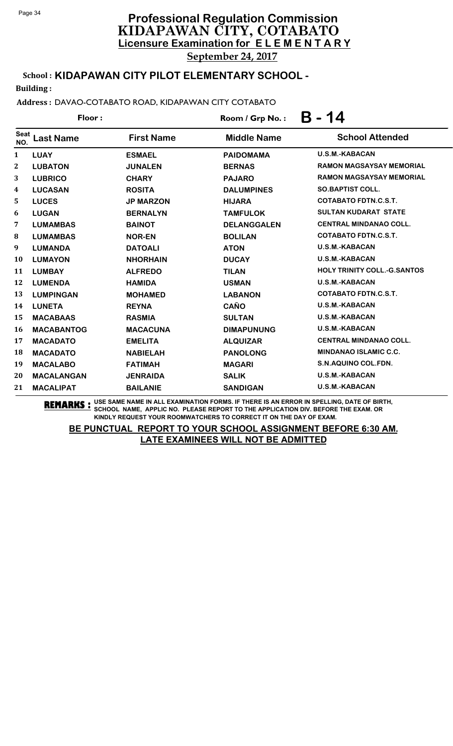September 24, 2017

# School : **KIDAPAWAN CITY PILOT ELEMENTARY SCHOOL -**

Building :

### Address : DAVAO-COTABATO ROAD, KIDAPAWAN CITY COTABATO

|                    | Floor:            |                   | Room / Grp No.:    | B - 14                             |
|--------------------|-------------------|-------------------|--------------------|------------------------------------|
| <b>Seat</b><br>NO. | <b>Last Name</b>  | <b>First Name</b> | <b>Middle Name</b> | <b>School Attended</b>             |
| 1                  | <b>LUAY</b>       | <b>ESMAEL</b>     | <b>PAIDOMAMA</b>   | <b>U.S.M.-KABACAN</b>              |
| $\mathbf{2}$       | <b>LUBATON</b>    | <b>JUNALEN</b>    | <b>BERNAS</b>      | RAMON MAGSAYSAY MEMORIAL           |
| 3                  | <b>LUBRICO</b>    | <b>CHARY</b>      | <b>PAJARO</b>      | <b>RAMON MAGSAYSAY MEMORIAL</b>    |
| 4                  | <b>LUCASAN</b>    | <b>ROSITA</b>     | <b>DALUMPINES</b>  | <b>SO.BAPTIST COLL.</b>            |
| 5                  | <b>LUCES</b>      | <b>JP MARZON</b>  | <b>HIJARA</b>      | <b>COTABATO FDTN.C.S.T.</b>        |
| 6                  | <b>LUGAN</b>      | <b>BERNALYN</b>   | <b>TAMFULOK</b>    | <b>SULTAN KUDARAT STATE</b>        |
| 7                  | <b>LUMAMBAS</b>   | <b>BAINOT</b>     | <b>DELANGGALEN</b> | <b>CENTRAL MINDANAO COLL.</b>      |
| 8                  | <b>LUMAMBAS</b>   | <b>NOR-EN</b>     | <b>BOLILAN</b>     | <b>COTABATO FDTN.C.S.T.</b>        |
| 9                  | <b>LUMANDA</b>    | <b>DATOALI</b>    | <b>ATON</b>        | <b>U.S.M.-KABACAN</b>              |
| 10                 | <b>LUMAYON</b>    | <b>NHORHAIN</b>   | <b>DUCAY</b>       | <b>U.S.M.-KABACAN</b>              |
| 11                 | <b>LUMBAY</b>     | <b>ALFREDO</b>    | <b>TILAN</b>       | <b>HOLY TRINITY COLL.-G.SANTOS</b> |
| 12                 | <b>LUMENDA</b>    | <b>HAMIDA</b>     | <b>USMAN</b>       | <b>U.S.M.-KABACAN</b>              |
| 13                 | <b>LUMPINGAN</b>  | <b>MOHAMED</b>    | <b>LABANON</b>     | <b>COTABATO FDTN.C.S.T.</b>        |
| 14                 | <b>LUNETA</b>     | <b>REYNA</b>      | <b>CAÑO</b>        | <b>U.S.M.-KABACAN</b>              |
| 15                 | <b>MACABAAS</b>   | <b>RASMIA</b>     | <b>SULTAN</b>      | <b>U.S.M.-KABACAN</b>              |
| 16                 | <b>MACABANTOG</b> | <b>MACACUNA</b>   | <b>DIMAPUNUNG</b>  | <b>U.S.M.-KABACAN</b>              |
| 17                 | <b>MACADATO</b>   | <b>EMELITA</b>    | <b>ALQUIZAR</b>    | <b>CENTRAL MINDANAO COLL.</b>      |
| 18                 | <b>MACADATO</b>   | <b>NABIELAH</b>   | <b>PANOLONG</b>    | <b>MINDANAO ISLAMIC C.C.</b>       |
| 19                 | <b>MACALABO</b>   | <b>FATIMAH</b>    | <b>MAGARI</b>      | S.N.AQUINO COL.FDN.                |
| 20                 | <b>MACALANGAN</b> | <b>JENRAIDA</b>   | <b>SALIK</b>       | <b>U.S.M.-KABACAN</b>              |
| 21                 | <b>MACALIPAT</b>  | <b>BAILANIE</b>   | <b>SANDIGAN</b>    | <b>U.S.M.-KABACAN</b>              |

**REMARKS :** USE SAME NAME IN ALL EXAMINATION FORMS. IF THERE IS AN ERROR IN SPELLING, DATE OF BIRTH, SCHOOL NAME, APPLIC NO. PLEASE REPORT TO THE APPLICATION DIV. BEFORE THE EXAM. OR KINDLY REQUEST YOUR ROOMWATCHERS TO CORRECT IT ON THE DAY OF EXAM.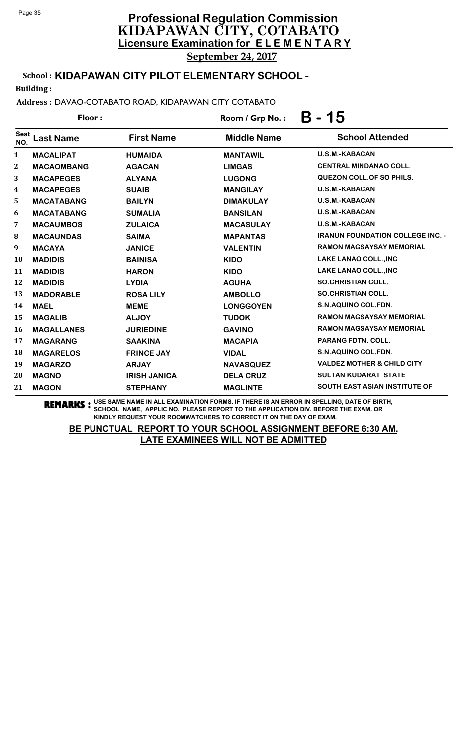September 24, 2017

# School : **KIDAPAWAN CITY PILOT ELEMENTARY SCHOOL -**

Building :

#### Address : DAVAO-COTABATO ROAD, KIDAPAWAN CITY COTABATO

| Room / Grp No.:                                                                                               | <b>B</b> - 15 |  |
|---------------------------------------------------------------------------------------------------------------|---------------|--|
| Seat<br><b>School Attended</b><br><b>First Name</b><br><b>Middle Name</b><br>Last Name<br>NO.                 |               |  |
| <b>U.S.M.-KABACAN</b><br><b>MANTAWIL</b><br>1<br><b>MACALIPAT</b><br><b>HUMAIDA</b>                           |               |  |
| <b>CENTRAL MINDANAO COLL.</b><br>$\mathbf{2}^{\prime}$<br><b>MACAOMBANG</b><br><b>LIMGAS</b><br><b>AGACAN</b> |               |  |
| QUEZON COLL. OF SO PHILS.<br>3<br><b>LUGONG</b><br><b>MACAPEGES</b><br><b>ALYANA</b>                          |               |  |
| <b>U.S.M.-KABACAN</b><br>4<br><b>MACAPEGES</b><br><b>SUAIB</b><br><b>MANGILAY</b>                             |               |  |
| <b>U.S.M.-KABACAN</b><br>5<br><b>MACATABANG</b><br><b>BAILYN</b><br><b>DIMAKULAY</b>                          |               |  |
| <b>U.S.M.-KABACAN</b><br>6<br><b>MACATABANG</b><br><b>SUMALIA</b><br><b>BANSILAN</b>                          |               |  |
| <b>U.S.M.-KABACAN</b><br>7<br><b>MACAUMBOS</b><br><b>MACASULAY</b><br><b>ZULAICA</b>                          |               |  |
| <b>IRANUN FOUNDATION COLLEGE INC. -</b><br>8<br><b>MACAUNDAS</b><br><b>MAPANTAS</b><br><b>SAIMA</b>           |               |  |
| <b>RAMON MAGSAYSAY MEMORIAL</b><br>9<br><b>VALENTIN</b><br><b>MACAYA</b><br><b>JANICE</b>                     |               |  |
| LAKE LANAO COLL., INC<br>10<br><b>MADIDIS</b><br><b>BAINISA</b><br><b>KIDO</b>                                |               |  |
| LAKE LANAO COLL., INC<br>11<br><b>MADIDIS</b><br><b>HARON</b><br><b>KIDO</b>                                  |               |  |
| <b>SO.CHRISTIAN COLL.</b><br>12<br><b>MADIDIS</b><br><b>LYDIA</b><br><b>AGUHA</b>                             |               |  |
| <b>SO.CHRISTIAN COLL.</b><br>13<br><b>MADORABLE</b><br><b>AMBOLLO</b><br><b>ROSA LILY</b>                     |               |  |
| S.N.AQUINO COL.FDN.<br>14<br><b>LONGGOYEN</b><br><b>MAEL</b><br><b>MEME</b>                                   |               |  |

**REMARKS :** USE SAME NAME IN ALL EXAMINATION FORMS. IF THERE IS AN ERROR IN SPELLING, DATE OF BIRTH, SCHOOL NAME, APPLIC NO. PLEASE REPORT TO THE APPLICATION DIV. BEFORE THE EXAM. OR KINDLY REQUEST YOUR ROOMWATCHERS TO CORRECT IT ON THE DAY OF EXAM.

21 **MAGON STEPHANY MAGLINTE SOUTH EAST ASIAN INSTITUTE OF**

19 **MAGARZO ARJAY NAVASQUEZ VALDEZ MOTHER & CHILD CITY** 20 **MAGNO IRISH JANICA DELA CRUZ SULTAN KUDARAT STATE**

15 **MAGALIB ALJOY TUDOK RAMON MAGSAYSAY MEMORIAL** 16 **MAGALLANES JURIEDINE GAVINO RAMON MAGSAYSAY MEMORIAL**

17 **MAGARANG SAAKINA MACAPIA PARANG FDTN. COLL.** 18 **MAGARELOS FRINCE JAY VIDAL S.N.AQUINO COL.FDN.**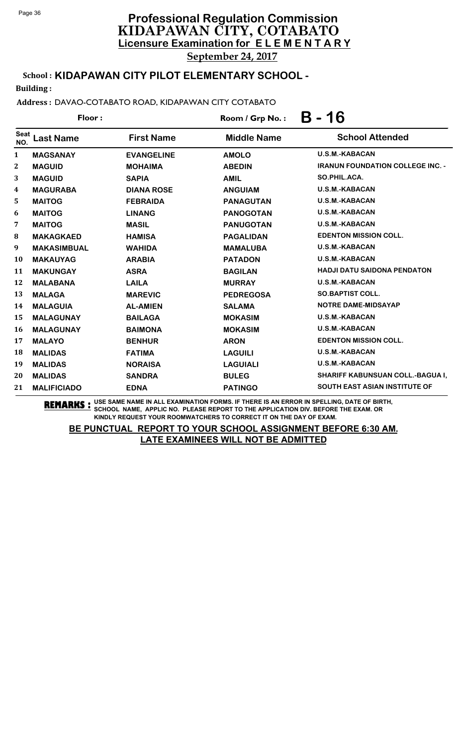School : **KIDAPAWAN CITY PILOT ELEMENTARY SCHOOL -**

Building :

Address : DAVAO-COTABATO ROAD, KIDAPAWAN CITY COTABATO

| Floor:             |                    |                   | Room / Grp No.:    | B - 16                                  |  |
|--------------------|--------------------|-------------------|--------------------|-----------------------------------------|--|
| <b>Seat</b><br>NO. | <b>Last Name</b>   | <b>First Name</b> | <b>Middle Name</b> | <b>School Attended</b>                  |  |
| 1                  | <b>MAGSANAY</b>    | <b>EVANGELINE</b> | <b>AMOLO</b>       | <b>U.S.M.-KABACAN</b>                   |  |
| 2                  | <b>MAGUID</b>      | <b>MOHAIMA</b>    | <b>ABEDIN</b>      | <b>IRANUN FOUNDATION COLLEGE INC. -</b> |  |
| 3                  | <b>MAGUID</b>      | <b>SAPIA</b>      | <b>AMIL</b>        | SO.PHIL.ACA.                            |  |
| $\boldsymbol{4}$   | <b>MAGURABA</b>    | <b>DIANA ROSE</b> | <b>ANGUIAM</b>     | U.S.M.-KABACAN                          |  |
| 5                  | <b>MAITOG</b>      | <b>FEBRAIDA</b>   | <b>PANAGUTAN</b>   | U.S.M.-KABACAN                          |  |
| 6                  | <b>MAITOG</b>      | <b>LINANG</b>     | <b>PANOGOTAN</b>   | U.S.M.-KABACAN                          |  |
| 7                  | <b>MAITOG</b>      | <b>MASIL</b>      | <b>PANUGOTAN</b>   | U.S.M.-KABACAN                          |  |
| 8                  | <b>MAKAGKAED</b>   | <b>HAMISA</b>     | <b>PAGALIDAN</b>   | <b>EDENTON MISSION COLL.</b>            |  |
| 9                  | <b>MAKASIMBUAL</b> | <b>WAHIDA</b>     | <b>MAMALUBA</b>    | <b>U.S.M.-KABACAN</b>                   |  |
| 10                 | <b>MAKAUYAG</b>    | <b>ARABIA</b>     | <b>PATADON</b>     | U.S.M.-KABACAN                          |  |
| 11                 | <b>MAKUNGAY</b>    | <b>ASRA</b>       | <b>BAGILAN</b>     | <b>HADJI DATU SAIDONA PENDATON</b>      |  |
| 12                 | <b>MALABANA</b>    | <b>LAILA</b>      | <b>MURRAY</b>      | U.S.M.-KABACAN                          |  |
| 13                 | <b>MALAGA</b>      | <b>MAREVIC</b>    | <b>PEDREGOSA</b>   | <b>SO.BAPTIST COLL.</b>                 |  |
| 14                 | <b>MALAGUIA</b>    | <b>AL-AMIEN</b>   | <b>SALAMA</b>      | <b>NOTRE DAME-MIDSAYAP</b>              |  |
| 15                 | <b>MALAGUNAY</b>   | <b>BAILAGA</b>    | <b>MOKASIM</b>     | U.S.M.-KABACAN                          |  |
| 16                 | <b>MALAGUNAY</b>   | <b>BAIMONA</b>    | <b>MOKASIM</b>     | U.S.M.-KABACAN                          |  |
| 17                 | <b>MALAYO</b>      | <b>BENHUR</b>     | <b>ARON</b>        | <b>EDENTON MISSION COLL.</b>            |  |
| 18                 | <b>MALIDAS</b>     | <b>FATIMA</b>     | <b>LAGUILI</b>     | <b>U.S.M.-KABACAN</b>                   |  |
| 19                 | <b>MALIDAS</b>     | <b>NORAISA</b>    | <b>LAGUIALI</b>    | <b>U.S.M.-KABACAN</b>                   |  |
| 20                 | <b>MALIDAS</b>     | <b>SANDRA</b>     | <b>BULEG</b>       | SHARIFF KABUNSUAN COLL.-BAGUA I,        |  |
| 21                 | <b>MALIFICIADO</b> | <b>EDNA</b>       | <b>PATINGO</b>     | <b>SOUTH EAST ASIAN INSTITUTE OF</b>    |  |

**REMARKS :** USE SAME NAME IN ALL EXAMINATION FORMS. IF THERE IS AN ERROR IN SPELLING, DATE OF BIRTH, SCHOOL NAME, APPLIC NO. PLEASE REPORT TO THE APPLICATION DIV. BEFORE THE EXAM. OR KINDLY REQUEST YOUR ROOMWATCHERS TO CORRECT IT ON THE DAY OF EXAM.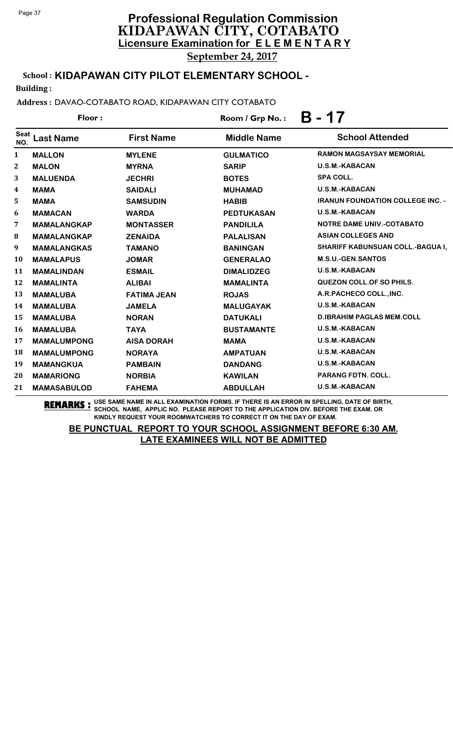September 24, 2017

# School : **KIDAPAWAN CITY PILOT ELEMENTARY SCHOOL -**

Building :

### Address : DAVAO-COTABATO ROAD, KIDAPAWAN CITY COTABATO

Floor : Room / Grp No. : **B - 17**

| <b>Seat</b><br>NO. | <b>Last Name</b>   | <b>First Name</b>  | <b>Middle Name</b> | <b>School Attended</b>                  |
|--------------------|--------------------|--------------------|--------------------|-----------------------------------------|
| $\mathbf{1}$       | <b>MALLON</b>      | <b>MYLENE</b>      | <b>GULMATICO</b>   | RAMON MAGSAYSAY MEMORIAL                |
| $\mathbf{2}$       | <b>MALON</b>       | <b>MYRNA</b>       | <b>SARIP</b>       | <b>U.S.M.-KABACAN</b>                   |
| 3                  | <b>MALUENDA</b>    | <b>JECHRI</b>      | <b>BOTES</b>       | SPA COLL.                               |
| 4                  | <b>MAMA</b>        | <b>SAIDALI</b>     | <b>MUHAMAD</b>     | <b>U.S.M.-KABACAN</b>                   |
| 5                  | <b>MAMA</b>        | <b>SAMSUDIN</b>    | <b>HABIB</b>       | <b>IRANUN FOUNDATION COLLEGE INC. -</b> |
| 6                  | <b>MAMACAN</b>     | <b>WARDA</b>       | <b>PEDTUKASAN</b>  | <b>U.S.M.-KABACAN</b>                   |
| 7                  | <b>MAMALANGKAP</b> | <b>MONTASSER</b>   | <b>PANDILILA</b>   | <b>NOTRE DAME UNIV.-COTABATO</b>        |
| 8                  | <b>MAMALANGKAP</b> | <b>ZENAIDA</b>     | <b>PALALISAN</b>   | <b>ASIAN COLLEGES AND</b>               |
| 9                  | <b>MAMALANGKAS</b> | <b>TAMANO</b>      | <b>BANINGAN</b>    | <b>SHARIFF KABUNSUAN COLL.-BAGUA I,</b> |
| <b>10</b>          | <b>MAMALAPUS</b>   | <b>JOMAR</b>       | <b>GENERALAO</b>   | <b>M.S.U.-GEN.SANTOS</b>                |
| 11                 | <b>MAMALINDAN</b>  | <b>ESMAIL</b>      | <b>DIMALIDZEG</b>  | <b>U.S.M.-KABACAN</b>                   |
| 12                 | <b>MAMALINTA</b>   | <b>ALIBAI</b>      | <b>MAMALINTA</b>   | QUEZON COLL. OF SO PHILS.               |
| 13                 | <b>MAMALUBA</b>    | <b>FATIMA JEAN</b> | <b>ROJAS</b>       | A.R.PACHECO COLL., INC.                 |
| 14                 | <b>MAMALUBA</b>    | <b>JAMELA</b>      | <b>MALUGAYAK</b>   | <b>U.S.M.-KABACAN</b>                   |
| 15                 | <b>MAMALUBA</b>    | <b>NORAN</b>       | <b>DATUKALI</b>    | <b>D.IBRAHIM PAGLAS MEM.COLL</b>        |
| 16                 | <b>MAMALUBA</b>    | <b>TAYA</b>        | <b>BUSTAMANTE</b>  | <b>U.S.M.-KABACAN</b>                   |
| 17                 | <b>MAMALUMPONG</b> | <b>AISA DORAH</b>  | <b>MAMA</b>        | <b>U.S.M.-KABACAN</b>                   |
| 18                 | <b>MAMALUMPONG</b> | <b>NORAYA</b>      | <b>AMPATUAN</b>    | <b>U.S.M.-KABACAN</b>                   |
| 19                 | <b>MAMANGKUA</b>   | <b>PAMBAIN</b>     | <b>DANDANG</b>     | <b>U.S.M.-KABACAN</b>                   |
| 20                 | <b>MAMARIONG</b>   | <b>NORBIA</b>      | <b>KAWILAN</b>     | <b>PARANG FDTN. COLL.</b>               |
| 21                 | <b>MAMASABULOD</b> | <b>FAHEMA</b>      | <b>ABDULLAH</b>    | <b>U.S.M.-KABACAN</b>                   |

**REMARKS :** USE SAME NAME IN ALL EXAMINATION FORMS. IF THERE IS AN ERROR IN SPELLING, DATE OF BIRTH, SCHOOL NAME, APPLIC NO. PLEASE REPORT TO THE APPLICATION DIV. BEFORE THE EXAM. OR KINDLY REQUEST YOUR ROOMWATCHERS TO CORRECT IT ON THE DAY OF EXAM.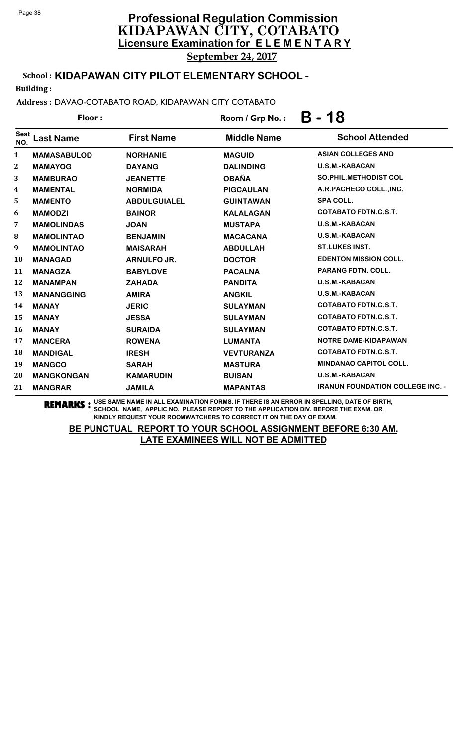School : **KIDAPAWAN CITY PILOT ELEMENTARY SCHOOL -**

Building :

Address : DAVAO-COTABATO ROAD, KIDAPAWAN CITY COTABATO

| Floor:             |                    |                     | Room / Grp No.:    | $B - 18$                                |  |
|--------------------|--------------------|---------------------|--------------------|-----------------------------------------|--|
| <b>Seat</b><br>NO. | <b>Last Name</b>   | <b>First Name</b>   | <b>Middle Name</b> | <b>School Attended</b>                  |  |
| 1                  | <b>MAMASABULOD</b> | <b>NORHANIE</b>     | <b>MAGUID</b>      | <b>ASIAN COLLEGES AND</b>               |  |
| 2                  | <b>MAMAYOG</b>     | <b>DAYANG</b>       | <b>DALINDING</b>   | <b>U.S.M.-KABACAN</b>                   |  |
| 3                  | <b>MAMBURAO</b>    | <b>JEANETTE</b>     | <b>OBAÑA</b>       | <b>SO.PHIL.METHODIST COL</b>            |  |
| 4                  | <b>MAMENTAL</b>    | <b>NORMIDA</b>      | <b>PIGCAULAN</b>   | A.R.PACHECO COLL., INC.                 |  |
| 5                  | <b>MAMENTO</b>     | <b>ABDULGUIALEL</b> | <b>GUINTAWAN</b>   | <b>SPA COLL.</b>                        |  |
| 6                  | <b>MAMODZI</b>     | <b>BAINOR</b>       | <b>KALALAGAN</b>   | <b>COTABATO FDTN.C.S.T.</b>             |  |
| 7                  | <b>MAMOLINDAS</b>  | <b>JOAN</b>         | <b>MUSTAPA</b>     | <b>U.S.M.-KABACAN</b>                   |  |
| 8                  | <b>MAMOLINTAO</b>  | <b>BENJAMIN</b>     | <b>MACACANA</b>    | U.S.M.-KABACAN                          |  |
| 9                  | <b>MAMOLINTAO</b>  | <b>MAISARAH</b>     | <b>ABDULLAH</b>    | <b>ST.LUKES INST.</b>                   |  |
| 10                 | <b>MANAGAD</b>     | ARNULFO JR.         | <b>DOCTOR</b>      | <b>EDENTON MISSION COLL.</b>            |  |
| 11                 | <b>MANAGZA</b>     | <b>BABYLOVE</b>     | <b>PACALNA</b>     | <b>PARANG FDTN. COLL.</b>               |  |
| 12                 | <b>MANAMPAN</b>    | <b>ZAHADA</b>       | <b>PANDITA</b>     | <b>U.S.M.-KABACAN</b>                   |  |
| 13                 | <b>MANANGGING</b>  | <b>AMIRA</b>        | <b>ANGKIL</b>      | U.S.M.-KABACAN                          |  |
| 14                 | <b>MANAY</b>       | <b>JERIC</b>        | <b>SULAYMAN</b>    | <b>COTABATO FDTN.C.S.T.</b>             |  |
| 15                 | <b>MANAY</b>       | <b>JESSA</b>        | <b>SULAYMAN</b>    | <b>COTABATO FDTN.C.S.T.</b>             |  |
| 16                 | <b>MANAY</b>       | <b>SURAIDA</b>      | <b>SULAYMAN</b>    | <b>COTABATO FDTN.C.S.T.</b>             |  |
| 17                 | <b>MANCERA</b>     | <b>ROWENA</b>       | <b>LUMANTA</b>     | <b>NOTRE DAME-KIDAPAWAN</b>             |  |
| 18                 | <b>MANDIGAL</b>    | <b>IRESH</b>        | <b>VEVTURANZA</b>  | <b>COTABATO FDTN.C.S.T.</b>             |  |
| 19                 | <b>MANGCO</b>      | <b>SARAH</b>        | <b>MASTURA</b>     | <b>MINDANAO CAPITOL COLL.</b>           |  |
| 20                 | <b>MANGKONGAN</b>  | <b>KAMARUDIN</b>    | <b>BUISAN</b>      | U.S.M.-KABACAN                          |  |
| 21                 | <b>MANGRAR</b>     | <b>JAMILA</b>       | <b>MAPANTAS</b>    | <b>IRANUN FOUNDATION COLLEGE INC. -</b> |  |
|                    |                    |                     |                    |                                         |  |

**REMARKS :** USE SAME NAME IN ALL EXAMINATION FORMS. IF THERE IS AN ERROR IN SPELLING, DATE OF BIRTH, SCHOOL NAME, APPLIC NO. PLEASE REPORT TO THE APPLICATION DIV. BEFORE THE EXAM. OR KINDLY REQUEST YOUR ROOMWATCHERS TO CORRECT IT ON THE DAY OF EXAM.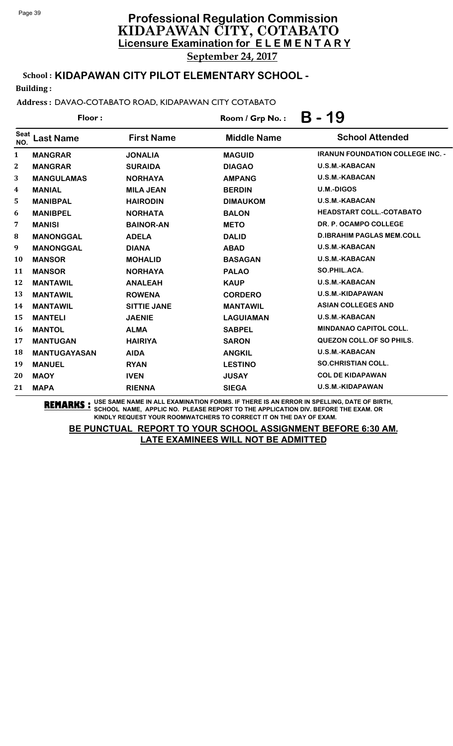School : **KIDAPAWAN CITY PILOT ELEMENTARY SCHOOL -**

Building :

Address : DAVAO-COTABATO ROAD, KIDAPAWAN CITY COTABATO

| Floor:       |                     |                    | 19<br>B<br>$\bullet$<br>Room / Grp No.: |                                         |  |
|--------------|---------------------|--------------------|-----------------------------------------|-----------------------------------------|--|
| Seat<br>NO.  | <b>Last Name</b>    | <b>First Name</b>  | <b>Middle Name</b>                      | <b>School Attended</b>                  |  |
| $\mathbf{1}$ | <b>MANGRAR</b>      | <b>JONALIA</b>     | <b>MAGUID</b>                           | <b>IRANUN FOUNDATION COLLEGE INC. -</b> |  |
| 2            | <b>MANGRAR</b>      | <b>SURAIDA</b>     | <b>DIAGAO</b>                           | <b>U.S.M.-KABACAN</b>                   |  |
| 3            | <b>MANGULAMAS</b>   | <b>NORHAYA</b>     | <b>AMPANG</b>                           | <b>U.S.M.-KABACAN</b>                   |  |
| 4            | <b>MANIAL</b>       | <b>MILA JEAN</b>   | <b>BERDIN</b>                           | <b>U.M.-DIGOS</b>                       |  |
| 5            | <b>MANIBPAL</b>     | <b>HAIRODIN</b>    | <b>DIMAUKOM</b>                         | <b>U.S.M.-KABACAN</b>                   |  |
| 6            | <b>MANIBPEL</b>     | <b>NORHATA</b>     | <b>BALON</b>                            | <b>HEADSTART COLL.-COTABATO</b>         |  |
| 7            | <b>MANISI</b>       | <b>BAINOR-AN</b>   | <b>METO</b>                             | DR. P. OCAMPO COLLEGE                   |  |
| 8            | <b>MANONGGAL</b>    | <b>ADELA</b>       | <b>DALID</b>                            | <b>D.IBRAHIM PAGLAS MEM.COLL</b>        |  |
| 9            | <b>MANONGGAL</b>    | <b>DIANA</b>       | <b>ABAD</b>                             | <b>U.S.M.-KABACAN</b>                   |  |
| <b>10</b>    | <b>MANSOR</b>       | <b>MOHALID</b>     | <b>BASAGAN</b>                          | U.S.M.-KABACAN                          |  |
| 11           | <b>MANSOR</b>       | <b>NORHAYA</b>     | <b>PALAO</b>                            | SO.PHIL.ACA.                            |  |
| 12           | <b>MANTAWIL</b>     | <b>ANALEAH</b>     | <b>KAUP</b>                             | <b>U.S.M.-KABACAN</b>                   |  |
| 13           | <b>MANTAWIL</b>     | <b>ROWENA</b>      | <b>CORDERO</b>                          | <b>U.S.M.-KIDAPAWAN</b>                 |  |
| 14           | <b>MANTAWIL</b>     | <b>SITTIE JANE</b> | <b>MANTAWIL</b>                         | <b>ASIAN COLLEGES AND</b>               |  |
| 15           | <b>MANTELI</b>      | <b>JAENIE</b>      | <b>LAGUIAMAN</b>                        | <b>U.S.M.-KABACAN</b>                   |  |
| 16           | <b>MANTOL</b>       | <b>ALMA</b>        | <b>SABPEL</b>                           | MINDANAO CAPITOL COLL.                  |  |
| 17           | <b>MANTUGAN</b>     | <b>HAIRIYA</b>     | <b>SARON</b>                            | <b>QUEZON COLL. OF SO PHILS.</b>        |  |
| 18           | <b>MANTUGAYASAN</b> | <b>AIDA</b>        | <b>ANGKIL</b>                           | <b>U.S.M.-KABACAN</b>                   |  |
| 19           | <b>MANUEL</b>       | <b>RYAN</b>        | <b>LESTINO</b>                          | <b>SO.CHRISTIAN COLL.</b>               |  |
| 20           | <b>MAOY</b>         | <b>IVEN</b>        | <b>JUSAY</b>                            | <b>COL DE KIDAPAWAN</b>                 |  |
| 21           | <b>MAPA</b>         | <b>RIENNA</b>      | <b>SIEGA</b>                            | U.S.M.-KIDAPAWAN                        |  |

**REMARKS :** USE SAME NAME IN ALL EXAMINATION FORMS. IF THERE IS AN ERROR IN SPELLING, DATE OF BIRTH, SCHOOL NAME, APPLIC NO. PLEASE REPORT TO THE APPLICATION DIV. BEFORE THE EXAM. OR KINDLY REQUEST YOUR ROOMWATCHERS TO CORRECT IT ON THE DAY OF EXAM.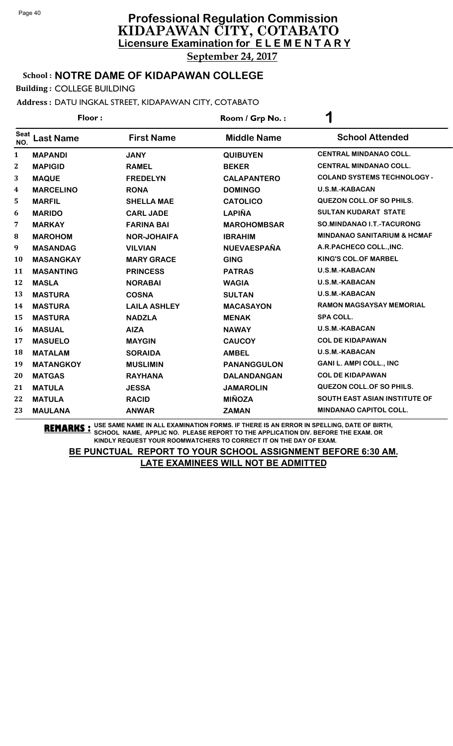School : **NOTRE DAME OF KIDAPAWAN COLLEGE**

Building : COLLEGE BUILDING

Address : DATU INGKAL STREET, KIDAPAWAN CITY, COTABATO

| Floor:             |                  |                     | Room / Grp No.:    | $\overline{\phantom{a}}$               |  |
|--------------------|------------------|---------------------|--------------------|----------------------------------------|--|
| <b>Seat</b><br>NO. | <b>Last Name</b> | <b>First Name</b>   | <b>Middle Name</b> | <b>School Attended</b>                 |  |
| $\mathbf{1}$       | <b>MAPANDI</b>   | <b>JANY</b>         | <b>QUIBUYEN</b>    | <b>CENTRAL MINDANAO COLL.</b>          |  |
| $\bf{2}$           | <b>MAPIGID</b>   | <b>RAMEL</b>        | <b>BEKER</b>       | <b>CENTRAL MINDANAO COLL.</b>          |  |
| 3                  | <b>MAQUE</b>     | <b>FREDELYN</b>     | <b>CALAPANTERO</b> | <b>COLAND SYSTEMS TECHNOLOGY -</b>     |  |
| 4                  | <b>MARCELINO</b> | <b>RONA</b>         | <b>DOMINGO</b>     | U.S.M.-KABACAN                         |  |
| 5                  | <b>MARFIL</b>    | <b>SHELLA MAE</b>   | <b>CATOLICO</b>    | <b>QUEZON COLL. OF SO PHILS.</b>       |  |
| 6                  | <b>MARIDO</b>    | <b>CARL JADE</b>    | <b>LAPIÑA</b>      | <b>SULTAN KUDARAT STATE</b>            |  |
| 7                  | <b>MARKAY</b>    | <b>FARINA BAI</b>   | <b>MAROHOMBSAR</b> | SO.MINDANAO I.T.-TACURONG              |  |
| ${\bf 8}$          | <b>MAROHOM</b>   | <b>NOR-JOHAIFA</b>  | <b>IBRAHIM</b>     | <b>MINDANAO SANITARIUM &amp; HCMAF</b> |  |
| 9                  | <b>MASANDAG</b>  | <b>VILVIAN</b>      | <b>NUEVAESPAÑA</b> | A.R.PACHECO COLL., INC.                |  |
| 10                 | <b>MASANGKAY</b> | <b>MARY GRACE</b>   | <b>GING</b>        | <b>KING'S COL.OF MARBEL</b>            |  |
| 11                 | <b>MASANTING</b> | <b>PRINCESS</b>     | <b>PATRAS</b>      | <b>U.S.M.-KABACAN</b>                  |  |
| 12                 | <b>MASLA</b>     | <b>NORABAI</b>      | <b>WAGIA</b>       | <b>U.S.M.-KABACAN</b>                  |  |
| 13                 | <b>MASTURA</b>   | <b>COSNA</b>        | <b>SULTAN</b>      | <b>U.S.M.-KABACAN</b>                  |  |
| 14                 | <b>MASTURA</b>   | <b>LAILA ASHLEY</b> | <b>MACASAYON</b>   | <b>RAMON MAGSAYSAY MEMORIAL</b>        |  |
| 15                 | <b>MASTURA</b>   | <b>NADZLA</b>       | <b>MENAK</b>       | <b>SPA COLL.</b>                       |  |
| 16                 | <b>MASUAL</b>    | <b>AIZA</b>         | <b>NAWAY</b>       | U.S.M.-KABACAN                         |  |
| 17                 | <b>MASUELO</b>   | <b>MAYGIN</b>       | <b>CAUCOY</b>      | <b>COL DE KIDAPAWAN</b>                |  |
| 18                 | <b>MATALAM</b>   | <b>SORAIDA</b>      | <b>AMBEL</b>       | U.S.M.-KABACAN                         |  |
| 19                 | <b>MATANGKOY</b> | <b>MUSLIMIN</b>     | <b>PANANGGULON</b> | <b>GANI L. AMPI COLL., INC</b>         |  |
| 20                 | <b>MATGAS</b>    | <b>RAYHANA</b>      | <b>DALANDANGAN</b> | <b>COL DE KIDAPAWAN</b>                |  |
| 21                 | <b>MATULA</b>    | <b>JESSA</b>        | <b>JAMAROLIN</b>   | <b>QUEZON COLL. OF SO PHILS.</b>       |  |
| 22                 | <b>MATULA</b>    | <b>RACID</b>        | <b>MIÑOZA</b>      | SOUTH EAST ASIAN INSTITUTE OF          |  |
| 23                 | <b>MAULANA</b>   | <b>ANWAR</b>        | <b>ZAMAN</b>       | <b>MINDANAO CAPITOL COLL.</b>          |  |
|                    |                  |                     |                    |                                        |  |

**REMARKS :** USE SAME NAME IN ALL EXAMINATION FORMS. IF THERE IS AN ERROR IN SPELLING, DATE OF BIRTH, SCHOOL NAME, APPLIC NO. PLEASE REPORT TO THE APPLICATION DIV. BEFORE THE EXAM. OR KINDLY REQUEST YOUR ROOMWATCHERS TO CORRECT IT ON THE DAY OF EXAM.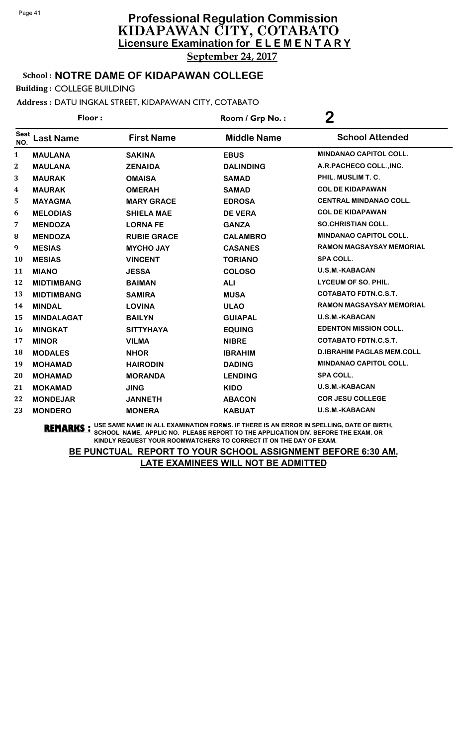School : **NOTRE DAME OF KIDAPAWAN COLLEGE**

Building : COLLEGE BUILDING

Address : DATU INGKAL STREET, KIDAPAWAN CITY, COTABATO

| Floor:             |                   |                    | Room / Grp No.:    | $\bf{2}$                         |  |
|--------------------|-------------------|--------------------|--------------------|----------------------------------|--|
| <b>Seat</b><br>NO. | <b>Last Name</b>  | <b>First Name</b>  | <b>Middle Name</b> | <b>School Attended</b>           |  |
| $\mathbf{1}$       | <b>MAULANA</b>    | <b>SAKINA</b>      | <b>EBUS</b>        | <b>MINDANAO CAPITOL COLL.</b>    |  |
| $\overline{2}$     | <b>MAULANA</b>    | <b>ZENAIDA</b>     | <b>DALINDING</b>   | A.R.PACHECO COLL., INC.          |  |
| 3                  | <b>MAURAK</b>     | <b>OMAISA</b>      | <b>SAMAD</b>       | PHIL. MUSLIM T. C.               |  |
| 4                  | <b>MAURAK</b>     | <b>OMERAH</b>      | <b>SAMAD</b>       | <b>COL DE KIDAPAWAN</b>          |  |
| 5                  | <b>MAYAGMA</b>    | <b>MARY GRACE</b>  | <b>EDROSA</b>      | <b>CENTRAL MINDANAO COLL.</b>    |  |
| 6                  | <b>MELODIAS</b>   | <b>SHIELA MAE</b>  | <b>DE VERA</b>     | <b>COL DE KIDAPAWAN</b>          |  |
| 7                  | <b>MENDOZA</b>    | <b>LORNA FE</b>    | <b>GANZA</b>       | <b>SO.CHRISTIAN COLL.</b>        |  |
| 8                  | <b>MENDOZA</b>    | <b>RUBIE GRACE</b> | <b>CALAMBRO</b>    | <b>MINDANAO CAPITOL COLL.</b>    |  |
| 9                  | <b>MESIAS</b>     | <b>MYCHO JAY</b>   | <b>CASANES</b>     | RAMON MAGSAYSAY MEMORIAL         |  |
| 10                 | <b>MESIAS</b>     | <b>VINCENT</b>     | <b>TORIANO</b>     | <b>SPA COLL.</b>                 |  |
| 11                 | <b>MIANO</b>      | <b>JESSA</b>       | <b>COLOSO</b>      | <b>U.S.M.-KABACAN</b>            |  |
| 12                 | <b>MIDTIMBANG</b> | <b>BAIMAN</b>      | <b>ALI</b>         | LYCEUM OF SO. PHIL.              |  |
| 13                 | <b>MIDTIMBANG</b> | <b>SAMIRA</b>      | <b>MUSA</b>        | <b>COTABATO FDTN.C.S.T.</b>      |  |
| 14                 | <b>MINDAL</b>     | <b>LOVINA</b>      | <b>ULAO</b>        | RAMON MAGSAYSAY MEMORIAL         |  |
| 15                 | <b>MINDALAGAT</b> | <b>BAILYN</b>      | <b>GUIAPAL</b>     | <b>U.S.M.-KABACAN</b>            |  |
| 16                 | <b>MINGKAT</b>    | <b>SITTYHAYA</b>   | <b>EQUING</b>      | <b>EDENTON MISSION COLL.</b>     |  |
| 17                 | <b>MINOR</b>      | <b>VILMA</b>       | <b>NIBRE</b>       | <b>COTABATO FDTN.C.S.T.</b>      |  |
| 18                 | <b>MODALES</b>    | <b>NHOR</b>        | <b>IBRAHIM</b>     | <b>D.IBRAHIM PAGLAS MEM.COLL</b> |  |
| 19                 | <b>MOHAMAD</b>    | <b>HAIRODIN</b>    | <b>DADING</b>      | <b>MINDANAO CAPITOL COLL.</b>    |  |
| 20                 | <b>MOHAMAD</b>    | <b>MORANDA</b>     | <b>LENDING</b>     | <b>SPA COLL.</b>                 |  |
| 21                 | <b>MOKAMAD</b>    | <b>JING</b>        | <b>KIDO</b>        | U.S.M.-KABACAN                   |  |
| 22                 | <b>MONDEJAR</b>   | <b>JANNETH</b>     | <b>ABACON</b>      | <b>COR JESU COLLEGE</b>          |  |
| 23                 | <b>MONDERO</b>    | <b>MONERA</b>      | <b>KABUAT</b>      | <b>U.S.M.-KABACAN</b>            |  |
|                    |                   |                    |                    |                                  |  |

**REMARKS :** USE SAME NAME IN ALL EXAMINATION FORMS. IF THERE IS AN ERROR IN SPELLING, DATE OF BIRTH, SCHOOL NAME, APPLIC NO. PLEASE REPORT TO THE APPLICATION DIV. BEFORE THE EXAM. OR KINDLY REQUEST YOUR ROOMWATCHERS TO CORRECT IT ON THE DAY OF EXAM.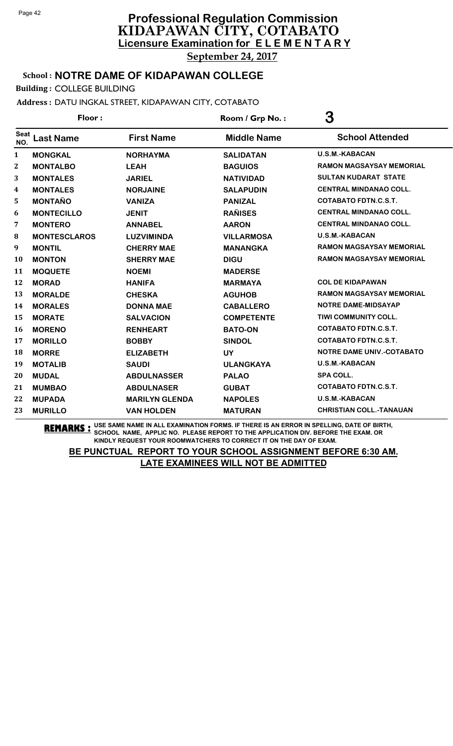### School : **NOTRE DAME OF KIDAPAWAN COLLEGE**

Building : COLLEGE BUILDING

Address : DATU INGKAL STREET, KIDAPAWAN CITY, COTABATO

| Floor:             |                     |                       | Room / Grp No.:    | 3                                |  |
|--------------------|---------------------|-----------------------|--------------------|----------------------------------|--|
| <b>Seat</b><br>NO. | <b>Last Name</b>    | <b>First Name</b>     | <b>Middle Name</b> | <b>School Attended</b>           |  |
| $\mathbf{1}$       | <b>MONGKAL</b>      | <b>NORHAYMA</b>       | <b>SALIDATAN</b>   | <b>U.S.M.-KABACAN</b>            |  |
| $\bf{2}$           | <b>MONTALBO</b>     | <b>LEAH</b>           | <b>BAGUIOS</b>     | RAMON MAGSAYSAY MEMORIAL         |  |
| 3                  | <b>MONTALES</b>     | <b>JARIEL</b>         | <b>NATIVIDAD</b>   | <b>SULTAN KUDARAT STATE</b>      |  |
| 4                  | <b>MONTALES</b>     | <b>NORJAINE</b>       | <b>SALAPUDIN</b>   | <b>CENTRAL MINDANAO COLL.</b>    |  |
| 5                  | <b>MONTAÑO</b>      | <b>VANIZA</b>         | <b>PANIZAL</b>     | <b>COTABATO FDTN.C.S.T.</b>      |  |
| 6                  | <b>MONTECILLO</b>   | <b>JENIT</b>          | <b>RAÑISES</b>     | <b>CENTRAL MINDANAO COLL.</b>    |  |
| 7                  | <b>MONTERO</b>      | <b>ANNABEL</b>        | <b>AARON</b>       | <b>CENTRAL MINDANAO COLL.</b>    |  |
| ${\bf 8}$          | <b>MONTESCLAROS</b> | <b>LUZVIMINDA</b>     | <b>VILLARMOSA</b>  | <b>U.S.M.-KABACAN</b>            |  |
| 9                  | <b>MONTIL</b>       | <b>CHERRY MAE</b>     | <b>MANANGKA</b>    | RAMON MAGSAYSAY MEMORIAL         |  |
| 10                 | <b>MONTON</b>       | <b>SHERRY MAE</b>     | <b>DIGU</b>        | RAMON MAGSAYSAY MEMORIAL         |  |
| 11                 | <b>MOQUETE</b>      | <b>NOEMI</b>          | <b>MADERSE</b>     |                                  |  |
| 12                 | <b>MORAD</b>        | <b>HANIFA</b>         | <b>MARMAYA</b>     | <b>COL DE KIDAPAWAN</b>          |  |
| 13                 | <b>MORALDE</b>      | <b>CHESKA</b>         | <b>AGUHOB</b>      | <b>RAMON MAGSAYSAY MEMORIAL</b>  |  |
| 14                 | <b>MORALES</b>      | <b>DONNA MAE</b>      | <b>CABALLERO</b>   | <b>NOTRE DAME-MIDSAYAP</b>       |  |
| 15                 | <b>MORATE</b>       | <b>SALVACION</b>      | <b>COMPETENTE</b>  | TIWI COMMUNITY COLL.             |  |
| 16                 | <b>MORENO</b>       | <b>RENHEART</b>       | <b>BATO-ON</b>     | <b>COTABATO FDTN.C.S.T.</b>      |  |
| 17                 | <b>MORILLO</b>      | <b>BOBBY</b>          | <b>SINDOL</b>      | <b>COTABATO FDTN.C.S.T.</b>      |  |
| 18                 | <b>MORRE</b>        | <b>ELIZABETH</b>      | <b>UY</b>          | <b>NOTRE DAME UNIV.-COTABATO</b> |  |
| 19                 | <b>MOTALIB</b>      | <b>SAUDI</b>          | <b>ULANGKAYA</b>   | <b>U.S.M.-KABACAN</b>            |  |
| 20                 | <b>MUDAL</b>        | <b>ABDULNASSER</b>    | <b>PALAO</b>       | <b>SPA COLL.</b>                 |  |
| 21                 | <b>MUMBAO</b>       | <b>ABDULNASER</b>     | <b>GUBAT</b>       | <b>COTABATO FDTN.C.S.T.</b>      |  |
| 22                 | <b>MUPADA</b>       | <b>MARILYN GLENDA</b> | <b>NAPOLES</b>     | <b>U.S.M.-KABACAN</b>            |  |
| 23                 | <b>MURILLO</b>      | <b>VAN HOLDEN</b>     | <b>MATURAN</b>     | <b>CHRISTIAN COLL.-TANAUAN</b>   |  |

**REMARKS :** USE SAME NAME IN ALL EXAMINATION FORMS. IF THERE IS AN ERROR IN SPELLING, DATE OF BIRTH, SCHOOL NAME, APPLIC NO. PLEASE REPORT TO THE APPLICATION DIV. BEFORE THE EXAM. OR KINDLY REQUEST YOUR ROOMWATCHERS TO CORRECT IT ON THE DAY OF EXAM.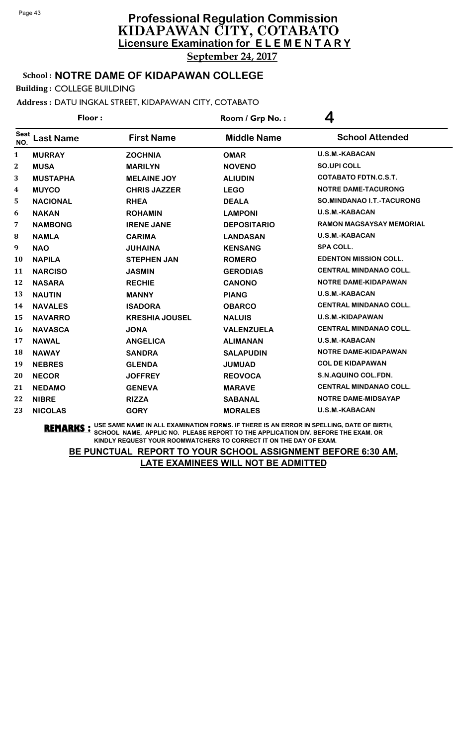School : **NOTRE DAME OF KIDAPAWAN COLLEGE**

Building : COLLEGE BUILDING

Address : DATU INGKAL STREET, KIDAPAWAN CITY, COTABATO

| Floor:             |                  |                       | Room / Grp No.:    | 4                               |  |
|--------------------|------------------|-----------------------|--------------------|---------------------------------|--|
| <b>Seat</b><br>NO. | <b>Last Name</b> | <b>First Name</b>     | <b>Middle Name</b> | <b>School Attended</b>          |  |
| $\mathbf{1}$       | <b>MURRAY</b>    | <b>ZOCHNIA</b>        | <b>OMAR</b>        | <b>U.S.M.-KABACAN</b>           |  |
| $\mathbf 2$        | <b>MUSA</b>      | <b>MARILYN</b>        | <b>NOVENO</b>      | <b>SO.UPI COLL</b>              |  |
| 3                  | <b>MUSTAPHA</b>  | <b>MELAINE JOY</b>    | <b>ALIUDIN</b>     | <b>COTABATO FDTN.C.S.T.</b>     |  |
| 4                  | <b>MUYCO</b>     | <b>CHRIS JAZZER</b>   | <b>LEGO</b>        | <b>NOTRE DAME-TACURONG</b>      |  |
| 5                  | <b>NACIONAL</b>  | <b>RHEA</b>           | <b>DEALA</b>       | SO.MINDANAO I.T.-TACURONG       |  |
| 6                  | <b>NAKAN</b>     | <b>ROHAMIN</b>        | <b>LAMPONI</b>     | U.S.M.-KABACAN                  |  |
| 7                  | <b>NAMBONG</b>   | <b>IRENE JANE</b>     | <b>DEPOSITARIO</b> | <b>RAMON MAGSAYSAY MEMORIAL</b> |  |
| 8                  | <b>NAMLA</b>     | <b>CARIMA</b>         | <b>LANDASAN</b>    | <b>U.S.M.-KABACAN</b>           |  |
| 9                  | <b>NAO</b>       | <b>JUHAINA</b>        | <b>KENSANG</b>     | <b>SPA COLL.</b>                |  |
| 10                 | <b>NAPILA</b>    | <b>STEPHEN JAN</b>    | <b>ROMERO</b>      | <b>EDENTON MISSION COLL.</b>    |  |
| 11                 | <b>NARCISO</b>   | <b>JASMIN</b>         | <b>GERODIAS</b>    | <b>CENTRAL MINDANAO COLL.</b>   |  |
| 12                 | <b>NASARA</b>    | <b>RECHIE</b>         | <b>CANONO</b>      | NOTRE DAME-KIDAPAWAN            |  |
| 13                 | <b>NAUTIN</b>    | <b>MANNY</b>          | <b>PIANG</b>       | <b>U.S.M.-KABACAN</b>           |  |
| 14                 | <b>NAVALES</b>   | <b>ISADORA</b>        | <b>OBARCO</b>      | <b>CENTRAL MINDANAO COLL.</b>   |  |
| 15                 | <b>NAVARRO</b>   | <b>KRESHIA JOUSEL</b> | <b>NALUIS</b>      | U.S.M.-KIDAPAWAN                |  |
| 16                 | <b>NAVASCA</b>   | <b>JONA</b>           | <b>VALENZUELA</b>  | <b>CENTRAL MINDANAO COLL.</b>   |  |
| 17                 | <b>NAWAL</b>     | <b>ANGELICA</b>       | <b>ALIMANAN</b>    | <b>U.S.M.-KABACAN</b>           |  |
| 18                 | <b>NAWAY</b>     | <b>SANDRA</b>         | <b>SALAPUDIN</b>   | NOTRE DAME-KIDAPAWAN            |  |
| 19                 | <b>NEBRES</b>    | <b>GLENDA</b>         | <b>JUMUAD</b>      | <b>COL DE KIDAPAWAN</b>         |  |
| 20                 | <b>NECOR</b>     | <b>JOFFREY</b>        | <b>REOVOCA</b>     | S.N.AQUINO COL.FDN.             |  |
| 21                 | <b>NEDAMO</b>    | <b>GENEVA</b>         | <b>MARAVE</b>      | <b>CENTRAL MINDANAO COLL.</b>   |  |
| 22                 | <b>NIBRE</b>     | <b>RIZZA</b>          | <b>SABANAL</b>     | NOTRE DAME-MIDSAYAP             |  |
| 23                 | <b>NICOLAS</b>   | <b>GORY</b>           | <b>MORALES</b>     | <b>U.S.M.-KABACAN</b>           |  |

**REMARKS :** USE SAME NAME IN ALL EXAMINATION FORMS. IF THERE IS AN ERROR IN SPELLING, DATE OF BIRTH, SCHOOL NAME, APPLIC NO. PLEASE REPORT TO THE APPLICATION DIV. BEFORE THE EXAM. OR KINDLY REQUEST YOUR ROOMWATCHERS TO CORRECT IT ON THE DAY OF EXAM.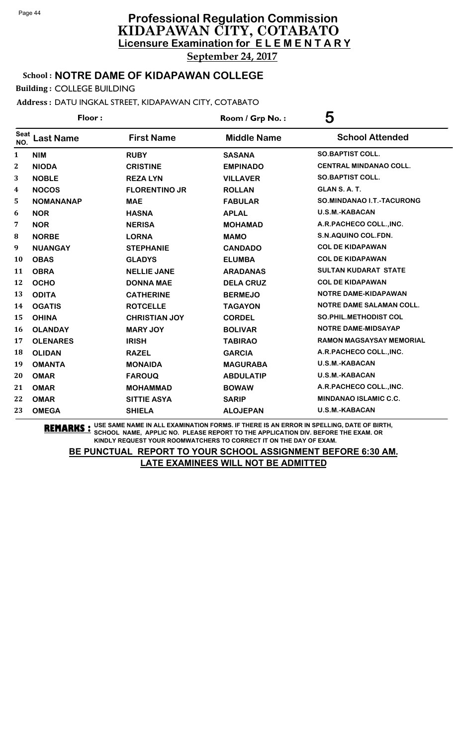### School : **NOTRE DAME OF KIDAPAWAN COLLEGE**

Building : COLLEGE BUILDING

### Address : DATU INGKAL STREET, KIDAPAWAN CITY, COTABATO

| Floor:             |                  |                      | Room / Grp No.:    | 5                               |  |
|--------------------|------------------|----------------------|--------------------|---------------------------------|--|
| <b>Seat</b><br>NO. | <b>Last Name</b> | <b>First Name</b>    | <b>Middle Name</b> | <b>School Attended</b>          |  |
| $\mathbf{1}$       | <b>NIM</b>       | <b>RUBY</b>          | <b>SASANA</b>      | <b>SO.BAPTIST COLL.</b>         |  |
| $\mathbf 2$        | <b>NIODA</b>     | <b>CRISTINE</b>      | <b>EMPINADO</b>    | <b>CENTRAL MINDANAO COLL.</b>   |  |
| 3                  | <b>NOBLE</b>     | <b>REZALYN</b>       | <b>VILLAVER</b>    | <b>SO.BAPTIST COLL.</b>         |  |
| 4                  | <b>NOCOS</b>     | <b>FLORENTINO JR</b> | <b>ROLLAN</b>      | GLAN S.A.T.                     |  |
| 5                  | <b>NOMANANAP</b> | <b>MAE</b>           | <b>FABULAR</b>     | SO.MINDANAO I.T.-TACURONG       |  |
| 6                  | <b>NOR</b>       | <b>HASNA</b>         | <b>APLAL</b>       | <b>U.S.M.-KABACAN</b>           |  |
| 7                  | <b>NOR</b>       | <b>NERISA</b>        | <b>MOHAMAD</b>     | A.R.PACHECO COLL., INC.         |  |
| 8                  | <b>NORBE</b>     | <b>LORNA</b>         | <b>MAMO</b>        | S.N.AQUINO COL.FDN.             |  |
| 9                  | <b>NUANGAY</b>   | <b>STEPHANIE</b>     | <b>CANDADO</b>     | <b>COL DE KIDAPAWAN</b>         |  |
| 10                 | <b>OBAS</b>      | <b>GLADYS</b>        | <b>ELUMBA</b>      | <b>COL DE KIDAPAWAN</b>         |  |
| 11                 | <b>OBRA</b>      | <b>NELLIE JANE</b>   | <b>ARADANAS</b>    | <b>SULTAN KUDARAT STATE</b>     |  |
| 12                 | <b>OCHO</b>      | <b>DONNA MAE</b>     | <b>DELA CRUZ</b>   | <b>COL DE KIDAPAWAN</b>         |  |
| 13                 | <b>ODITA</b>     | <b>CATHERINE</b>     | <b>BERMEJO</b>     | <b>NOTRE DAME-KIDAPAWAN</b>     |  |
| 14                 | <b>OGATIS</b>    | <b>ROTCELLE</b>      | <b>TAGAYON</b>     | <b>NOTRE DAME SALAMAN COLL.</b> |  |
| 15                 | <b>OHINA</b>     | <b>CHRISTIAN JOY</b> | <b>CORDEL</b>      | <b>SO.PHIL.METHODIST COL</b>    |  |
| 16                 | <b>OLANDAY</b>   | <b>MARY JOY</b>      | <b>BOLIVAR</b>     | NOTRE DAME-MIDSAYAP             |  |
| 17                 | <b>OLENARES</b>  | <b>IRISH</b>         | <b>TABIRAO</b>     | <b>RAMON MAGSAYSAY MEMORIAL</b> |  |
| 18                 | <b>OLIDAN</b>    | <b>RAZEL</b>         | <b>GARCIA</b>      | A.R.PACHECO COLL., INC.         |  |
| 19                 | <b>OMANTA</b>    | <b>MONAIDA</b>       | <b>MAGURABA</b>    | U.S.M.-KABACAN                  |  |
| 20                 | <b>OMAR</b>      | <b>FAROUQ</b>        | <b>ABDULATIP</b>   | <b>U.S.M.-KABACAN</b>           |  |
| 21                 | <b>OMAR</b>      | <b>MOHAMMAD</b>      | <b>BOWAW</b>       | A.R.PACHECO COLL., INC.         |  |
| 22                 | <b>OMAR</b>      | <b>SITTIE ASYA</b>   | <b>SARIP</b>       | MINDANAO ISLAMIC C.C.           |  |
| 23                 | <b>OMEGA</b>     | <b>SHIELA</b>        | <b>ALOJEPAN</b>    | <b>U.S.M.-KABACAN</b>           |  |

**REMARKS :** USE SAME NAME IN ALL EXAMINATION FORMS. IF THERE IS AN ERROR IN SPELLING, DATE OF BIRTH, SCHOOL NAME, APPLIC NO. PLEASE REPORT TO THE APPLICATION DIV. BEFORE THE EXAM. OR KINDLY REQUEST YOUR ROOMWATCHERS TO CORRECT IT ON THE DAY OF EXAM.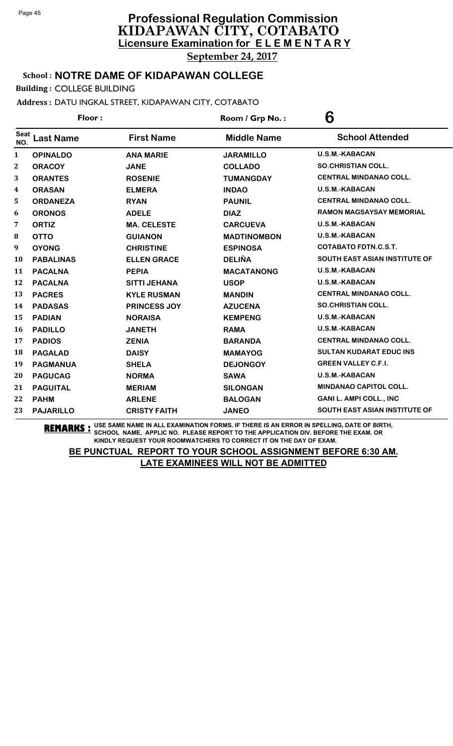### School : **NOTRE DAME OF KIDAPAWAN COLLEGE**

Building : COLLEGE BUILDING

Address : DATU INGKAL STREET, KIDAPAWAN CITY, COTABATO

| Floor:             |                  |                     | Room / Grp No.:    | 6                              |  |
|--------------------|------------------|---------------------|--------------------|--------------------------------|--|
| <b>Seat</b><br>NO. | <b>Last Name</b> | <b>First Name</b>   | <b>Middle Name</b> | <b>School Attended</b>         |  |
| 1                  | <b>OPINALDO</b>  | <b>ANA MARIE</b>    | <b>JARAMILLO</b>   | <b>U.S.M.-KABACAN</b>          |  |
| $\mathbf 2$        | <b>ORACOY</b>    | <b>JANE</b>         | <b>COLLADO</b>     | <b>SO.CHRISTIAN COLL.</b>      |  |
| 3                  | <b>ORANTES</b>   | <b>ROSENIE</b>      | <b>TUMANGDAY</b>   | <b>CENTRAL MINDANAO COLL.</b>  |  |
| 4                  | <b>ORASAN</b>    | <b>ELMERA</b>       | <b>INDAO</b>       | <b>U.S.M.-KABACAN</b>          |  |
| 5                  | <b>ORDANEZA</b>  | <b>RYAN</b>         | <b>PAUNIL</b>      | <b>CENTRAL MINDANAO COLL.</b>  |  |
| 6                  | <b>ORONOS</b>    | <b>ADELE</b>        | <b>DIAZ</b>        | RAMON MAGSAYSAY MEMORIAL       |  |
| 7                  | <b>ORTIZ</b>     | <b>MA. CELESTE</b>  | <b>CARCUEVA</b>    | <b>U.S.M.-KABACAN</b>          |  |
| 8                  | <b>OTTO</b>      | <b>GUIANON</b>      | <b>MADTINOMBON</b> | <b>U.S.M.-KABACAN</b>          |  |
| 9                  | <b>OYONG</b>     | <b>CHRISTINE</b>    | <b>ESPINOSA</b>    | <b>COTABATO FDTN.C.S.T.</b>    |  |
| 10                 | <b>PABALINAS</b> | <b>ELLEN GRACE</b>  | <b>DELIÑA</b>      | SOUTH EAST ASIAN INSTITUTE OF  |  |
| 11                 | <b>PACALNA</b>   | <b>PEPIA</b>        | <b>MACATANONG</b>  | <b>U.S.M.-KABACAN</b>          |  |
| 12                 | <b>PACALNA</b>   | <b>SITTI JEHANA</b> | <b>USOP</b>        | U.S.M.-KABACAN                 |  |
| 13                 | <b>PACRES</b>    | <b>KYLE RUSMAN</b>  | <b>MANDIN</b>      | <b>CENTRAL MINDANAO COLL.</b>  |  |
| 14                 | <b>PADASAS</b>   | <b>PRINCESS JOY</b> | <b>AZUCENA</b>     | <b>SO.CHRISTIAN COLL.</b>      |  |
| 15                 | <b>PADIAN</b>    | <b>NORAISA</b>      | <b>KEMPENG</b>     | <b>U.S.M.-KABACAN</b>          |  |
| 16                 | <b>PADILLO</b>   | <b>JANETH</b>       | <b>RAMA</b>        | U.S.M.-KABACAN                 |  |
| 17                 | <b>PADIOS</b>    | <b>ZENIA</b>        | <b>BARANDA</b>     | <b>CENTRAL MINDANAO COLL.</b>  |  |
| 18                 | <b>PAGALAD</b>   | <b>DAISY</b>        | <b>MAMAYOG</b>     | <b>SULTAN KUDARAT EDUC INS</b> |  |
| 19                 | <b>PAGMANUA</b>  | <b>SHELA</b>        | <b>DEJONGOY</b>    | <b>GREEN VALLEY C.F.I.</b>     |  |
| 20                 | <b>PAGUCAG</b>   | <b>NORMA</b>        | <b>SAWA</b>        | <b>U.S.M.-KABACAN</b>          |  |
| 21                 | <b>PAGUITAL</b>  | <b>MERIAM</b>       | <b>SILONGAN</b>    | <b>MINDANAO CAPITOL COLL.</b>  |  |
| 22                 | <b>PAHM</b>      | <b>ARLENE</b>       | <b>BALOGAN</b>     | <b>GANI L. AMPI COLL., INC</b> |  |
| 23                 | <b>PAJARILLO</b> | <b>CRISTY FAITH</b> | <b>JANEO</b>       | SOUTH EAST ASIAN INSTITUTE OF  |  |

**REMARKS :** USE SAME NAME IN ALL EXAMINATION FORMS. IF THERE IS AN ERROR IN SPELLING, DATE OF BIRTH, SCHOOL NAME, APPLIC NO. PLEASE REPORT TO THE APPLICATION DIV. BEFORE THE EXAM. OR KINDLY REQUEST YOUR ROOMWATCHERS TO CORRECT IT ON THE DAY OF EXAM.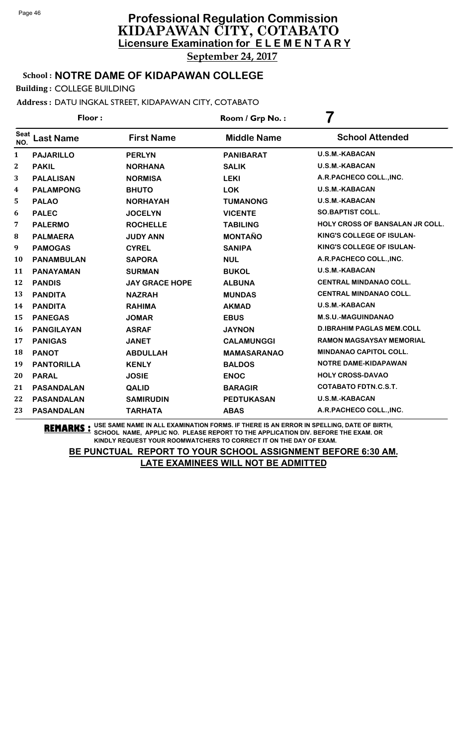School : **NOTRE DAME OF KIDAPAWAN COLLEGE**

Building : COLLEGE BUILDING

Address : DATU INGKAL STREET, KIDAPAWAN CITY, COTABATO

| Floor:             |                   |                       | Room / Grp No.:    | 7                                      |  |
|--------------------|-------------------|-----------------------|--------------------|----------------------------------------|--|
| <b>Seat</b><br>NO. | <b>Last Name</b>  | <b>First Name</b>     | <b>Middle Name</b> | <b>School Attended</b>                 |  |
| 1                  | <b>PAJARILLO</b>  | <b>PERLYN</b>         | <b>PANIBARAT</b>   | <b>U.S.M.-KABACAN</b>                  |  |
| 2                  | <b>PAKIL</b>      | <b>NORHANA</b>        | <b>SALIK</b>       | <b>U.S.M.-KABACAN</b>                  |  |
| 3                  | <b>PALALISAN</b>  | <b>NORMISA</b>        | <b>LEKI</b>        | A.R.PACHECO COLL., INC.                |  |
| 4                  | <b>PALAMPONG</b>  | <b>BHUTO</b>          | <b>LOK</b>         | <b>U.S.M.-KABACAN</b>                  |  |
| 5                  | <b>PALAO</b>      | <b>NORHAYAH</b>       | <b>TUMANONG</b>    | U.S.M.-KABACAN                         |  |
| 6                  | <b>PALEC</b>      | <b>JOCELYN</b>        | <b>VICENTE</b>     | <b>SO.BAPTIST COLL.</b>                |  |
| 7                  | <b>PALERMO</b>    | <b>ROCHELLE</b>       | <b>TABILING</b>    | <b>HOLY CROSS OF BANSALAN JR COLL.</b> |  |
| 8                  | <b>PALMAERA</b>   | <b>JUDY ANN</b>       | <b>MONTAÑO</b>     | KING'S COLLEGE OF ISULAN-              |  |
| 9                  | <b>PAMOGAS</b>    | <b>CYREL</b>          | <b>SANIPA</b>      | KING'S COLLEGE OF ISULAN-              |  |
| 10                 | <b>PANAMBULAN</b> | <b>SAPORA</b>         | <b>NUL</b>         | A.R.PACHECO COLL., INC.                |  |
| 11                 | <b>PANAYAMAN</b>  | <b>SURMAN</b>         | <b>BUKOL</b>       | <b>U.S.M.-KABACAN</b>                  |  |
| 12                 | <b>PANDIS</b>     | <b>JAY GRACE HOPE</b> | <b>ALBUNA</b>      | <b>CENTRAL MINDANAO COLL.</b>          |  |
| 13                 | <b>PANDITA</b>    | <b>NAZRAH</b>         | <b>MUNDAS</b>      | <b>CENTRAL MINDANAO COLL.</b>          |  |
| 14                 | <b>PANDITA</b>    | <b>RAHIMA</b>         | <b>AKMAD</b>       | <b>U.S.M.-KABACAN</b>                  |  |
| 15                 | <b>PANEGAS</b>    | <b>JOMAR</b>          | <b>EBUS</b>        | <b>M.S.U.-MAGUINDANAO</b>              |  |
| 16                 | <b>PANGILAYAN</b> | <b>ASRAF</b>          | <b>JAYNON</b>      | <b>D.IBRAHIM PAGLAS MEM.COLL</b>       |  |
| 17                 | <b>PANIGAS</b>    | <b>JANET</b>          | <b>CALAMUNGGI</b>  | <b>RAMON MAGSAYSAY MEMORIAL</b>        |  |
| 18                 | <b>PANOT</b>      | <b>ABDULLAH</b>       | <b>MAMASARANAO</b> | <b>MINDANAO CAPITOL COLL.</b>          |  |
| 19                 | <b>PANTORILLA</b> | <b>KENLY</b>          | <b>BALDOS</b>      | <b>NOTRE DAME-KIDAPAWAN</b>            |  |
| 20                 | <b>PARAL</b>      | <b>JOSIE</b>          | <b>ENOC</b>        | <b>HOLY CROSS-DAVAO</b>                |  |
| 21                 | <b>PASANDALAN</b> | QALID                 | <b>BARAGIR</b>     | <b>COTABATO FDTN.C.S.T.</b>            |  |
| 22                 | <b>PASANDALAN</b> | <b>SAMIRUDIN</b>      | <b>PEDTUKASAN</b>  | U.S.M.-KABACAN                         |  |
| 23                 | <b>PASANDALAN</b> | <b>TARHATA</b>        | <b>ABAS</b>        | A.R.PACHECO COLL., INC.                |  |

**REMARKS :** USE SAME NAME IN ALL EXAMINATION FORMS. IF THERE IS AN ERROR IN SPELLING, DATE OF BIRTH, SCHOOL NAME, APPLIC NO. PLEASE REPORT TO THE APPLICATION DIV. BEFORE THE EXAM. OR KINDLY REQUEST YOUR ROOMWATCHERS TO CORRECT IT ON THE DAY OF EXAM.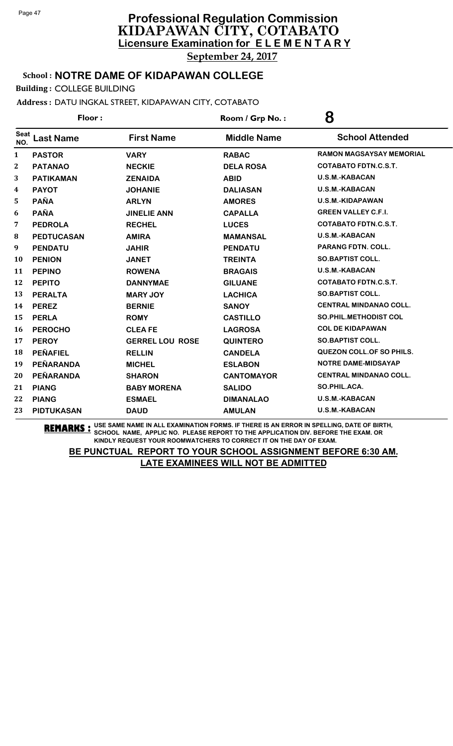### School : **NOTRE DAME OF KIDAPAWAN COLLEGE**

Building : COLLEGE BUILDING

### Address : DATU INGKAL STREET, KIDAPAWAN CITY, COTABATO

| Floor:             |                   |                        | Room / Grp No.:    | 8                                |  |
|--------------------|-------------------|------------------------|--------------------|----------------------------------|--|
| <b>Seat</b><br>NO. | <b>Last Name</b>  | <b>First Name</b>      | <b>Middle Name</b> | <b>School Attended</b>           |  |
| $\mathbf{1}$       | <b>PASTOR</b>     | <b>VARY</b>            | <b>RABAC</b>       | <b>RAMON MAGSAYSAY MEMORIAL</b>  |  |
| $\overline{2}$     | <b>PATANAO</b>    | <b>NECKIE</b>          | <b>DELA ROSA</b>   | <b>COTABATO FDTN.C.S.T.</b>      |  |
| 3                  | <b>PATIKAMAN</b>  | <b>ZENAIDA</b>         | <b>ABID</b>        | <b>U.S.M.-KABACAN</b>            |  |
| 4                  | <b>PAYOT</b>      | <b>JOHANIE</b>         | <b>DALIASAN</b>    | <b>U.S.M.-KABACAN</b>            |  |
| 5                  | <b>PAÑA</b>       | <b>ARLYN</b>           | <b>AMORES</b>      | U.S.M.-KIDAPAWAN                 |  |
| 6                  | <b>PAÑA</b>       | <b>JINELIE ANN</b>     | <b>CAPALLA</b>     | <b>GREEN VALLEY C.F.I.</b>       |  |
| 7                  | <b>PEDROLA</b>    | <b>RECHEL</b>          | <b>LUCES</b>       | <b>COTABATO FDTN.C.S.T.</b>      |  |
| 8                  | <b>PEDTUCASAN</b> | <b>AMIRA</b>           | <b>MAMANSAL</b>    | <b>U.S.M.-KABACAN</b>            |  |
| 9                  | <b>PENDATU</b>    | <b>JAHIR</b>           | <b>PENDATU</b>     | <b>PARANG FDTN. COLL.</b>        |  |
| 10                 | <b>PENION</b>     | <b>JANET</b>           | <b>TREINTA</b>     | <b>SO.BAPTIST COLL.</b>          |  |
| 11                 | <b>PEPINO</b>     | <b>ROWENA</b>          | <b>BRAGAIS</b>     | <b>U.S.M.-KABACAN</b>            |  |
| 12                 | <b>PEPITO</b>     | <b>DANNYMAE</b>        | <b>GILUANE</b>     | <b>COTABATO FDTN.C.S.T.</b>      |  |
| 13                 | <b>PERALTA</b>    | <b>MARY JOY</b>        | <b>LACHICA</b>     | <b>SO.BAPTIST COLL.</b>          |  |
| 14                 | <b>PEREZ</b>      | <b>BERNIE</b>          | <b>SANOY</b>       | <b>CENTRAL MINDANAO COLL.</b>    |  |
| 15                 | <b>PERLA</b>      | <b>ROMY</b>            | <b>CASTILLO</b>    | <b>SO.PHIL.METHODIST COL</b>     |  |
| 16                 | <b>PEROCHO</b>    | <b>CLEAFE</b>          | <b>LAGROSA</b>     | <b>COL DE KIDAPAWAN</b>          |  |
| 17                 | <b>PEROY</b>      | <b>GERREL LOU ROSE</b> | <b>QUINTERO</b>    | <b>SO.BAPTIST COLL.</b>          |  |
| 18                 | <b>PEÑAFIEL</b>   | <b>RELLIN</b>          | <b>CANDELA</b>     | <b>QUEZON COLL. OF SO PHILS.</b> |  |
| 19                 | PEÑARANDA         | <b>MICHEL</b>          | <b>ESLABON</b>     | NOTRE DAME-MIDSAYAP              |  |
| 20                 | PEÑARANDA         | <b>SHARON</b>          | <b>CANTOMAYOR</b>  | <b>CENTRAL MINDANAO COLL.</b>    |  |
| 21                 | <b>PIANG</b>      | <b>BABY MORENA</b>     | <b>SALIDO</b>      | SO.PHIL.ACA.                     |  |
| 22                 | <b>PIANG</b>      | <b>ESMAEL</b>          | <b>DIMANALAO</b>   | U.S.M.-KABACAN                   |  |
| 23                 | <b>PIDTUKASAN</b> | <b>DAUD</b>            | <b>AMULAN</b>      | <b>U.S.M.-KABACAN</b>            |  |

**REMARKS :** USE SAME NAME IN ALL EXAMINATION FORMS. IF THERE IS AN ERROR IN SPELLING, DATE OF BIRTH, SCHOOL NAME, APPLIC NO. PLEASE REPORT TO THE APPLICATION DIV. BEFORE THE EXAM. OR KINDLY REQUEST YOUR ROOMWATCHERS TO CORRECT IT ON THE DAY OF EXAM.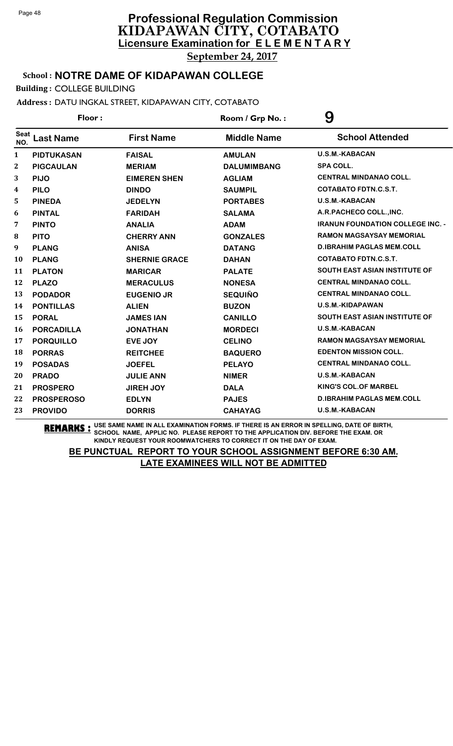### School : **NOTRE DAME OF KIDAPAWAN COLLEGE**

Building : COLLEGE BUILDING

Address : DATU INGKAL STREET, KIDAPAWAN CITY, COTABATO

| Floor:             |                   |                      | Room / Grp No.:    | 9                                       |  |
|--------------------|-------------------|----------------------|--------------------|-----------------------------------------|--|
| <b>Seat</b><br>NO. | <b>Last Name</b>  | <b>First Name</b>    | <b>Middle Name</b> | <b>School Attended</b>                  |  |
| $\mathbf{1}$       | <b>PIDTUKASAN</b> | <b>FAISAL</b>        | <b>AMULAN</b>      | <b>U.S.M.-KABACAN</b>                   |  |
| $\mathbf{2}$       | <b>PIGCAULAN</b>  | <b>MERIAM</b>        | <b>DALUMIMBANG</b> | <b>SPA COLL.</b>                        |  |
| 3                  | <b>PIJO</b>       | <b>EIMEREN SHEN</b>  | <b>AGLIAM</b>      | <b>CENTRAL MINDANAO COLL.</b>           |  |
| 4                  | <b>PILO</b>       | <b>DINDO</b>         | <b>SAUMPIL</b>     | <b>COTABATO FDTN.C.S.T.</b>             |  |
| 5                  | <b>PINEDA</b>     | <b>JEDELYN</b>       | <b>PORTABES</b>    | <b>U.S.M.-KABACAN</b>                   |  |
| 6                  | <b>PINTAL</b>     | <b>FARIDAH</b>       | <b>SALAMA</b>      | A.R.PACHECO COLL., INC.                 |  |
| 7                  | <b>PINTO</b>      | <b>ANALIA</b>        | <b>ADAM</b>        | <b>IRANUN FOUNDATION COLLEGE INC. -</b> |  |
| 8                  | <b>PITO</b>       | <b>CHERRY ANN</b>    | <b>GONZALES</b>    | <b>RAMON MAGSAYSAY MEMORIAL</b>         |  |
| 9                  | <b>PLANG</b>      | <b>ANISA</b>         | <b>DATANG</b>      | <b>D.IBRAHIM PAGLAS MEM.COLL</b>        |  |
| 10                 | <b>PLANG</b>      | <b>SHERNIE GRACE</b> | <b>DAHAN</b>       | <b>COTABATO FDTN.C.S.T.</b>             |  |
| 11                 | <b>PLATON</b>     | <b>MARICAR</b>       | <b>PALATE</b>      | <b>SOUTH EAST ASIAN INSTITUTE OF</b>    |  |
| 12                 | <b>PLAZO</b>      | <b>MERACULUS</b>     | <b>NONESA</b>      | <b>CENTRAL MINDANAO COLL.</b>           |  |
| 13                 | <b>PODADOR</b>    | <b>EUGENIO JR</b>    | <b>SEQUIÑO</b>     | <b>CENTRAL MINDANAO COLL.</b>           |  |
| 14                 | <b>PONTILLAS</b>  | <b>ALIEN</b>         | <b>BUZON</b>       | U.S.M.-KIDAPAWAN                        |  |
| 15                 | <b>PORAL</b>      | <b>JAMES IAN</b>     | <b>CANILLO</b>     | SOUTH EAST ASIAN INSTITUTE OF           |  |
| 16                 | <b>PORCADILLA</b> | <b>JONATHAN</b>      | <b>MORDECI</b>     | <b>U.S.M.-KABACAN</b>                   |  |
| 17                 | <b>PORQUILLO</b>  | EVE JOY              | <b>CELINO</b>      | <b>RAMON MAGSAYSAY MEMORIAL</b>         |  |
| 18                 | <b>PORRAS</b>     | <b>REITCHEE</b>      | <b>BAQUERO</b>     | <b>EDENTON MISSION COLL.</b>            |  |
| 19                 | <b>POSADAS</b>    | <b>JOEFEL</b>        | <b>PELAYO</b>      | <b>CENTRAL MINDANAO COLL.</b>           |  |
| 20                 | <b>PRADO</b>      | <b>JULIE ANN</b>     | <b>NIMER</b>       | <b>U.S.M.-KABACAN</b>                   |  |
| 21                 | <b>PROSPERO</b>   | <b>JIREH JOY</b>     | <b>DALA</b>        | <b>KING'S COL.OF MARBEL</b>             |  |
| 22                 | <b>PROSPEROSO</b> | <b>EDLYN</b>         | <b>PAJES</b>       | <b>D.IBRAHIM PAGLAS MEM.COLL</b>        |  |
| 23                 | <b>PROVIDO</b>    | <b>DORRIS</b>        | <b>CAHAYAG</b>     | <b>U.S.M.-KABACAN</b>                   |  |

**REMARKS :** USE SAME NAME IN ALL EXAMINATION FORMS. IF THERE IS AN ERROR IN SPELLING, DATE OF BIRTH, SCHOOL NAME, APPLIC NO. PLEASE REPORT TO THE APPLICATION DIV. BEFORE THE EXAM. OR KINDLY REQUEST YOUR ROOMWATCHERS TO CORRECT IT ON THE DAY OF EXAM.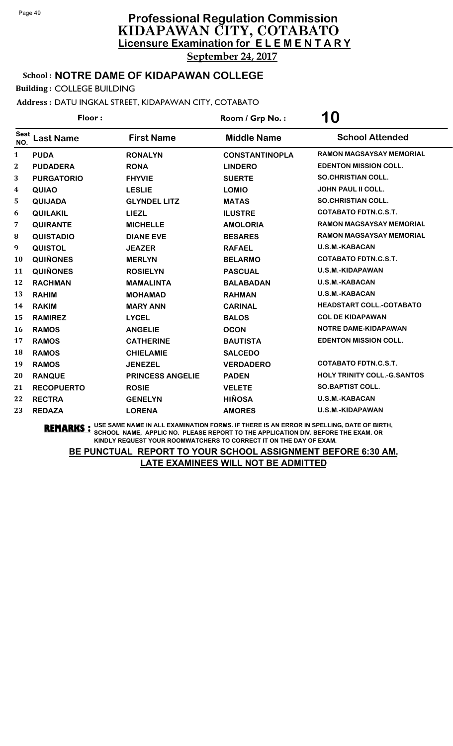### School : **NOTRE DAME OF KIDAPAWAN COLLEGE**

Building : COLLEGE BUILDING

Address : DATU INGKAL STREET, KIDAPAWAN CITY, COTABATO

| Floor:             |                   |                         | Room / Grp No.:       | 10                                 |  |
|--------------------|-------------------|-------------------------|-----------------------|------------------------------------|--|
| <b>Seat</b><br>NO. | <b>Last Name</b>  | <b>First Name</b>       | <b>Middle Name</b>    | <b>School Attended</b>             |  |
| $\mathbf{1}$       | <b>PUDA</b>       | <b>RONALYN</b>          | <b>CONSTANTINOPLA</b> | <b>RAMON MAGSAYSAY MEMORIAL</b>    |  |
| $\mathbf 2$        | <b>PUDADERA</b>   | <b>RONA</b>             | <b>LINDERO</b>        | <b>EDENTON MISSION COLL.</b>       |  |
| 3                  | <b>PURGATORIO</b> | <b>FHYVIE</b>           | <b>SUERTE</b>         | <b>SO.CHRISTIAN COLL.</b>          |  |
| 4                  | <b>QUIAO</b>      | <b>LESLIE</b>           | <b>LOMIO</b>          | <b>JOHN PAUL II COLL.</b>          |  |
| 5                  | QUIJADA           | <b>GLYNDEL LITZ</b>     | <b>MATAS</b>          | <b>SO.CHRISTIAN COLL.</b>          |  |
| 6                  | <b>QUILAKIL</b>   | <b>LIEZL</b>            | <b>ILUSTRE</b>        | <b>COTABATO FDTN.C.S.T.</b>        |  |
| 7                  | <b>QUIRANTE</b>   | <b>MICHELLE</b>         | <b>AMOLORIA</b>       | <b>RAMON MAGSAYSAY MEMORIAL</b>    |  |
| 8                  | <b>QUISTADIO</b>  | <b>DIANE EVE</b>        | <b>BESARES</b>        | <b>RAMON MAGSAYSAY MEMORIAL</b>    |  |
| 9                  | <b>QUISTOL</b>    | <b>JEAZER</b>           | <b>RAFAEL</b>         | <b>U.S.M.-KABACAN</b>              |  |
| 10                 | <b>QUIÑONES</b>   | <b>MERLYN</b>           | <b>BELARMO</b>        | <b>COTABATO FDTN.C.S.T.</b>        |  |
| 11                 | <b>QUIÑONES</b>   | <b>ROSIELYN</b>         | <b>PASCUAL</b>        | <b>U.S.M.-KIDAPAWAN</b>            |  |
| 12                 | <b>RACHMAN</b>    | <b>MAMALINTA</b>        | <b>BALABADAN</b>      | U.S.M.-KABACAN                     |  |
| 13                 | <b>RAHIM</b>      | <b>MOHAMAD</b>          | <b>RAHMAN</b>         | <b>U.S.M.-KABACAN</b>              |  |
| 14                 | <b>RAKIM</b>      | <b>MARY ANN</b>         | <b>CARINAL</b>        | <b>HEADSTART COLL.-COTABATO</b>    |  |
| 15                 | <b>RAMIREZ</b>    | <b>LYCEL</b>            | <b>BALOS</b>          | <b>COL DE KIDAPAWAN</b>            |  |
| 16                 | <b>RAMOS</b>      | <b>ANGELIE</b>          | <b>OCON</b>           | NOTRE DAME-KIDAPAWAN               |  |
| 17                 | <b>RAMOS</b>      | <b>CATHERINE</b>        | <b>BAUTISTA</b>       | <b>EDENTON MISSION COLL.</b>       |  |
| 18                 | <b>RAMOS</b>      | <b>CHIELAMIE</b>        | <b>SALCEDO</b>        |                                    |  |
| 19                 | <b>RAMOS</b>      | <b>JENEZEL</b>          | <b>VERDADERO</b>      | <b>COTABATO FDTN.C.S.T.</b>        |  |
| 20                 | <b>RANQUE</b>     | <b>PRINCESS ANGELIE</b> | <b>PADEN</b>          | <b>HOLY TRINITY COLL.-G.SANTOS</b> |  |
| 21                 | <b>RECOPUERTO</b> | <b>ROSIE</b>            | <b>VELETE</b>         | <b>SO.BAPTIST COLL.</b>            |  |
| 22                 | <b>RECTRA</b>     | <b>GENELYN</b>          | <b>HIÑOSA</b>         | U.S.M.-KABACAN                     |  |
| 23                 | <b>REDAZA</b>     | <b>LORENA</b>           | <b>AMORES</b>         | <b>U.S.M.-KIDAPAWAN</b>            |  |

**REMARKS :** USE SAME NAME IN ALL EXAMINATION FORMS. IF THERE IS AN ERROR IN SPELLING, DATE OF BIRTH, SCHOOL NAME, APPLIC NO. PLEASE REPORT TO THE APPLICATION DIV. BEFORE THE EXAM. OR KINDLY REQUEST YOUR ROOMWATCHERS TO CORRECT IT ON THE DAY OF EXAM.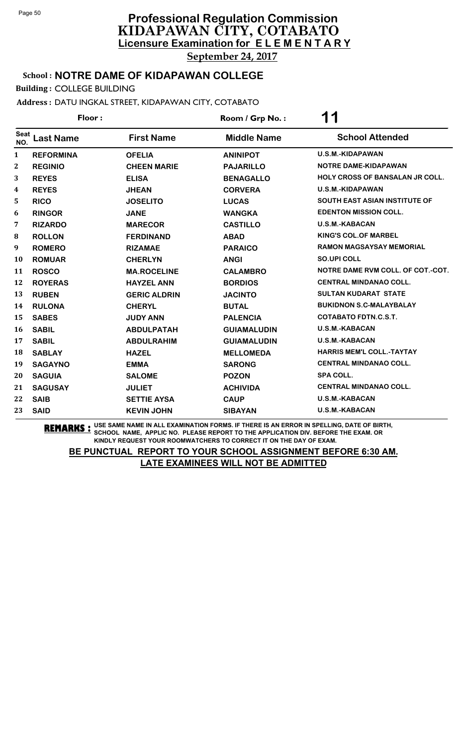School : **NOTRE DAME OF KIDAPAWAN COLLEGE**

Building : COLLEGE BUILDING

Address : DATU INGKAL STREET, KIDAPAWAN CITY, COTABATO

| Floor:             |                  |                     | Room / Grp No.:    | 11                                     |  |
|--------------------|------------------|---------------------|--------------------|----------------------------------------|--|
| <b>Seat</b><br>NO. | <b>Last Name</b> | <b>First Name</b>   | <b>Middle Name</b> | <b>School Attended</b>                 |  |
| $\mathbf{1}$       | <b>REFORMINA</b> | <b>OFELIA</b>       | <b>ANINIPOT</b>    | <b>U.S.M.-KIDAPAWAN</b>                |  |
| $\bf{2}$           | <b>REGINIO</b>   | <b>CHEEN MARIE</b>  | <b>PAJARILLO</b>   | <b>NOTRE DAME-KIDAPAWAN</b>            |  |
| 3                  | <b>REYES</b>     | <b>ELISA</b>        | <b>BENAGALLO</b>   | <b>HOLY CROSS OF BANSALAN JR COLL.</b> |  |
| 4                  | <b>REYES</b>     | <b>JHEAN</b>        | <b>CORVERA</b>     | U.S.M.-KIDAPAWAN                       |  |
| 5                  | <b>RICO</b>      | <b>JOSELITO</b>     | <b>LUCAS</b>       | <b>SOUTH EAST ASIAN INSTITUTE OF</b>   |  |
| 6                  | <b>RINGOR</b>    | <b>JANE</b>         | <b>WANGKA</b>      | <b>EDENTON MISSION COLL.</b>           |  |
| 7                  | <b>RIZARDO</b>   | <b>MARECOR</b>      | <b>CASTILLO</b>    | <b>U.S.M.-KABACAN</b>                  |  |
| 8                  | <b>ROLLON</b>    | <b>FERDINAND</b>    | <b>ABAD</b>        | <b>KING'S COL.OF MARBEL</b>            |  |
| 9                  | <b>ROMERO</b>    | <b>RIZAMAE</b>      | <b>PARAICO</b>     | <b>RAMON MAGSAYSAY MEMORIAL</b>        |  |
| 10                 | <b>ROMUAR</b>    | <b>CHERLYN</b>      | <b>ANGI</b>        | <b>SO.UPI COLL</b>                     |  |
| 11                 | <b>ROSCO</b>     | <b>MA.ROCELINE</b>  | <b>CALAMBRO</b>    | NOTRE DAME RVM COLL. OF COT.-COT.      |  |
| 12                 | <b>ROYERAS</b>   | <b>HAYZEL ANN</b>   | <b>BORDIOS</b>     | <b>CENTRAL MINDANAO COLL.</b>          |  |
| 13                 | <b>RUBEN</b>     | <b>GERIC ALDRIN</b> | <b>JACINTO</b>     | <b>SULTAN KUDARAT STATE</b>            |  |
| 14                 | <b>RULONA</b>    | <b>CHERYL</b>       | <b>BUTAL</b>       | <b>BUKIDNON S.C-MALAYBALAY</b>         |  |
| 15                 | <b>SABES</b>     | <b>JUDY ANN</b>     | <b>PALENCIA</b>    | COTABATO FDTN.C.S.T.                   |  |
| 16                 | <b>SABIL</b>     | <b>ABDULPATAH</b>   | <b>GUIAMALUDIN</b> | <b>U.S.M.-KABACAN</b>                  |  |
| 17                 | <b>SABIL</b>     | <b>ABDULRAHIM</b>   | <b>GUIAMALUDIN</b> | U.S.M.-KABACAN                         |  |
| 18                 | <b>SABLAY</b>    | <b>HAZEL</b>        | <b>MELLOMEDA</b>   | <b>HARRIS MEM'L COLL.-TAYTAY</b>       |  |
| 19                 | <b>SAGAYNO</b>   | <b>EMMA</b>         | <b>SARONG</b>      | <b>CENTRAL MINDANAO COLL.</b>          |  |
| 20                 | <b>SAGUIA</b>    | <b>SALOME</b>       | <b>POZON</b>       | <b>SPA COLL.</b>                       |  |
| 21                 | <b>SAGUSAY</b>   | <b>JULIET</b>       | <b>ACHIVIDA</b>    | <b>CENTRAL MINDANAO COLL.</b>          |  |
| 22                 | <b>SAIB</b>      | <b>SETTIE AYSA</b>  | <b>CAUP</b>        | U.S.M.-KABACAN                         |  |
| 23                 | <b>SAID</b>      | <b>KEVIN JOHN</b>   | <b>SIBAYAN</b>     | <b>U.S.M.-KABACAN</b>                  |  |

**REMARKS :** USE SAME NAME IN ALL EXAMINATION FORMS. IF THERE IS AN ERROR IN SPELLING, DATE OF BIRTH, SCHOOL NAME, APPLIC NO. PLEASE REPORT TO THE APPLICATION DIV. BEFORE THE EXAM. OR KINDLY REQUEST YOUR ROOMWATCHERS TO CORRECT IT ON THE DAY OF EXAM.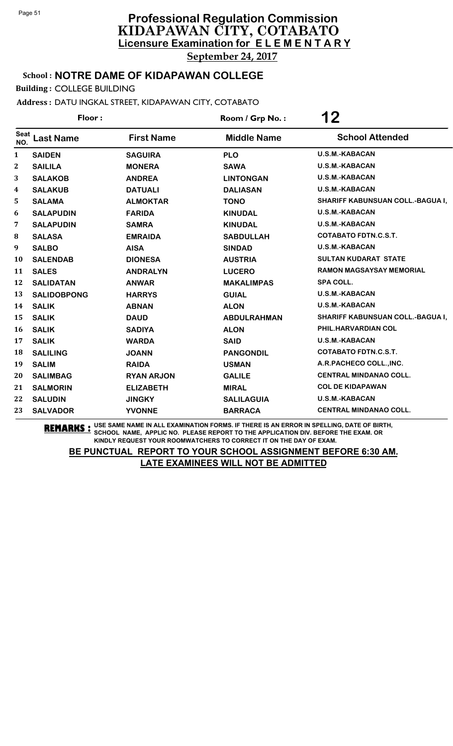School : **NOTRE DAME OF KIDAPAWAN COLLEGE**

Building : COLLEGE BUILDING

Address : DATU INGKAL STREET, KIDAPAWAN CITY, COTABATO

| Floor:             |                    |                   | Room / Grp No.:    | 12                               |  |
|--------------------|--------------------|-------------------|--------------------|----------------------------------|--|
| <b>Seat</b><br>NO. | <b>Last Name</b>   | <b>First Name</b> | <b>Middle Name</b> | <b>School Attended</b>           |  |
| 1                  | <b>SAIDEN</b>      | <b>SAGUIRA</b>    | <b>PLO</b>         | <b>U.S.M.-KABACAN</b>            |  |
| 2                  | <b>SAILILA</b>     | <b>MONERA</b>     | <b>SAWA</b>        | <b>U.S.M.-KABACAN</b>            |  |
| 3                  | <b>SALAKOB</b>     | <b>ANDREA</b>     | <b>LINTONGAN</b>   | U.S.M.-KABACAN                   |  |
| 4                  | <b>SALAKUB</b>     | <b>DATUALI</b>    | <b>DALIASAN</b>    | <b>U.S.M.-KABACAN</b>            |  |
| 5                  | <b>SALAMA</b>      | <b>ALMOKTAR</b>   | <b>TONO</b>        | SHARIFF KABUNSUAN COLL.-BAGUA I, |  |
| 6                  | <b>SALAPUDIN</b>   | <b>FARIDA</b>     | <b>KINUDAL</b>     | <b>U.S.M.-KABACAN</b>            |  |
| 7                  | <b>SALAPUDIN</b>   | <b>SAMRA</b>      | <b>KINUDAL</b>     | <b>U.S.M.-KABACAN</b>            |  |
| 8                  | <b>SALASA</b>      | <b>EMRAIDA</b>    | <b>SABDULLAH</b>   | <b>COTABATO FDTN.C.S.T.</b>      |  |
| 9                  | <b>SALBO</b>       | <b>AISA</b>       | <b>SINDAD</b>      | <b>U.S.M.-KABACAN</b>            |  |
| 10                 | <b>SALENDAB</b>    | <b>DIONESA</b>    | <b>AUSTRIA</b>     | <b>SULTAN KUDARAT STATE</b>      |  |
| 11                 | <b>SALES</b>       | <b>ANDRALYN</b>   | <b>LUCERO</b>      | <b>RAMON MAGSAYSAY MEMORIAL</b>  |  |
| 12                 | <b>SALIDATAN</b>   | <b>ANWAR</b>      | <b>MAKALIMPAS</b>  | <b>SPA COLL.</b>                 |  |
| 13                 | <b>SALIDOBPONG</b> | <b>HARRYS</b>     | <b>GUIAL</b>       | <b>U.S.M.-KABACAN</b>            |  |
| 14                 | <b>SALIK</b>       | <b>ABNAN</b>      | <b>ALON</b>        | <b>U.S.M.-KABACAN</b>            |  |
| 15                 | <b>SALIK</b>       | <b>DAUD</b>       | <b>ABDULRAHMAN</b> | SHARIFF KABUNSUAN COLL.-BAGUA I, |  |
| 16                 | <b>SALIK</b>       | <b>SADIYA</b>     | <b>ALON</b>        | PHIL.HARVARDIAN COL              |  |
| 17                 | <b>SALIK</b>       | <b>WARDA</b>      | <b>SAID</b>        | <b>U.S.M.-KABACAN</b>            |  |
| 18                 | <b>SALILING</b>    | <b>JOANN</b>      | <b>PANGONDIL</b>   | <b>COTABATO FDTN.C.S.T.</b>      |  |
| 19                 | <b>SALIM</b>       | <b>RAIDA</b>      | <b>USMAN</b>       | A.R.PACHECO COLL., INC.          |  |
| 20                 | <b>SALIMBAG</b>    | <b>RYAN ARJON</b> | <b>GALILE</b>      | <b>CENTRAL MINDANAO COLL.</b>    |  |
| 21                 | <b>SALMORIN</b>    | <b>ELIZABETH</b>  | <b>MIRAL</b>       | <b>COL DE KIDAPAWAN</b>          |  |
| 22                 | <b>SALUDIN</b>     | <b>JINGKY</b>     | <b>SALILAGUIA</b>  | U.S.M.-KABACAN                   |  |
| 23                 | <b>SALVADOR</b>    | <b>YVONNE</b>     | <b>BARRACA</b>     | <b>CENTRAL MINDANAO COLL.</b>    |  |

**REMARKS :** USE SAME NAME IN ALL EXAMINATION FORMS. IF THERE IS AN ERROR IN SPELLING, DATE OF BIRTH, SCHOOL NAME, APPLIC NO. PLEASE REPORT TO THE APPLICATION DIV. BEFORE THE EXAM. OR KINDLY REQUEST YOUR ROOMWATCHERS TO CORRECT IT ON THE DAY OF EXAM.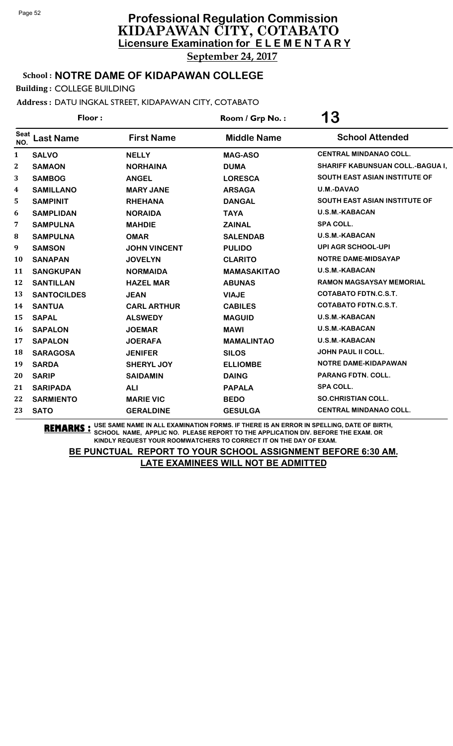School : **NOTRE DAME OF KIDAPAWAN COLLEGE**

Building : COLLEGE BUILDING

Address : DATU INGKAL STREET, KIDAPAWAN CITY, COTABATO

| Floor:             |                    |                     | Room / Grp No.:    | 13                                      |  |
|--------------------|--------------------|---------------------|--------------------|-----------------------------------------|--|
| <b>Seat</b><br>NO. | <b>Last Name</b>   | <b>First Name</b>   | <b>Middle Name</b> | <b>School Attended</b>                  |  |
| $\mathbf{1}$       | <b>SALVO</b>       | <b>NELLY</b>        | <b>MAG-ASO</b>     | <b>CENTRAL MINDANAO COLL.</b>           |  |
| 2                  | <b>SAMAON</b>      | <b>NORHAINA</b>     | <b>DUMA</b>        | <b>SHARIFF KABUNSUAN COLL.-BAGUA I,</b> |  |
| 3                  | <b>SAMBOG</b>      | <b>ANGEL</b>        | <b>LORESCA</b>     | <b>SOUTH EAST ASIAN INSTITUTE OF</b>    |  |
| 4                  | <b>SAMILLANO</b>   | <b>MARY JANE</b>    | <b>ARSAGA</b>      | U.M.-DAVAO                              |  |
| 5                  | <b>SAMPINIT</b>    | <b>RHEHANA</b>      | <b>DANGAL</b>      | <b>SOUTH EAST ASIAN INSTITUTE OF</b>    |  |
| 6                  | <b>SAMPLIDAN</b>   | <b>NORAIDA</b>      | <b>TAYA</b>        | <b>U.S.M.-KABACAN</b>                   |  |
| 7                  | <b>SAMPULNA</b>    | <b>MAHDIE</b>       | <b>ZAINAL</b>      | <b>SPA COLL.</b>                        |  |
| 8                  | <b>SAMPULNA</b>    | <b>OMAR</b>         | <b>SALENDAB</b>    | <b>U.S.M.-KABACAN</b>                   |  |
| 9                  | <b>SAMSON</b>      | <b>JOHN VINCENT</b> | <b>PULIDO</b>      | <b>UPI AGR SCHOOL-UPI</b>               |  |
| 10                 | <b>SANAPAN</b>     | <b>JOVELYN</b>      | <b>CLARITO</b>     | <b>NOTRE DAME-MIDSAYAP</b>              |  |
| 11                 | <b>SANGKUPAN</b>   | <b>NORMAIDA</b>     | <b>MAMASAKITAO</b> | U.S.M.-KABACAN                          |  |
| 12                 | <b>SANTILLAN</b>   | <b>HAZEL MAR</b>    | <b>ABUNAS</b>      | <b>RAMON MAGSAYSAY MEMORIAL</b>         |  |
| 13                 | <b>SANTOCILDES</b> | <b>JEAN</b>         | <b>VIAJE</b>       | <b>COTABATO FDTN.C.S.T.</b>             |  |
| 14                 | <b>SANTUA</b>      | <b>CARL ARTHUR</b>  | <b>CABILES</b>     | <b>COTABATO FDTN.C.S.T.</b>             |  |
| 15                 | <b>SAPAL</b>       | <b>ALSWEDY</b>      | <b>MAGUID</b>      | U.S.M.-KABACAN                          |  |
| 16                 | <b>SAPALON</b>     | <b>JOEMAR</b>       | <b>MAWI</b>        | U.S.M.-KABACAN                          |  |
| 17                 | <b>SAPALON</b>     | <b>JOERAFA</b>      | <b>MAMALINTAO</b>  | <b>U.S.M.-KABACAN</b>                   |  |
| 18                 | <b>SARAGOSA</b>    | <b>JENIFER</b>      | <b>SILOS</b>       | <b>JOHN PAUL II COLL.</b>               |  |
| 19                 | <b>SARDA</b>       | <b>SHERYL JOY</b>   | <b>ELLIOMBE</b>    | NOTRE DAME-KIDAPAWAN                    |  |
| 20                 | <b>SARIP</b>       | <b>SAIDAMIN</b>     | <b>DAING</b>       | <b>PARANG FDTN. COLL.</b>               |  |
| 21                 | <b>SARIPADA</b>    | <b>ALI</b>          | <b>PAPALA</b>      | <b>SPA COLL.</b>                        |  |
| 22                 | <b>SARMIENTO</b>   | <b>MARIE VIC</b>    | <b>BEDO</b>        | <b>SO.CHRISTIAN COLL.</b>               |  |
| 23                 | <b>SATO</b>        | <b>GERALDINE</b>    | <b>GESULGA</b>     | <b>CENTRAL MINDANAO COLL.</b>           |  |
|                    |                    |                     |                    |                                         |  |

**REMARKS :** USE SAME NAME IN ALL EXAMINATION FORMS. IF THERE IS AN ERROR IN SPELLING, DATE OF BIRTH, SCHOOL NAME, APPLIC NO. PLEASE REPORT TO THE APPLICATION DIV. BEFORE THE EXAM. OR KINDLY REQUEST YOUR ROOMWATCHERS TO CORRECT IT ON THE DAY OF EXAM.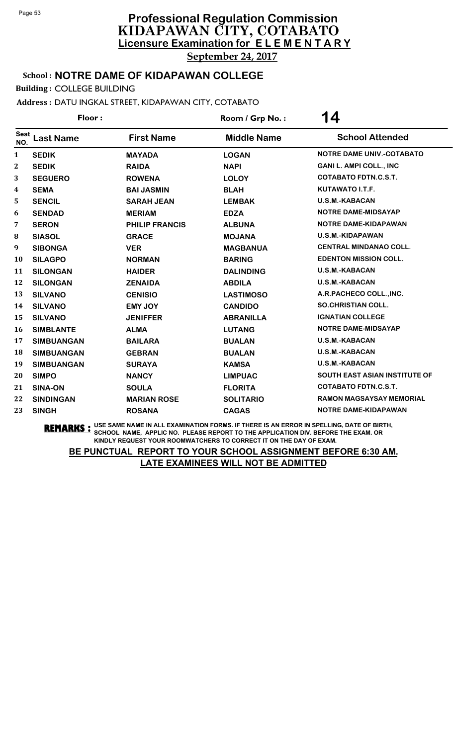School : **NOTRE DAME OF KIDAPAWAN COLLEGE**

Building : COLLEGE BUILDING

Address : DATU INGKAL STREET, KIDAPAWAN CITY, COTABATO

| Floor:             |                   |                       | Room / Grp No.:    | 14                                   |  |
|--------------------|-------------------|-----------------------|--------------------|--------------------------------------|--|
| <b>Seat</b><br>NO. | <b>Last Name</b>  | <b>First Name</b>     | <b>Middle Name</b> | <b>School Attended</b>               |  |
| $\mathbf{1}$       | <b>SEDIK</b>      | <b>MAYADA</b>         | <b>LOGAN</b>       | <b>NOTRE DAME UNIV.-COTABATO</b>     |  |
| 2                  | <b>SEDIK</b>      | <b>RAIDA</b>          | <b>NAPI</b>        | <b>GANI L. AMPI COLL., INC</b>       |  |
| 3                  | <b>SEGUERO</b>    | <b>ROWENA</b>         | <b>LOLOY</b>       | <b>COTABATO FDTN.C.S.T.</b>          |  |
| 4                  | <b>SEMA</b>       | <b>BAI JASMIN</b>     | <b>BLAH</b>        | KUTAWATO I.T.F.                      |  |
| 5                  | <b>SENCIL</b>     | <b>SARAH JEAN</b>     | <b>LEMBAK</b>      | <b>U.S.M.-KABACAN</b>                |  |
| 6                  | <b>SENDAD</b>     | <b>MERIAM</b>         | <b>EDZA</b>        | NOTRE DAME-MIDSAYAP                  |  |
| 7                  | <b>SERON</b>      | <b>PHILIP FRANCIS</b> | <b>ALBUNA</b>      | <b>NOTRE DAME-KIDAPAWAN</b>          |  |
| 8                  | <b>SIASOL</b>     | <b>GRACE</b>          | <b>MOJANA</b>      | <b>U.S.M.-KIDAPAWAN</b>              |  |
| 9                  | <b>SIBONGA</b>    | <b>VER</b>            | <b>MAGBANUA</b>    | <b>CENTRAL MINDANAO COLL.</b>        |  |
| 10                 | <b>SILAGPO</b>    | <b>NORMAN</b>         | <b>BARING</b>      | <b>EDENTON MISSION COLL.</b>         |  |
| 11                 | <b>SILONGAN</b>   | <b>HAIDER</b>         | <b>DALINDING</b>   | <b>U.S.M.-KABACAN</b>                |  |
| 12                 | <b>SILONGAN</b>   | <b>ZENAIDA</b>        | <b>ABDILA</b>      | <b>U.S.M.-KABACAN</b>                |  |
| 13                 | <b>SILVANO</b>    | <b>CENISIO</b>        | <b>LASTIMOSO</b>   | A.R.PACHECO COLL., INC.              |  |
| 14                 | <b>SILVANO</b>    | <b>EMY JOY</b>        | <b>CANDIDO</b>     | <b>SO.CHRISTIAN COLL.</b>            |  |
| 15                 | <b>SILVANO</b>    | <b>JENIFFER</b>       | <b>ABRANILLA</b>   | <b>IGNATIAN COLLEGE</b>              |  |
| 16                 | <b>SIMBLANTE</b>  | <b>ALMA</b>           | <b>LUTANG</b>      | <b>NOTRE DAME-MIDSAYAP</b>           |  |
| 17                 | <b>SIMBUANGAN</b> | <b>BAILARA</b>        | <b>BUALAN</b>      | <b>U.S.M.-KABACAN</b>                |  |
| 18                 | <b>SIMBUANGAN</b> | <b>GEBRAN</b>         | <b>BUALAN</b>      | <b>U.S.M.-KABACAN</b>                |  |
| 19                 | <b>SIMBUANGAN</b> | <b>SURAYA</b>         | <b>KAMSA</b>       | <b>U.S.M.-KABACAN</b>                |  |
| 20                 | <b>SIMPO</b>      | <b>NANCY</b>          | <b>LIMPUAC</b>     | <b>SOUTH EAST ASIAN INSTITUTE OF</b> |  |
| 21                 | <b>SINA-ON</b>    | <b>SOULA</b>          | <b>FLORITA</b>     | <b>COTABATO FDTN.C.S.T.</b>          |  |
| 22                 | <b>SINDINGAN</b>  | <b>MARIAN ROSE</b>    | <b>SOLITARIO</b>   | <b>RAMON MAGSAYSAY MEMORIAL</b>      |  |
| 23                 | <b>SINGH</b>      | <b>ROSANA</b>         | <b>CAGAS</b>       | <b>NOTRE DAME-KIDAPAWAN</b>          |  |

**REMARKS :** USE SAME NAME IN ALL EXAMINATION FORMS. IF THERE IS AN ERROR IN SPELLING, DATE OF BIRTH, SCHOOL NAME, APPLIC NO. PLEASE REPORT TO THE APPLICATION DIV. BEFORE THE EXAM. OR KINDLY REQUEST YOUR ROOMWATCHERS TO CORRECT IT ON THE DAY OF EXAM.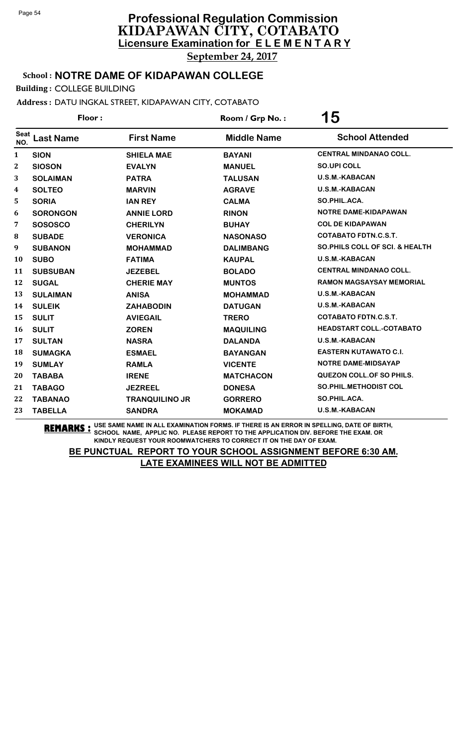School : **NOTRE DAME OF KIDAPAWAN COLLEGE**

Building : COLLEGE BUILDING

Address : DATU INGKAL STREET, KIDAPAWAN CITY, COTABATO

| Floor:             |                  |                       | Room / Grp No.:    | 15                                         |  |
|--------------------|------------------|-----------------------|--------------------|--------------------------------------------|--|
| <b>Seat</b><br>NO. | <b>Last Name</b> | <b>First Name</b>     | <b>Middle Name</b> | <b>School Attended</b>                     |  |
| 1                  | <b>SION</b>      | <b>SHIELA MAE</b>     | <b>BAYANI</b>      | <b>CENTRAL MINDANAO COLL.</b>              |  |
| 2                  | <b>SIOSON</b>    | <b>EVALYN</b>         | <b>MANUEL</b>      | <b>SO.UPI COLL</b>                         |  |
| 3                  | <b>SOLAIMAN</b>  | <b>PATRA</b>          | <b>TALUSAN</b>     | <b>U.S.M.-KABACAN</b>                      |  |
| 4                  | <b>SOLTEO</b>    | <b>MARVIN</b>         | <b>AGRAVE</b>      | <b>U.S.M.-KABACAN</b>                      |  |
| 5                  | <b>SORIA</b>     | <b>IAN REY</b>        | <b>CALMA</b>       | SO.PHIL.ACA.                               |  |
| 6                  | <b>SORONGON</b>  | <b>ANNIE LORD</b>     | <b>RINON</b>       | NOTRE DAME-KIDAPAWAN                       |  |
| 7                  | <b>SOSOSCO</b>   | <b>CHERILYN</b>       | <b>BUHAY</b>       | <b>COL DE KIDAPAWAN</b>                    |  |
| 8                  | <b>SUBADE</b>    | <b>VERONICA</b>       | <b>NASONASO</b>    | <b>COTABATO FDTN.C.S.T.</b>                |  |
| 9                  | <b>SUBANON</b>   | <b>MOHAMMAD</b>       | <b>DALIMBANG</b>   | <b>SO. PHILS COLL OF SCI. &amp; HEALTH</b> |  |
| 10                 | <b>SUBO</b>      | <b>FATIMA</b>         | <b>KAUPAL</b>      | <b>U.S.M.-KABACAN</b>                      |  |
| 11                 | <b>SUBSUBAN</b>  | <b>JEZEBEL</b>        | <b>BOLADO</b>      | <b>CENTRAL MINDANAO COLL.</b>              |  |
| 12                 | <b>SUGAL</b>     | <b>CHERIE MAY</b>     | <b>MUNTOS</b>      | <b>RAMON MAGSAYSAY MEMORIAL</b>            |  |
| 13                 | <b>SULAIMAN</b>  | <b>ANISA</b>          | <b>MOHAMMAD</b>    | <b>U.S.M.-KABACAN</b>                      |  |
| 14                 | <b>SULEIK</b>    | <b>ZAHABODIN</b>      | <b>DATUGAN</b>     | <b>U.S.M.-KABACAN</b>                      |  |
| 15                 | <b>SULIT</b>     | <b>AVIEGAIL</b>       | <b>TRERO</b>       | <b>COTABATO FDTN.C.S.T.</b>                |  |
| 16                 | <b>SULIT</b>     | <b>ZOREN</b>          | <b>MAQUILING</b>   | <b>HEADSTART COLL.-COTABATO</b>            |  |
| 17                 | <b>SULTAN</b>    | <b>NASRA</b>          | <b>DALANDA</b>     | <b>U.S.M.-KABACAN</b>                      |  |
| 18                 | <b>SUMAGKA</b>   | <b>ESMAEL</b>         | <b>BAYANGAN</b>    | <b>EASTERN KUTAWATO C.I.</b>               |  |
| 19                 | <b>SUMLAY</b>    | <b>RAMLA</b>          | <b>VICENTE</b>     | <b>NOTRE DAME-MIDSAYAP</b>                 |  |
| 20                 | <b>TABABA</b>    | <b>IRENE</b>          | <b>MATCHACON</b>   | <b>QUEZON COLL.OF SO PHILS.</b>            |  |
| 21                 | <b>TABAGO</b>    | <b>JEZREEL</b>        | <b>DONESA</b>      | <b>SO.PHIL.METHODIST COL</b>               |  |
| 22                 | <b>TABANAO</b>   | <b>TRANQUILINO JR</b> | <b>GORRERO</b>     | SO.PHIL.ACA.                               |  |
| 23                 | <b>TABELLA</b>   | <b>SANDRA</b>         | <b>MOKAMAD</b>     | <b>U.S.M.-KABACAN</b>                      |  |

**REMARKS :** USE SAME NAME IN ALL EXAMINATION FORMS. IF THERE IS AN ERROR IN SPELLING, DATE OF BIRTH, SCHOOL NAME, APPLIC NO. PLEASE REPORT TO THE APPLICATION DIV. BEFORE THE EXAM. OR KINDLY REQUEST YOUR ROOMWATCHERS TO CORRECT IT ON THE DAY OF EXAM.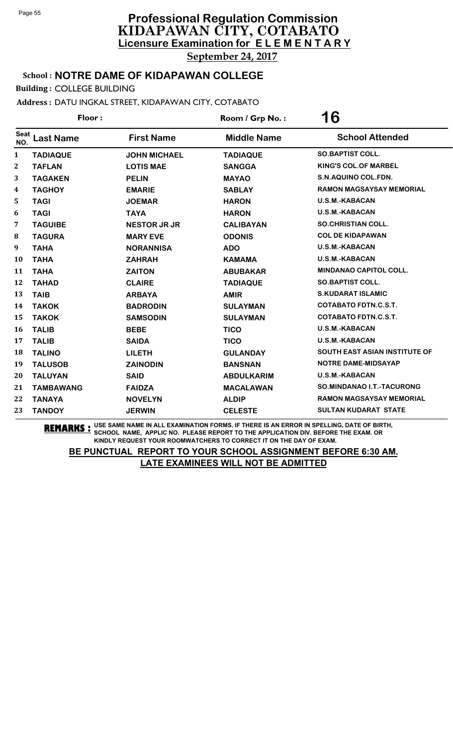School : **NOTRE DAME OF KIDAPAWAN COLLEGE**

Building : COLLEGE BUILDING

Address : DATU INGKAL STREET, KIDAPAWAN CITY, COTABATO

| Floor:             |                  |                     | Room / Grp No.:    | 16                                   |  |
|--------------------|------------------|---------------------|--------------------|--------------------------------------|--|
| <b>Seat</b><br>NO. | <b>Last Name</b> | <b>First Name</b>   | <b>Middle Name</b> | <b>School Attended</b>               |  |
| 1                  | <b>TADIAQUE</b>  | <b>JOHN MICHAEL</b> | <b>TADIAQUE</b>    | <b>SO.BAPTIST COLL.</b>              |  |
| $\boldsymbol{2}$   | <b>TAFLAN</b>    | <b>LOTIS MAE</b>    | <b>SANGGA</b>      | <b>KING'S COL.OF MARBEL</b>          |  |
| 3                  | <b>TAGAKEN</b>   | <b>PELIN</b>        | <b>MAYAO</b>       | S.N.AQUINO COL.FDN.                  |  |
| 4                  | <b>TAGHOY</b>    | <b>EMARIE</b>       | <b>SABLAY</b>      | <b>RAMON MAGSAYSAY MEMORIAL</b>      |  |
| 5                  | <b>TAGI</b>      | <b>JOEMAR</b>       | <b>HARON</b>       | U.S.M.-KABACAN                       |  |
| 6                  | <b>TAGI</b>      | <b>TAYA</b>         | <b>HARON</b>       | <b>U.S.M.-KABACAN</b>                |  |
| 7                  | <b>TAGUIBE</b>   | <b>NESTOR JR JR</b> | <b>CALIBAYAN</b>   | <b>SO.CHRISTIAN COLL.</b>            |  |
| 8                  | <b>TAGURA</b>    | <b>MARY EVE</b>     | <b>ODONIS</b>      | <b>COL DE KIDAPAWAN</b>              |  |
| 9                  | <b>TAHA</b>      | <b>NORANNISA</b>    | <b>ADO</b>         | U.S.M.-KABACAN                       |  |
| 10                 | <b>TAHA</b>      | <b>ZAHRAH</b>       | <b>KAMAMA</b>      | <b>U.S.M.-KABACAN</b>                |  |
| 11                 | <b>TAHA</b>      | <b>ZAITON</b>       | <b>ABUBAKAR</b>    | <b>MINDANAO CAPITOL COLL.</b>        |  |
| 12                 | <b>TAHAD</b>     | <b>CLAIRE</b>       | <b>TADIAQUE</b>    | <b>SO.BAPTIST COLL.</b>              |  |
| 13                 | <b>TAIB</b>      | <b>ARBAYA</b>       | <b>AMIR</b>        | <b>S.KUDARAT ISLAMIC</b>             |  |
| 14                 | <b>TAKOK</b>     | <b>BADRODIN</b>     | <b>SULAYMAN</b>    | <b>COTABATO FDTN.C.S.T.</b>          |  |
| 15                 | <b>TAKOK</b>     | <b>SAMSODIN</b>     | <b>SULAYMAN</b>    | <b>COTABATO FDTN.C.S.T.</b>          |  |
| 16                 | <b>TALIB</b>     | <b>BEBE</b>         | <b>TICO</b>        | <b>U.S.M.-KABACAN</b>                |  |
| 17                 | <b>TALIB</b>     | <b>SAIDA</b>        | <b>TICO</b>        | <b>U.S.M.-KABACAN</b>                |  |
| 18                 | <b>TALINO</b>    | <b>LILETH</b>       | <b>GULANDAY</b>    | <b>SOUTH EAST ASIAN INSTITUTE OF</b> |  |
| 19                 | <b>TALUSOB</b>   | <b>ZAINODIN</b>     | <b>BANSNAN</b>     | <b>NOTRE DAME-MIDSAYAP</b>           |  |
| 20                 | <b>TALUYAN</b>   | <b>SAID</b>         | <b>ABDULKARIM</b>  | <b>U.S.M.-KABACAN</b>                |  |
| 21                 | <b>TAMBAWANG</b> | <b>FAIDZA</b>       | <b>MACALAWAN</b>   | SO.MINDANAO I.T.-TACURONG            |  |
| 22                 | <b>TANAYA</b>    | <b>NOVELYN</b>      | <b>ALDIP</b>       | <b>RAMON MAGSAYSAY MEMORIAL</b>      |  |
| 23                 | <b>TANDOY</b>    | <b>JERWIN</b>       | <b>CELESTE</b>     | <b>SULTAN KUDARAT STATE</b>          |  |

**REMARKS :** USE SAME NAME IN ALL EXAMINATION FORMS. IF THERE IS AN ERROR IN SPELLING, DATE OF BIRTH, SCHOOL NAME, APPLIC NO. PLEASE REPORT TO THE APPLICATION DIV. BEFORE THE EXAM. OR KINDLY REQUEST YOUR ROOMWATCHERS TO CORRECT IT ON THE DAY OF EXAM.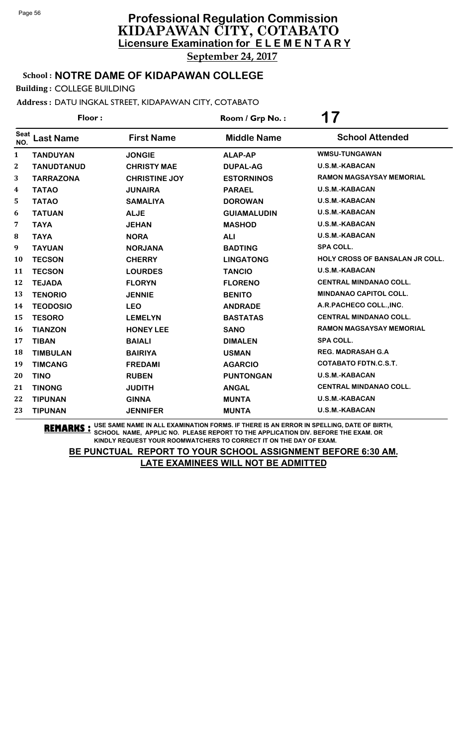### School : **NOTRE DAME OF KIDAPAWAN COLLEGE**

Building : COLLEGE BUILDING

Address : DATU INGKAL STREET, KIDAPAWAN CITY, COTABATO

| Floor:             |                   |                      | Room / Grp No.:    | 17                                     |  |
|--------------------|-------------------|----------------------|--------------------|----------------------------------------|--|
| <b>Seat</b><br>NO. | <b>Last Name</b>  | <b>First Name</b>    | <b>Middle Name</b> | <b>School Attended</b>                 |  |
| $\mathbf{1}$       | <b>TANDUYAN</b>   | <b>JONGIE</b>        | <b>ALAP-AP</b>     | <b>WMSU-TUNGAWAN</b>                   |  |
| $\mathbf{2}$       | <b>TANUDTANUD</b> | <b>CHRISTY MAE</b>   | <b>DUPAL-AG</b>    | U.S.M.-KABACAN                         |  |
| 3                  | <b>TARRAZONA</b>  | <b>CHRISTINE JOY</b> | <b>ESTORNINOS</b>  | <b>RAMON MAGSAYSAY MEMORIAL</b>        |  |
| 4                  | <b>TATAO</b>      | <b>JUNAIRA</b>       | <b>PARAEL</b>      | <b>U.S.M.-KABACAN</b>                  |  |
| 5                  | <b>TATAO</b>      | <b>SAMALIYA</b>      | <b>DOROWAN</b>     | U.S.M.-KABACAN                         |  |
| 6                  | <b>TATUAN</b>     | <b>ALJE</b>          | <b>GUIAMALUDIN</b> | <b>U.S.M.-KABACAN</b>                  |  |
| 7                  | <b>TAYA</b>       | <b>JEHAN</b>         | <b>MASHOD</b>      | U.S.M.-KABACAN                         |  |
| 8                  | <b>TAYA</b>       | <b>NORA</b>          | <b>ALI</b>         | <b>U.S.M.-KABACAN</b>                  |  |
| 9                  | <b>TAYUAN</b>     | <b>NORJANA</b>       | <b>BADTING</b>     | <b>SPA COLL.</b>                       |  |
| 10                 | <b>TECSON</b>     | <b>CHERRY</b>        | <b>LINGATONG</b>   | <b>HOLY CROSS OF BANSALAN JR COLL.</b> |  |
| 11                 | <b>TECSON</b>     | <b>LOURDES</b>       | <b>TANCIO</b>      | <b>U.S.M.-KABACAN</b>                  |  |
| 12                 | <b>TEJADA</b>     | <b>FLORYN</b>        | <b>FLORENO</b>     | <b>CENTRAL MINDANAO COLL.</b>          |  |
| 13                 | <b>TENORIO</b>    | <b>JENNIE</b>        | <b>BENITO</b>      | <b>MINDANAO CAPITOL COLL.</b>          |  |
| 14                 | <b>TEODOSIO</b>   | <b>LEO</b>           | <b>ANDRADE</b>     | A.R.PACHECO COLL., INC.                |  |
| 15                 | <b>TESORO</b>     | <b>LEMELYN</b>       | <b>BASTATAS</b>    | <b>CENTRAL MINDANAO COLL.</b>          |  |
| 16                 | <b>TIANZON</b>    | <b>HONEY LEE</b>     | <b>SANO</b>        | RAMON MAGSAYSAY MEMORIAL               |  |
| 17                 | <b>TIBAN</b>      | <b>BAIALI</b>        | <b>DIMALEN</b>     | <b>SPA COLL.</b>                       |  |
| 18                 | <b>TIMBULAN</b>   | <b>BAIRIYA</b>       | <b>USMAN</b>       | <b>REG. MADRASAH G.A</b>               |  |
| 19                 | <b>TIMCANG</b>    | <b>FREDAMI</b>       | <b>AGARCIO</b>     | <b>COTABATO FDTN.C.S.T.</b>            |  |
| 20                 | <b>TINO</b>       | <b>RUBEN</b>         | <b>PUNTONGAN</b>   | <b>U.S.M.-KABACAN</b>                  |  |
| 21                 | <b>TINONG</b>     | <b>JUDITH</b>        | <b>ANGAL</b>       | <b>CENTRAL MINDANAO COLL.</b>          |  |
| 22                 | <b>TIPUNAN</b>    | <b>GINNA</b>         | <b>MUNTA</b>       | U.S.M.-KABACAN                         |  |
| 23                 | <b>TIPUNAN</b>    | <b>JENNIFER</b>      | <b>MUNTA</b>       | <b>U.S.M.-KABACAN</b>                  |  |

**REMARKS :** USE SAME NAME IN ALL EXAMINATION FORMS. IF THERE IS AN ERROR IN SPELLING, DATE OF BIRTH, SCHOOL NAME, APPLIC NO. PLEASE REPORT TO THE APPLICATION DIV. BEFORE THE EXAM. OR KINDLY REQUEST YOUR ROOMWATCHERS TO CORRECT IT ON THE DAY OF EXAM.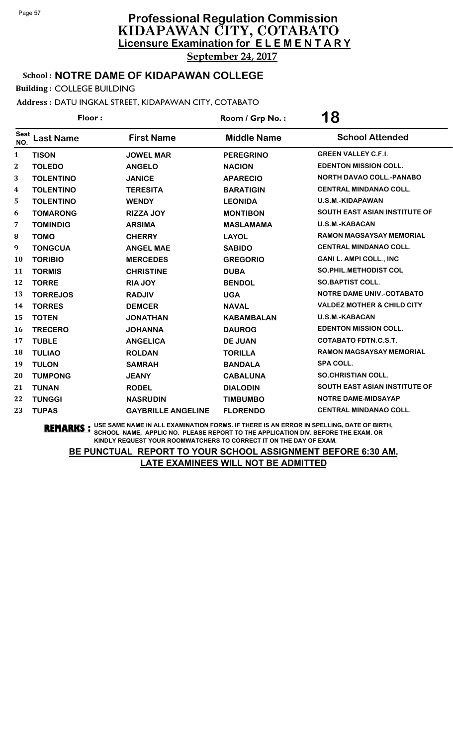### School : **NOTRE DAME OF KIDAPAWAN COLLEGE**

Building : COLLEGE BUILDING

Address : DATU INGKAL STREET, KIDAPAWAN CITY, COTABATO

<sup>Seat</sup> Last Name First Name Middle Name School Attended Floor : **18 Room / Grp No. : 18 TISON JOWEL MAR PEREGRINO GREEN VALLEY C.F.I. TOLEDO ANGELO NACION EDENTON MISSION COLL. TOLENTINO JANICE APARECIO NORTH DAVAO COLL.-PANABO TOLENTINO TERESITA BARATIGIN CENTRAL MINDANAO COLL. TOLENTINO WENDY LEONIDA U.S.M.-KIDAPAWAN TOMARONG RIZZA JOY MONTIBON SOUTH EAST ASIAN INSTITUTE OF TOMINDIG ARSIMA MASLAMAMA U.S.M.-KABACAN TOMO CHERRY LAYOL RAMON MAGSAYSAY MEMORIAL TONGCUA ANGEL MAE SABIDO CENTRAL MINDANAO COLL. TORIBIO MERCEDES GREGORIO GANI L. AMPI COLL., INC TORMIS CHRISTINE DUBA SO.PHIL.METHODIST COL TORRE RIA JOY BENDOL SO.BAPTIST COLL. TORREJOS RADJIV UGA NOTRE DAME UNIV.-COTABATO TORRES DEMCER NAVAL VALDEZ MOTHER & CHILD CITY TOTEN JONATHAN KABAMBALAN U.S.M.-KABACAN TRECERO JOHANNA DAUROG EDENTON MISSION COLL. TUBLE ANGELICA DE JUAN COTABATO FDTN.C.S.T. TULIAO ROLDAN TORILLA RAMON MAGSAYSAY MEMORIAL TULON SAMRAH BANDALA SPA COLL. TUMPONG JEANY CABALUNA SO.CHRISTIAN COLL. TUNAN RODEL DIALODIN SOUTH EAST ASIAN INSTITUTE OF TUNGGI NASRUDIN TIMBUMBO NOTRE DAME-MIDSAYAP TUPAS GAYBRILLE ANGELINE FLORENDO CENTRAL MINDANAO COLL.**

**REMARKS :** USE SAME NAME IN ALL EXAMINATION FORMS. IF THERE IS AN ERROR IN SPELLING, DATE OF BIRTH, SCHOOL NAME, APPLIC NO. PLEASE REPORT TO THE APPLICATION DIV. BEFORE THE EXAM. OR KINDLY REQUEST YOUR ROOMWATCHERS TO CORRECT IT ON THE DAY OF EXAM.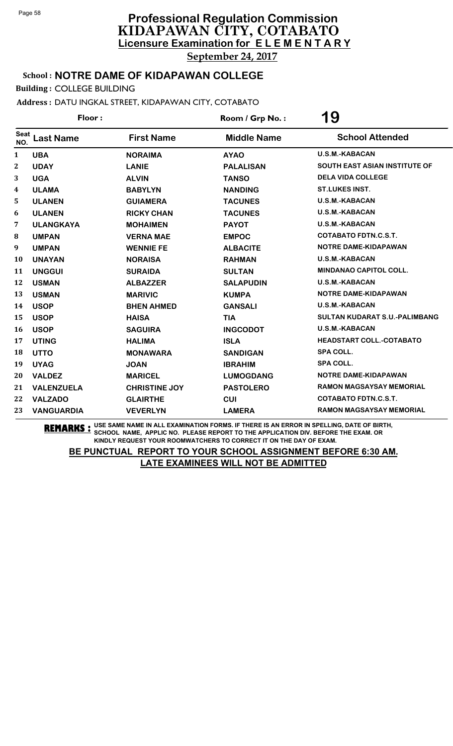### School : **NOTRE DAME OF KIDAPAWAN COLLEGE**

Building : COLLEGE BUILDING

Address : DATU INGKAL STREET, KIDAPAWAN CITY, COTABATO

| Floor:             |                   |                      | Room / Grp No.:    | 19                                   |  |
|--------------------|-------------------|----------------------|--------------------|--------------------------------------|--|
| <b>Seat</b><br>NO. | <b>Last Name</b>  | <b>First Name</b>    | <b>Middle Name</b> | <b>School Attended</b>               |  |
| 1                  | <b>UBA</b>        | <b>NORAIMA</b>       | <b>AYAO</b>        | <b>U.S.M.-KABACAN</b>                |  |
| $\mathbf 2$        | <b>UDAY</b>       | <b>LANIE</b>         | <b>PALALISAN</b>   | <b>SOUTH EAST ASIAN INSTITUTE OF</b> |  |
| 3                  | <b>UGA</b>        | <b>ALVIN</b>         | <b>TANSO</b>       | <b>DELA VIDA COLLEGE</b>             |  |
| 4                  | <b>ULAMA</b>      | <b>BABYLYN</b>       | <b>NANDING</b>     | <b>ST.LUKES INST.</b>                |  |
| 5                  | <b>ULANEN</b>     | <b>GUIAMERA</b>      | <b>TACUNES</b>     | <b>U.S.M.-KABACAN</b>                |  |
| 6                  | <b>ULANEN</b>     | <b>RICKY CHAN</b>    | <b>TACUNES</b>     | <b>U.S.M.-KABACAN</b>                |  |
| 7                  | <b>ULANGKAYA</b>  | <b>MOHAIMEN</b>      | <b>PAYOT</b>       | <b>U.S.M.-KABACAN</b>                |  |
| 8                  | <b>UMPAN</b>      | <b>VERNA MAE</b>     | <b>EMPOC</b>       | <b>COTABATO FDTN.C.S.T.</b>          |  |
| 9                  | <b>UMPAN</b>      | <b>WENNIE FE</b>     | <b>ALBACITE</b>    | NOTRE DAME-KIDAPAWAN                 |  |
| 10                 | <b>UNAYAN</b>     | <b>NORAISA</b>       | <b>RAHMAN</b>      | <b>U.S.M.-KABACAN</b>                |  |
| 11                 | <b>UNGGUI</b>     | <b>SURAIDA</b>       | <b>SULTAN</b>      | <b>MINDANAO CAPITOL COLL.</b>        |  |
| 12                 | <b>USMAN</b>      | <b>ALBAZZER</b>      | <b>SALAPUDIN</b>   | U.S.M.-KABACAN                       |  |
| 13                 | <b>USMAN</b>      | <b>MARIVIC</b>       | <b>KUMPA</b>       | NOTRE DAME-KIDAPAWAN                 |  |
| 14                 | <b>USOP</b>       | <b>BHEN AHMED</b>    | <b>GANSALI</b>     | <b>U.S.M.-KABACAN</b>                |  |
| 15                 | <b>USOP</b>       | <b>HAISA</b>         | <b>TIA</b>         | <b>SULTAN KUDARAT S.U.-PALIMBANG</b> |  |
| 16                 | <b>USOP</b>       | <b>SAGUIRA</b>       | <b>INGCODOT</b>    | <b>U.S.M.-KABACAN</b>                |  |
| 17                 | <b>UTING</b>      | <b>HALIMA</b>        | <b>ISLA</b>        | <b>HEADSTART COLL.-COTABATO</b>      |  |
| 18                 | <b>UTTO</b>       | <b>MONAWARA</b>      | <b>SANDIGAN</b>    | <b>SPA COLL.</b>                     |  |
| 19                 | <b>UYAG</b>       | <b>JOAN</b>          | <b>IBRAHIM</b>     | <b>SPA COLL.</b>                     |  |
| 20                 | <b>VALDEZ</b>     | <b>MARICEL</b>       | <b>LUMOGDANG</b>   | NOTRE DAME-KIDAPAWAN                 |  |
| 21                 | <b>VALENZUELA</b> | <b>CHRISTINE JOY</b> | <b>PASTOLERO</b>   | <b>RAMON MAGSAYSAY MEMORIAL</b>      |  |
| 22                 | <b>VALZADO</b>    | <b>GLAIRTHE</b>      | <b>CUI</b>         | <b>COTABATO FDTN.C.S.T.</b>          |  |
| 23                 | <b>VANGUARDIA</b> | <b>VEVERLYN</b>      | <b>LAMERA</b>      | <b>RAMON MAGSAYSAY MEMORIAL</b>      |  |

**REMARKS :** USE SAME NAME IN ALL EXAMINATION FORMS. IF THERE IS AN ERROR IN SPELLING, DATE OF BIRTH, SCHOOL NAME, APPLIC NO. PLEASE REPORT TO THE APPLICATION DIV. BEFORE THE EXAM. OR KINDLY REQUEST YOUR ROOMWATCHERS TO CORRECT IT ON THE DAY OF EXAM.